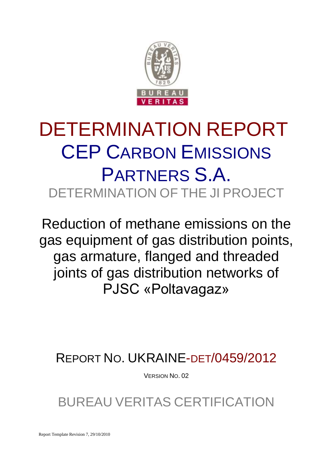

# DETERMINATION REPORT CEP CARBON EMISSIONS PARTNERS S.A. DETERMINATION OF THE JI PROJECT

Reduction of methane emissions on the gas equipment of gas distribution points, gas armature, flanged and threaded joints of gas distribution networks of PJSC «Poltavagaz»

REPORT NO. UKRAINE-DET/0459/2012

VERSION NO. 02

BUREAU VERITAS CERTIFICATION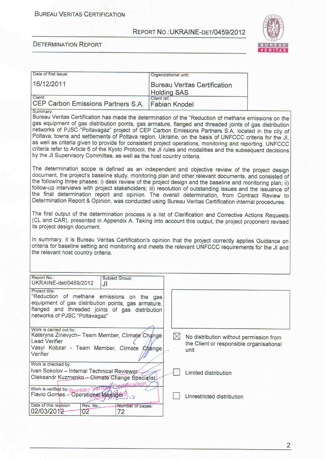

#### **DETERMINATION REPORT**

| Date of first issue:                                                                                                                                                                                                                                                                                                                                                                                                                                                                                                                                                                                                                                                                                                                            | Organizational unit:                 |             |                                                                                             |  |
|-------------------------------------------------------------------------------------------------------------------------------------------------------------------------------------------------------------------------------------------------------------------------------------------------------------------------------------------------------------------------------------------------------------------------------------------------------------------------------------------------------------------------------------------------------------------------------------------------------------------------------------------------------------------------------------------------------------------------------------------------|--------------------------------------|-------------|---------------------------------------------------------------------------------------------|--|
| 16/12/2011                                                                                                                                                                                                                                                                                                                                                                                                                                                                                                                                                                                                                                                                                                                                      | <b>Holding SAS</b>                   |             | <b>Bureau Veritas Certification</b>                                                         |  |
| Client:<br>CEP Carbon Emissions Partners S.A.                                                                                                                                                                                                                                                                                                                                                                                                                                                                                                                                                                                                                                                                                                   | Client ref.:<br><b>Fabian Knodel</b> |             |                                                                                             |  |
| Summary:<br>Bureau Veritas Certification has made the determination of the "Reduction of methane emissions on the<br>gas equipment of gas distribution points, gas armature, flanged and threaded joints of gas distributior<br>networks of PJSC "Poltavagaz" project of CEP Carbon Emissions Partners S.A. located in the city o<br>Poltava, towns and settlements of Poltava region, Ukraine, on the basis of UNFCCC criteria for the JI<br>as well as criteria given to provide for consistent project operations, monitoring and reporting. UNFCCC<br>criteria refer to Article 6 of the Kyoto Protocol, the JI rules and modalities and the subsequent decisions<br>by the JI Supervisory Committee, as well as the host country criteria. |                                      |             |                                                                                             |  |
| The determination scope is defined as an independent and objective review of the project design<br>document, the project's baseline study, monitoring plan and other relevant documents, and consisted of<br>the following three phases: i) desk review of the project design and the baseline and monitoring plan; ii)<br>follow-up interviews with project stakeholders; iii) resolution of outstanding issues and the issuance of<br>the final determination report and opinion. The overall determination, from Contract Review to<br>Determination Report & Opinion, was conducted using Bureau Veritas Certification internal procedures.                                                                                                 |                                      |             |                                                                                             |  |
| The first output of the determination process is a list of Clarification and Corrective Actions Requests<br>(CL and CAR), presented in Appendix A. Taking into account this output, the project proponent revised<br>its project design document.                                                                                                                                                                                                                                                                                                                                                                                                                                                                                               |                                      |             |                                                                                             |  |
| In summary, it is Bureau Veritas Certification's opinion that the project correctly applies Guidance on<br>criteria for baseline setting and monitoring and meets the relevant UNFCCC requirements for the JI and<br>the relevant host country criteria.                                                                                                                                                                                                                                                                                                                                                                                                                                                                                        |                                      |             |                                                                                             |  |
| Report No.:<br>Subject Group:<br>UKRAINE-det/0459/2012<br>JI                                                                                                                                                                                                                                                                                                                                                                                                                                                                                                                                                                                                                                                                                    |                                      |             |                                                                                             |  |
| Project title:<br>"Reduction of methane emissions on the gas<br>equipment of gas distribution points, gas armature,<br>flanged and threaded joints of gas distribution<br>networks of PJSC "Poltavagaz"                                                                                                                                                                                                                                                                                                                                                                                                                                                                                                                                         |                                      |             |                                                                                             |  |
| Work is carried out by:<br>Kateryna Zinevych- Team Member, Climate Change<br><b>Lead Verifier</b><br>Vasyl Kobzar - Team Member, Climate Change<br>Verifier                                                                                                                                                                                                                                                                                                                                                                                                                                                                                                                                                                                     |                                      | $\boxtimes$ | No distribution without permission from<br>the Client or responsible organisational<br>unit |  |
| Work is checked by:<br>Ivan Sokolov - Internal Technical Reviewer<br>Oleksandr Kuzmenko - Climate Change Specialist<br><b>Hifiration</b>                                                                                                                                                                                                                                                                                                                                                                                                                                                                                                                                                                                                        |                                      |             | Limited distribution                                                                        |  |
| Work is verified by: <b>Rureau</b><br>Flavio Gomes - Operational Manager-<br>( င၃                                                                                                                                                                                                                                                                                                                                                                                                                                                                                                                                                                                                                                                               |                                      |             | Unrestricted distribution                                                                   |  |
| Date of this revision:<br>Rev. No.:<br>Number of pages:<br>02/03/2012<br>02<br>72                                                                                                                                                                                                                                                                                                                                                                                                                                                                                                                                                                                                                                                               |                                      |             |                                                                                             |  |

 $2<sup>1</sup>$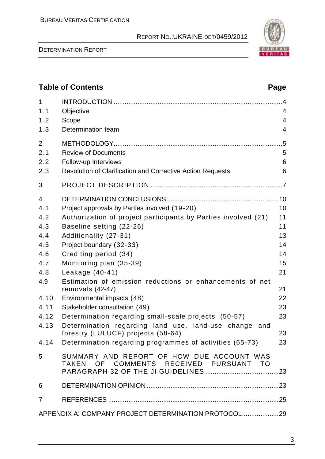DETERMINATION REPORT



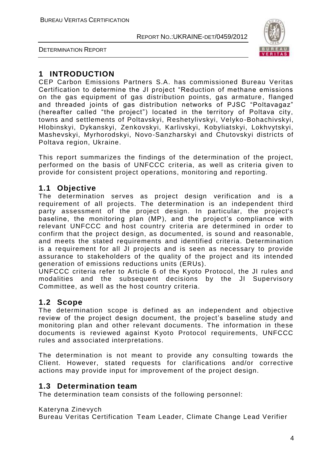DETERMINATION REPORT



# **1 INTRODUCTION**

CEP Carbon Emissions Partners S.A. has commissioned Bureau Veritas Certification to determine the JI project "Reduction of methane emissions on the gas equipment of gas distribution points, gas armature, flanged and threaded joints of gas distribution networks of PJSC "Poltavagaz" (hereafter called "the project") located in the territory of Poltava city, towns and settlements of Poltavskyi, Reshetylivskyi, Velyko -Bohachivskyi, Hlobinskyi, Dykanskyi, Zenkovskyi, Karlivskyi, Kobyliatskyi, Lokhvytskyi, Mashevskyi, Myrhorodskyi, Novo-Sanzharskyi and Chutovskyi districts of Poltava region, Ukraine.

This report summarizes the findings of the determination of the project, performed on the basis of UNFCCC criteria, as well as criteria given to provide for consistent project operations, monitoring and reporting.

# **1.1 Objective**

The determination serves as project design verification and is a requirement of all projects. The determination is an independent third party assessment of the project design. In particular, the project's baseline, the monitoring plan (MP), and the project's compliance with relevant UNFCCC and host country criteria are determined in order to confirm that the project design, as documented, is sound and reasonable, and meets the stated requirements and identified criteria. Determination is a requirement for all JI projects and is seen as necessary to provide assurance to stakeholders of the quality of the project and its intended generation of emissions reductions units (ERUs).

UNFCCC criteria refer to Article 6 of the Kyoto Protocol, the JI rules and modalities and the subsequent decisions by the JI Supervisory Committee, as well as the host country criteria.

# **1.2 Scope**

The determination scope is defined as an independent and objective review of the project design document, the project's baseline study and monitoring plan and other relevant documents. The information in these documents is reviewed against Kyoto Protocol requirements, UNFCCC rules and associated interpretations.

The determination is not meant to provide any consulting towards the Client. However, stated requests for clarifications and/or corrective actions may provide input for improvement of the project design.

# **1.3 Determination team**

The determination team consists of the following personnel:

### Kateryna Zinevych

Bureau Veritas Certification Team Leader, Climate Change Lead Verifier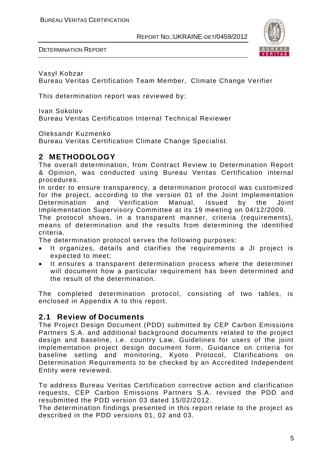DETERMINATION REPORT



Vasyl Kobzar

Bureau Veritas Certification Team Member, Climate Change Verifier

This determination report was reviewed by:

Ivan Sokolov Bureau Veritas Certification Internal Technical Reviewer

Oleksandr Kuzmenko

Bureau Veritas Certification Climate Change Specialist.

# **2 METHODOLOGY**

The overall determination, from Contract Review to Determination Report & Opinion, was conducted using Bureau Veritas Certification internal procedures.

In order to ensure transparency, a determination protocol was customized for the project, according to the version 01 of the Joint Implementation Determination and Verification Manual, issued by the Joint Implementation Supervisory Committee at its 19 meeting on 04/12/2009.

The protocol shows, in a transparent manner, criteria (requirements), means of determination and the results from determining the identified criteria.

The determination protocol serves the following purposes:

- It organizes, details and clarifies the requirements a JI project is expected to meet;
- It ensures a transparent determination process where the determiner will document how a particular requirement has been determined and the result of the determination.

The completed determination protocol, consisting of two tables, is enclosed in Appendix A to this report.

### **2.1 Review of Documents**

The Project Design Document (PDD) submitted by CEP Carbon Emissions Partners S.A. and additional background documents related to the project design and baseline, i.e. country Law, Guidelines for users of the joint implementation project design document form, Guidance on criteria for baseline setting and monitoring, Kyoto Protocol, Clarifications on Determination Requirements to be checked by an Accredited Independent Entity were reviewed.

To address Bureau Veritas Certification corrective action and clarification requests, CEP Carbon Emissions Partners S.A. revised the PDD and resubmitted the PDD version 03 dated 15/02/2012.

The determination findings presented in this report relate to the project as described in the PDD versions 01, 02 and 03.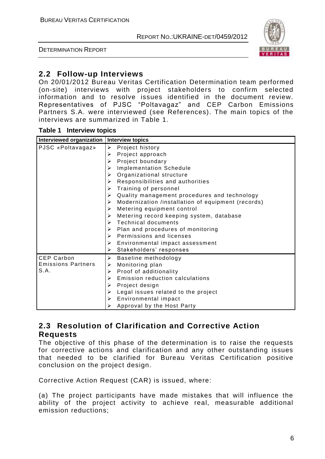DETERMINATION REPORT



# **2.2 Follow-up Interviews**

On 20/01/2012 Bureau Veritas Certification Determination team performed (on-site) interviews with project stakeholders to confirm selected information and to resolve issues identified in the document review. Representatives of PJSC "Poltavagaz" and CEP Carbon Emissions Partners S.A. were interviewed (see References). The main topics of the interviews are summarized in Table 1.

#### **Table 1 Interview topics**

| Interviewed organization   Interview topics |                                                         |
|---------------------------------------------|---------------------------------------------------------|
| PJSC «Poltavagaz»                           | Project history<br>≻                                    |
|                                             | Project approach<br>⋗                                   |
|                                             | Project boundary<br>➤                                   |
|                                             | <b>Implementation Schedule</b><br>⋗                     |
|                                             | Organizational structure<br>⋗                           |
|                                             | Responsibilities and authorities<br>↘                   |
|                                             | Training of personnel<br>⋗                              |
|                                             | Quality management procedures and technology<br>⋗       |
|                                             | Modernization /installation of equipment (records)<br>⋗ |
|                                             | Metering equipment control<br>⋗                         |
|                                             | Metering record keeping system, database<br>⋗           |
|                                             | <b>Technical documents</b><br>↘                         |
|                                             | Plan and procedures of monitoring<br>⋗                  |
|                                             | Permissions and licenses<br>⋗                           |
|                                             | Environmental impact assessment<br>≻                    |
|                                             | Stakeholders' responses<br>➤                            |
| <b>CEP Carbon</b>                           | ➤<br>Baseline methodology                               |
| <b>Emissions Partners</b>                   | Monitoring plan<br>➤                                    |
| S.A.                                        | Proof of additionality<br>➤                             |
|                                             | Emission reduction calculations<br>⋗                    |
|                                             | Project design<br>⋗                                     |
|                                             | Legal issues related to the project<br>⋗                |
|                                             | Environmental impact<br>➤                               |
|                                             | Approval by the Host Party                              |

# **2.3 Resolution of Clarification and Corrective Action Requests**

The objective of this phase of the determination is to raise the requests for corrective actions and clarification and any other outstanding issues that needed to be clarified for Bureau Veritas Certification positive conclusion on the project design.

Corrective Action Request (CAR) is issued, where:

(a) The project participants have made mistakes that will influence the ability of the project activity to achieve real, measurable additional emission reductions;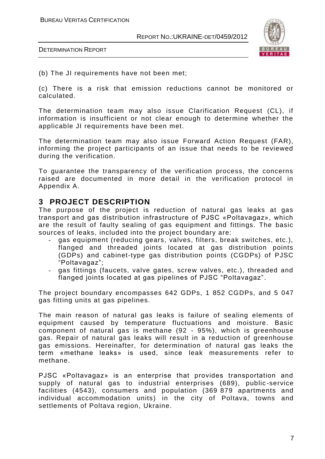

DETERMINATION REPORT

(b) The JI requirements have not been met;

(c) There is a risk that emission reductions cannot be monitored or calculated.

The determination team may also issue Clarification Request (CL), if information is insufficient or not clear enough to determine whether the applicable JI requirements have been met.

The determination team may also issue Forward Action Request (FAR), informing the project participants of an issue that needs to be reviewed during the verification.

To guarantee the transparency of the verification process, the concerns raised are documented in more detail in the verification protocol in Appendix A.

## **3 PROJECT DESCRIPTION**

The purpose of the project is reduction of natural gas leaks at gas transport and gas distribution infrastructure of PJSC «Poltavagaz», which are the result of faulty sealing of gas equipment and fittings. The basic sources of leaks, included into the project boundary are:

- *-* gas equipment (reducing gears, valves, filters, break switches, etc.), flanged and threaded joints located at gas distribution points (GDPs) and cabinet-type gas distribution points (CGDPs) of PJSC "Poltavagaz";
- *-* gas fittings (faucets, valve gates, screw valves, etc.), threaded and flanged joints located at gas pipelines of PJSC "Poltavagaz".

The project boundary encompasses 642 GDPs, 1 852 CGDPs, and 5 047 gas fitting units at gas pipelines.

The main reason of natural gas leaks is failure of sealing elements of equipment caused by temperature fluctuations and moisture. Basic component of natural gas is methane (92 - 95%), which is greenhouse gas. Repair of natural gas leaks will result in a reduction of greenhouse gas emissions. Hereinafter, for determination of natural gas leaks the term «methane leaks» is used, since leak measurements refer to methane.

PJSC «Poltavagaz» is an enterprise that provides transportation and supply of natural gas to industrial enterprises (689), public-service facilities (4543), consumers and population (369 879 apartments and individual accommodation units) in the city of Poltava, towns and settlements of Poltava region, Ukraine.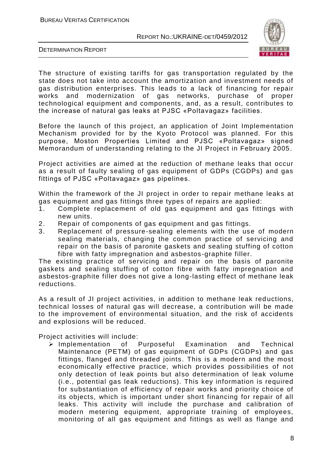

DETERMINATION REPORT

The structure of existing tariffs for gas transportation regulated by the state does not take into account the amortization and investment needs of gas distribution enterprises. This leads to a lack of financing for repair works and modernization of gas networks, purchase of proper technological equipment and components, and, as a result, contributes to the increase of natural gas leaks at PJSC «Poltavagaz» facilities.

Before the launch of this project, an application of Joint Implementation Mechanism provided for by the Kyoto Protocol was planned. For this purpose, Moston Properties Limited and PJSC «Poltavagaz» signed Memorandum of understanding relating to the JI Project in February 2005.

Project activities are aimed at the reduction of methane leaks that occur as a result of faulty sealing of gas equipment of GDPs (CGDPs) and gas fittings of PJSC «Poltavagaz» gas pipelines.

Within the framework of the JI project in order to repair methane leaks at gas equipment and gas fittings three types of repairs are applied:

- 1. Complete replacement of old gas equipment and gas fittings with new units.
- 2. Repair of components of gas equipment and gas fittings.
- 3. Replacement of pressure-sealing elements with the use of modern sealing materials, changing the common practice of servicing and repair on the basis of paronite gaskets and sealing stuffing of cotton fibre with fatty impregnation and asbestos -graphite filler.

The existing practice of servicing and repair on the basis of paronite gaskets and sealing stuffing of cotton fibre with fatty impregnation and asbestos-graphite filler does not give a long-lasting effect of methane leak reductions.

As a result of JI project activities, in addition to methane leak red uctions, technical losses of natural gas will decrease, a contribution will be made to the improvement of environmental situation, and the risk of accidents and explosions will be reduced.

Project activities will include:

 $\triangleright$  Implementation of Purposeful Examination and Technical Maintenance (PETM) of gas equipment of GDPs (CGDPs) and gas fittings, flanged and threaded joints. This is a modern and the most economically effective practice, which provides possibilities of not only detection of leak points but also determination of leak volume (i.e., potential gas leak reductions). This key information is required for substantiation of efficiency of repair works and priority choice of its objects, which is important under short financing for repair of all leaks. This activity will include the purchase and calibration of modern metering equipment, appropriate training of employees, monitoring of all gas equipment and fittings as well as flange and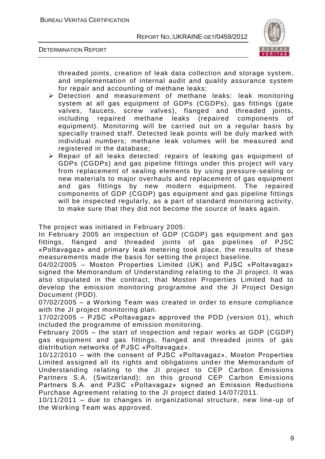



threaded joints, creation of leak data collection and storage system, and implementation of internal audit and quality assurance system for repair and accounting of methane leaks;

- Detection and measurement of methane leaks: leak monitoring system at all gas equipment of GDPs (CGDPs), gas fittings (gate valves, faucets, screw valves), flanged and threaded joints, including repaired methane leaks (repaired components of equipment). Monitoring will be carried out on a regular basis by specially trained staff. Detected leak points will be duly marked with individual numbers; methane leak volumes will be measured and registered in the database;
- Repair of all leaks detected: repairs of leaking gas equipment of GDPs (CGDPs) and gas pipeline fittings under this project will vary from replacement of sealing elements by using pressure-sealing or new materials to major overhauls and replacement of gas equipment and gas fittings by new modern equipment. The repaired components of GDP (CGDP) gas equipment and gas pipeline fittings will be inspected regularly, as a part of standard monitoring activity, to make sure that they did not become the source of leaks again.

The project was initiated in February 2005:

In February 2005 an inspection of GDP (CGDP) gas equipment and gas fittings, flanged and threaded joints of gas pipelines of PJSC «Poltavagaz» and primary leak metering took place, the results of these measurements made the basis for setting the project baseline.

04/02/2005 – Moston Properties Limited (UK) and PJSC «Poltavagaz» signed the Memorandum of Understanding relating to the JI project. It was also stipulated in the contract, that Moston Properties Limited had to develop the emission monitoring programme and the JI Project Design Document (PDD).

07/02/2005 – a Working Team was created in order to ensure compliance with the JI project monitoring plan.

17/02/2005 – PJSC «Poltavagaz» approved the PDD (version 01), which included the programme of emission monitoring.

February 2005 – the start of inspection and repair works at GDP (CGDP) gas equipment and gas fittings, flanged and threaded joints of gas distribution networks of PJSC «Poltavagaz».

10/12/2010 – with the consent of PJSC «Poltavagaz», Moston Properties Limited assigned all its rights and obligations under the Memorandum of Understanding relating to the JI project to CEP Carbon Emissions Partners S.A. (Switzerland); on this ground CEP Carbon Emissions Partners S.A. and PJSC «Poltavagaz» signed an Emission Reductions Purchase Agreement relating to the JI project dated 14/07/2011.

10/11/2011 – due to changes in organizational structure, new line -up of the Working Team was approved.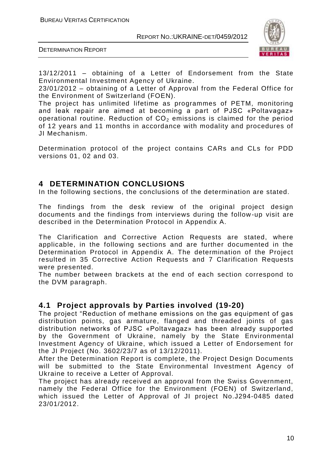BUREAU VERITAS CERTIFICATION

REPORT NO.:UKRAINE-DET/0459/2012



DETERMINATION REPORT

13/12/2011 – obtaining of a Letter of Endorsement from the State Environmental Investment Agency of Ukraine.

23/01/2012 – obtaining of a Letter of Approval from the Federal Office for the Environment of Switzerland (FOEN).

The project has unlimited lifetime as programmes of PETM, monitoring and leak repair are aimed at becoming a part of PJSC «Poltavagaz» operational routine. Reduction of  $CO<sub>2</sub>$  emissions is claimed for the period of 12 years and 11 months in accordance with modality and procedures of JI Mechanism.

Determination protocol of the project contains CARs and CLs for PDD versions 01, 02 and 03.

# **4 DETERMINATION CONCLUSIONS**

In the following sections, the conclusions of the determination are stated.

The findings from the desk review of the original project design documents and the findings from interviews during the follow-up visit are described in the Determination Protocol in Appendix A.

The Clarification and Corrective Action Requests are stated, where applicable, in the following sections and are further documented in the Determination Protocol in Appendix A. The determination of the Project resulted in 35 Corrective Action Requests and 7 Clarification Requests were presented.

The number between brackets at the end of each section correspond to the DVM paragraph.

# **4.1 Project approvals by Parties involved (19-20)**

The project "Reduction of methane emissions on the gas equipment of gas distribution points, gas armature, flanged and threaded joints of gas distribution networks of PJSC «Poltavagaz» has been already supported by the Government of Ukraine, namely by the State Environmental Investment Agency of Ukraine, which issued a Letter of Endorsement for the JI Project (No. 3602/23/7 as of 13/12/2011).

After the Determination Report is complete, the Project Design Documents will be submitted to the State Environmental Investment Agency of Ukraine to receive a Letter of Approval.

The project has already received an approval from the Swiss Government, namely the Federal Office for the Environment (FOEN) of Switzerland, which issued the Letter of Approval of JI project No.J294-0485 dated 23/01/2012.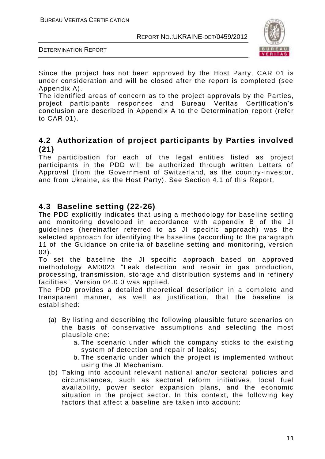

DETERMINATION REPORT

Since the project has not been approved by the Host Party, CAR 01 is under consideration and will be closed after the report is completed (see Appendix A).

The identified areas of concern as to the project approvals by the Parties, project participants responses and Bureau Veritas Certification's conclusion are described in Appendix A to the Determination report (refer to CAR 01).

# **4.2 Authorization of project participants by Parties involved (21)**

The participation for each of the legal entities listed as project participants in the PDD will be authorized through written Letters of Approval (from the Government of Switzerland, as the country -investor, and from Ukraine, as the Host Party). See Section 4.1 of this Report.

# **4.3 Baseline setting (22-26)**

The PDD explicitly indicates that using a methodology for baseline setting and monitoring developed in accordance with appendix B of the JI guidelines (hereinafter referred to as JI specific approach) was the selected approach for identifying the baseline (according to the paragraph 11 of the Guidance on criteria of baseline setting and monitoring, version 03).

To set the baseline the JI specific approach based on approved methodology AM0023 "Leak detection and repair in gas production, processing, transmission, storage and distribution systems and in refinery facilities", Version 04.0.0 was applied.

The PDD provides a detailed theoretical description in a complete and transparent manner, as well as justification, that the baseline is established:

- (a) By listing and describing the following plausible future scenarios on the basis of conservative assumptions and selecting the most plausible one:
	- a. The scenario under which the company sticks to the existing system of detection and repair of leaks;
	- b. The scenario under which the project is implemented without using the JI Mechanism.
- (b) Taking into account relevant national and/or sectoral policies and circumstances, such as sectoral reform initiatives, local fuel availability, power sector expansion plans, and the economic situation in the project sector. In this context, the following key factors that affect a baseline are taken into account: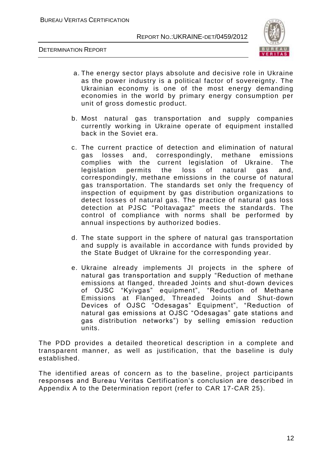



- a. The energy sector plays absolute and decisive role in Ukraine as the power industry is a political factor of sovereignty. The Ukrainian economy is one of the most energy demanding economies in the world by primary energy consumption per unit of gross domestic product.
- b. Most natural gas transportation and supply companies currently working in Ukraine operate of equipment installed back in the Soviet era.
- c. The current practice of detection and elimination of natural gas losses and, correspondingly, methane emissions complies with the current legislation of Ukraine. The legislation permits the loss of natural gas and, correspondingly, methane emissions in the course of natural gas transportation. The standards set only the frequency of inspection of equipment by gas distribution organizations to detect losses of natural gas. The practice of natural gas loss detection at PJSC "Poltavagaz" meets the standards. The control of compliance with norms shall be performed by annual inspections by authorized bodies.
- d. The state support in the sphere of natural gas transportation and supply is available in accordance with funds provided by the State Budget of Ukraine for the corresponding year.
- e. Ukraine already implements JI projects in the sphere of natural gas transportation and supply "Reduction of methane emissions at flanged, threaded Joints and shut-down devices of OJSC "Kyivgas" equipment", "Reduction of Methane Emissions at Flanged, Threaded Joints and Shut-down Devices of OJSC "Odesagas" Equipment", "Reduction of natural gas emissions at OJSC "Odesagas" gate stations and gas distribution networks") by selling emission reduction units.

The PDD provides a detailed theoretical description in a complete and transparent manner, as well as justification, that the baseline is duly established.

The identified areas of concern as to the baseline, project participants responses and Bureau Veritas Certification's conclusion are described in Appendix A to the Determination report (refer to CAR 17-CAR 25).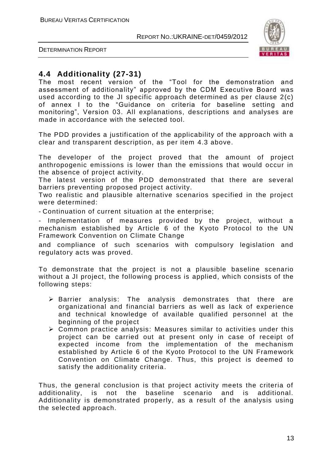

DETERMINATION REPORT

# **4.4 Additionality (27-31)**

The most recent version of the "Tool for the demonstration and assessment of additionality" approved by the CDM Executive Board was used according to the JI specific approach determined as per clause 2(c) of annex I to the "Guidance on criteria for baseline setting and monitoring", Version 03. All explanations, descriptions and analyses are made in accordance with the selected tool.

The PDD provides a justification of the applicability of the approach with a clear and transparent description, as per item 4.3 above.

The developer of the project proved that the amount of project anthropogenic emissions is lower than the emissions that would occur in the absence of project activity.

The latest version of the PDD demonstrated that there are several barriers preventing proposed project activity.

Two realistic and plausible alternative scenarios specified in the project were determined:

- Continuation of current situation at the enterprise;

- Implementation of measures provided by the project, without a mechanism established by Article 6 of the Kyoto Protocol to the UN Framework Convention on Climate Change

and compliance of such scenarios with compulsory legislation and regulatory acts was proved.

To demonstrate that the project is not a plausible baseline scenario without a JI project, the following process is applied, which consists of the following steps:

- $\triangleright$  Barrier analysis: The analysis demonstrates that there are organizational and financial barriers as well as lack of experience and technical knowledge of available qualified personnel at the beginning of the project
- $\triangleright$  Common practice analysis: Measures similar to activities under this project can be carried out at present only in case of receipt of expected income from the implementation of the mechanism established by Article 6 of the Kyoto Protocol to the UN Framework Convention on Climate Change. Thus, this project is deemed to satisfy the additionality criteria.

Thus, the general conclusion is that project activity meets the criteria of additionality, is not the baseline scenario and is additional. Additionality is demonstrated properly, as a result of the analysis using the selected approach.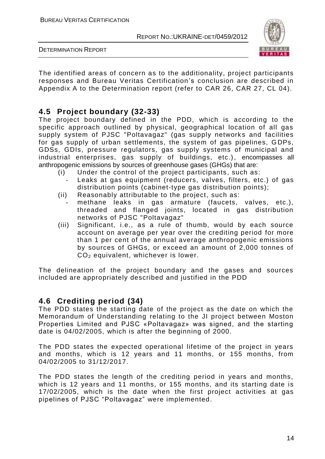

DETERMINATION REPORT

The identified areas of concern as to the additionality, project participants responses and Bureau Veritas Certification's conclusion are described in Appendix A to the Determination report (refer to CAR 26, CAR 27, CL 04).

# **4.5 Project boundary (32-33)**

The project boundary defined in the PDD, which is according to the specific approach outlined by physical, geographical location of all gas supply system of PJSC "Poltavagaz" (gas supply networks and facilities for gas supply of urban settlements, the system of gas pipelines, GDPs, GDSs, GDIs, pressure regulators, gas supply systems of municipal and industrial enterprises, gas supply of buildings, etc.), encompasses all anthropogenic emissions by sources of greenhouse gases (GHGs) that are:

- (i) Under the control of the project participants, such as:
- Leaks at gas equipment (reducers, valves, filters, etc.) of gas distribution points (cabinet-type gas distribution points);
- (ii) Reasonably attributable to the project, such as:
- *-* methane leaks in gas armature (faucets, valves, etc.), threaded and flanged joints, located in gas distribution networks of PJSC "Poltavagaz"
- (iii) Significant, i.e., as a rule of thumb, would by each source account on average per year over the crediting period for more than 1 per cent of the annual average anthropogenic emissions by sources of GHGs, or exceed an amount of 2,000 tonnes of  $CO<sub>2</sub>$  equivalent, whichever is lower.

The delineation of the project boundary and the gases and sources included are appropriately described and justified in the PDD

# **4.6 Crediting period (34)**

The PDD states the starting date of the project as the date on which the Memorandum of Understanding relating to the JI project between Moston Properties Limited and PJSC «Poltavagaz» was signed, and the starting date is 04/02/2005, which is after the beginning of 2000.

The PDD states the expected operational lifetime of the project in years and months, which is 12 years and 11 months, or 155 months, from 04/02/2005 to 31/12/2017.

The PDD states the length of the crediting period in years and months, which is 12 years and 11 months, or 155 months, and its starting date is 17/02/2005, which is the date when the first project activities at gas pipelines of PJSC "Poltavagaz" were implemented.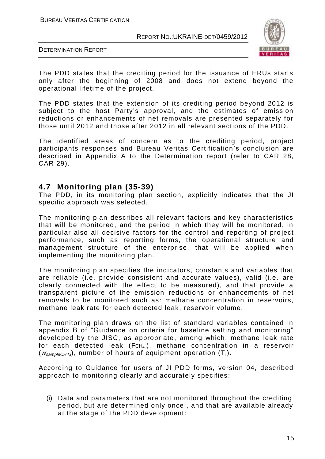



The PDD states that the crediting period for the issuance of ERUs starts only after the beginning of 2008 and does not extend beyond the operational lifetime of the project.

The PDD states that the extension of its crediting period beyond 2012 is subject to the host Party's approval, and the estimates of emission reductions or enhancements of net removals are presented separately for those until 2012 and those after 2012 in all relevant sections of the PDD.

The identified areas of concern as to the crediting period, project participants responses and Bureau Veritas Certification 's conclusion are described in Appendix A to the Determination report (refer to CAR 28, CAR 29).

#### **4.7 Monitoring plan (35-39)**

The PDD, in its monitoring plan section, explicitly indicates that the JI specific approach was selected.

The monitoring plan describes all relevant factors and key characteristics that will be monitored, and the period in which they will be monitored, in particular also all decisive factors for the control and reporting of project performance, such as reporting forms, the operational structure and management structure of the enterprise, that will be applied when implementing the monitoring plan.

The monitoring plan specifies the indicators, constants and variables that are reliable (i.e. provide consistent and accurate values), valid (i.e. are clearly connected with the effect to be measured), and that provide a transparent picture of the emission reductions or enhancements of net removals to be monitored such as: methane concentration in reservoirs, methane leak rate for each detected leak, reservoir volume.

The monitoring plan draws on the list of standard variables contained in appendix B of "Guidance on criteria for baseline setting and monitoring" developed by the JISC, as appropriate, among which: methane leak rate for each detected leak (FCH4,i), methane concentration in a reservoir (*wsampleCH4,i*), number of hours of equipment operation (Ti).

According to Guidance for users of JI PDD forms, version 04, described approach to monitoring clearly and accurately specifies :

(i) Data and parameters that are not monitored throughout the crediting period, but are determined only once , and that are available already at the stage of the PDD development: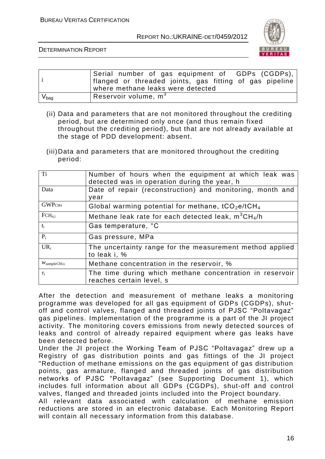

DETERMINATION REPORT

|                  | Serial number of gas equipment of GDPs (CGDPs), <br>flanged or threaded joints, gas fitting of gas pipeline<br>where methane leaks were detected |
|------------------|--------------------------------------------------------------------------------------------------------------------------------------------------|
| $V_{\text{bag}}$ | Reservoir volume, $m3$                                                                                                                           |

- (ii) Data and parameters that are not monitored throughout the crediting period, but are determined only once (and thus remain fixed throughout the crediting period), but that are not already available at the stage of PDD development: absent.
- (iii)Data and parameters that are monitored throughout the crediting period:

| T <sub>i</sub>                                                                     | Number of hours when the equipment at which leak was<br>detected was in operation during the year, h |  |
|------------------------------------------------------------------------------------|------------------------------------------------------------------------------------------------------|--|
| Data                                                                               | Date of repair (reconstruction) and monitoring, month and<br>year                                    |  |
| GWPCH <sub>4</sub>                                                                 | Global warming potential for methane, tCO <sub>2</sub> e/tCH <sub>4</sub>                            |  |
| $FCH_{4,i}$                                                                        | Methane leak rate for each detected leak, $m^3CH_4/h$                                                |  |
| $t_i$                                                                              | Gas temperature, °C                                                                                  |  |
| $P_i$                                                                              | Gas pressure, MPa                                                                                    |  |
| $UR_i$<br>The uncertainty range for the measurement method applied<br>to leak i, % |                                                                                                      |  |
| $W_{sampleCH4,i}$                                                                  | Methane concentration in the reservoir, %                                                            |  |
| $\tau_i$                                                                           | The time during which methane concentration in reservoir<br>reaches certain level, s                 |  |

After the detection and measurement of methane leaks a monitoring programme was developed for all gas equipment of GDPs (CGDPs), shutoff and control valves, flanged and threaded joints of PJSC "Poltavagaz" gas pipelines. Implementation of the programme is a part of the JI project activity. The monitoring covers emissions from newly detected sources of leaks and control of already repaired equipment where gas leaks have been detected before.

Under the JI project the Working Team of PJSC "Poltavagaz" drew up a Registry of gas distribution points and gas fittings of the JI project "Reduction of methane emissions on the gas equipment of gas distribution points, gas armature, flanged and threaded joints of gas distribution networks of PJSC "Poltavagaz" (see Supporting Document 1), which includes full information about all GDPs (CGDPs), shut-off and control valves, flanged and threaded joints included into the Project boundary.

All relevant data associated with calculation of methane emission reductions are stored in an electronic database. Each Monitoring Report will contain all necessary information from this database.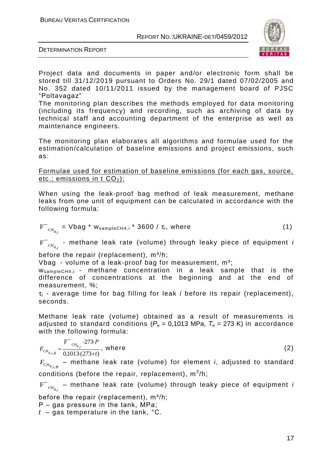

DETERMINATION REPORT

Project data and documents in paper and/or electronic form shall be stored till 31/12/2019 pursuant to Orders No. 29/1 dated 07/02/2005 and No. 352 dated 10/11/2011 issued by the management board of PJSC "Poltavagaz"

The monitoring plan describes the methods employed for data monitoring (including its frequency) and recording, such as archiving of data by technical staff and accounting department of the enterprise as well as maintenance engineers.

The monitoring plan elaborates all algorithms and formulae used for the estimation/calculation of baseline emissions and project emissions, such as:

Formulae used for estimation of baseline emissions (for each gas, source, etc.; emissions in t  $CO<sub>2</sub>$ ):

When using the leak-proof bag method of leak measurement, methane leaks from one unit of equipment can be calculated in accordance with the following formula:

$$
F^{-}_{\text{CH}_{4,i}} = Vbag * w_{sampleCH4,i} * 3600 / \tau_{i}, where
$$
 (1)

 $F^{+}{}_{\textit{CH}_{4,i}}$  - methane leak rate (volume) through leaky piece of equipment *i* 

before the repair (replacement),  $m^3/h$ ;

Vbag - volume of a leak-proof bag for measurement,  $m^3$ ;

 $W_{sampleCH4,i}$  - methane concentration in a leak sample that is the difference of concentrations at the beginning and at the end of measurement, %;

τ<sup>i</sup> - average time for bag filling for leak *i* before its repair (replacement), seconds.

Methane leak rate (volume) obtained as a result of measurements is adjusted to standard conditions ( $P_H$  = 0,1013 MPa,  $T_H$  = 273 K) in accordance with the following formula:

$$
F_{CH_{4,i,B}} = \frac{F^{-}{}_{CH_{4,i}} \cdot 273 \cdot P}{0,1013 \cdot (273+t)}, \text{ where}
$$
 (2)

 $F_{\scriptscriptstyle CH_{4,i,B}}$  – methane leak rate (volume) for element *i*, adjusted to standard conditions (before the repair, replacement),  $\mathsf{m}^{3}\mathsf{/h};$ 

 $F^{+}{}_{\mathrm{CH}_{4,i}}$  – methane leak rate (volume) through leaky piece of equipment *і* 

before the repair (replacement),  $m^3/h$ ;

Р – gas pressure in the tank, МPа;

*t* – gas temperature in the tank, °С.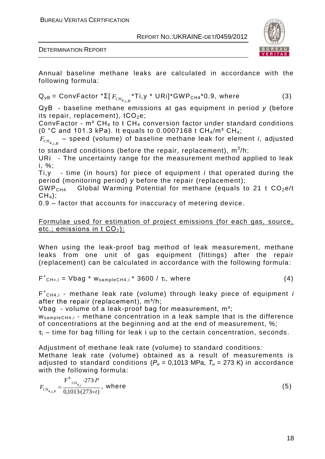BUREAU VERITAS CERTIFICATION

REPORT NO.:UKRAINE-DET/0459/2012



DETERMINATION REPORT

Annual baseline methane leaks are calculated in accordance with the following formula:

 $\mathsf{Q}_{\mathsf{yB}} = \mathsf{ConvFactor}\;^{\ast}\Sigma[\,F_{\mathsf{CH}_{4,i,B}}\,^{\ast}\mathsf{Ti},\mathsf{y}\;^{\ast}\;\mathsf{URi}]^{\ast}\mathsf{GWP}_{\mathsf{CH4}}\,^{\ast}\mathsf{0.9}, \;\mathsf{where}$  (3)

QyВ - baseline methane emissions at gas equipment in period *y* (before its repair, replacement),  $tCO<sub>2</sub>e$ ;

ConvFactor -  $m^3$  CH<sub>4</sub> to t CH<sub>4</sub> conversion factor under standard conditions (0 °C and 101.3 kPa). It equals to 0.0007168 t  $CH_4/m^3$  CH<sub>4</sub>;

 $F_{\scriptscriptstyle{\mathit{CH}_{4,i,B}}}$  – speed (volume) of baseline methane leak for element *i*, adjusted

to standard conditions (before the repair, replacement),  $\mathsf{m}^3\!$ h;

URi - The uncertainty range for the measurement method applied to leak i, %;

Ti,y - time (in hours) for piece of equipment *i* that operated during the period (monitoring period) *y* before the repair (replacement);

 $GWP<sub>CH4</sub>$  Global Warming Potential for methane (equals to 21 t  $CO<sub>2</sub>e/t$  $CH<sub>4</sub>$ :

0.9 – factor that accounts for inaccuracy of metering device.

#### Formulae used for estimation of project emissions (for each gas, source, etc.; emissions in  $t$  CO<sub>2</sub>):

When using the leak-proof bag method of leak measurement, methane leaks from one unit of gas equipment (fittings) after the repair (replacement) can be calculated in accordance with the following formula:

$$
F^+_{CH4,i} = Vbag * w_{sampleCH4,i} * 3600 / \tau_i, where
$$
 (4)

F + CH4,i - methane leak rate (volume) through leaky piece of equipment *і* after the repair (replacement),  $m^3/h$ ;

Vbag - volume of a leak-proof bag for measurement,  $m^3$ ;

WsampleCH4,i - methane concentration in a leak sample that is the difference of concentrations at the beginning and at the end of measurement, %;

 $\tau_i$  – time for bag filling for leak i up to the certain concentration, seconds.

Adjustment of methane leak rate (volume) to standard conditions: Methane leak rate (volume) obtained as a result of measurements is adjusted to standard conditions ( $P_H$  = 0,1013 MPa,  $T_H$  = 273 K) in accordance with the following formula:  $\pm$ 

$$
F_{CH_{4,i,P}} = \frac{F^+_{CH_{4,i}} \cdot 273 \cdot P}{0,1013 \cdot (273 + t)}, \text{ where}
$$
 (5)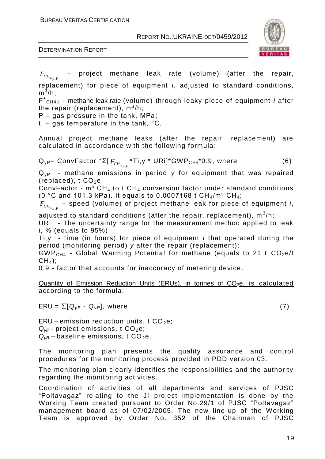BUREAU VERITAS CERTIFICATION

REPORT NO.:UKRAINE-DET/0459/2012





 $F_{CH_{4,i,P}}$ – project methane leak rate (volume) (after the repair, replacement) for piece of equipment *i*, adjusted to standard conditions,  $\mathsf{m}^3$ /h;

F + CH4,i - methane leak rate (volume) through leaky piece of equipment *і* after the repair (replacement), m<sup>3</sup>/h;

Р – gas pressure in the tank, МPа;

t – gas temperature in the tank, °С.

Annual project methane leaks (after the repair, replacement) are calculated in accordance with the following formula:

 ${\sf Q}_{\sf yP}$ = ConvFactor \*Σ[  $F_{\mathit{CH}_{4,j,P}}$  \*Ti,y \* URi]\*GWP<sub>CH4</sub>\*0.9, where  $\qquad \qquad \qquad \qquad \textbf{(6)}$ 

Q<sub>vP</sub> - methane emissions in period y for equipment that was repaired (replaced),  $t CO<sub>2</sub>e$ ;

ConvFactor -  $m^3$  CH<sub>4</sub> to t CH<sub>4</sub> conversion factor under standard conditions (0 °C and 101.3 kPa). It equals to 0.0007168 t  $CH_4/m^3 CH_4$ ;

 $F_{\mathit{CH}_{4,j,P}}$  – speed (volume) of project methane leak for piece of equipment *i*,

adjusted to standard conditions (after the repair, replacement),  $\mathsf{m}^3\!/ \mathsf{h};$ URi - The uncertainty range for the measurement method applied to leak i, % (equals to 95%);

Ti,y - time (in hours) for piece of equipment *i* that operated during the period (monitoring period) *y* after the repair (replacement);

GWP<sub>CH4</sub> - Global Warming Potential for methane (equals to 21 t  $CO<sub>2</sub>e/t$  $CH<sub>4</sub>$ :

0.9 *-* factor that accounts for inaccuracy of metering device .

Quantity of Emission Reduction Units (ERUs), in tonnes of  $CO<sub>2</sub>e$ , is calculated according to the formula:

 $ERU = \sum [Q_{yB} - Q_{yP}],$  where (7)

ERU – emission reduction units, t  $CO<sub>2</sub>e$ ;  $Q_{VP}$  – project emissions, t CO<sub>2</sub>e;  $Q_{VB}$  – baseline emissions, t CO<sub>2</sub>e.

The monitoring plan presents the quality assurance and control procedures for the monitoring process provided in PDD version 03.

The monitoring plan clearly identifies the responsibilities and the authority regarding the monitoring activities.

Coordination of activities of all departments and services of PJSC "Poltavagaz" relating to the JI project implementation is done by the Working Team created pursuant to Order No.29/1 of PJSC "Poltavagaz" management board as of 07/02/2005. The new line-up of the Working Team is approved by Order No. 352 of the Chairman of PJSC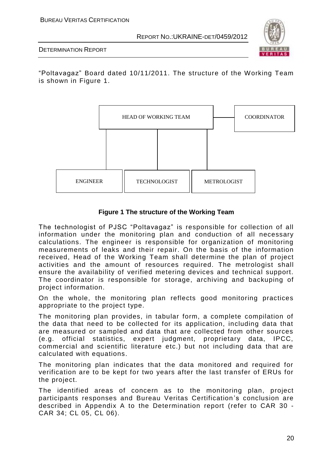

DETERMINATION REPORT

"Poltavagaz" Board dated 10/11/2011. The structure of the Working Team is shown in Figure 1.



#### **Figure 1 The structure of the Working Team**

The technologist of PJSC "Poltavagaz" is responsible for collection of all information under the monitoring plan and conduction of all necessary calculations. The engineer is responsible for organization of monitoring measurements of leaks and their repair. On the basis of the information received, Head of the Working Team shall determine the plan of project activities and the amount of resources required. The metrologist shall ensure the availability of verified metering devices and technical support. The coordinator is responsible for storage, archiving and backuping of project information.

On the whole, the monitoring plan reflects good monitoring practices appropriate to the project type.

The monitoring plan provides, in tabular form, a complete compilation of the data that need to be collected for its application, including data that are measured or sampled and data that are collected from other sources (e.g. official statistics, expert judgment, proprietary data, IPCC, commercial and scientific literature etc.) but not including data that are calculated with equations.

The monitoring plan indicates that the data monitored and required for verification are to be kept for two years after the last transfer of ERUs for the project.

The identified areas of concern as to the monitoring plan, project participants responses and Bureau Veritas Certification 's conclusion are described in Appendix A to the Determination report (refer to CAR 30 - CAR 34; CL 05, CL 06).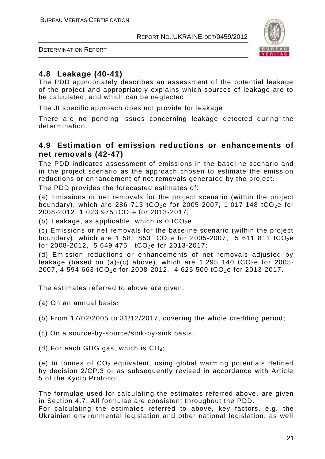



# **4.8 Leakage (40-41)**

The PDD appropriately describes an assessment of the potential leakage of the project and appropriately explains which sources of leakage are to be calculated, and which can be neglected.

The JI specific approach does not provide for leakage.

There are no pending issues concerning leakage detected during the determination.

# **4.9 Estimation of emission reductions or enhancements of net removals (42-47)**

The PDD indicates assessment of emissions in the baseline scenario and in the project scenario as the approach chosen to estimate the emission reductions or enhancement of net removals generated by the project.

The PDD provides the forecasted estimates of:

(a) Emissions or net removals for the project s cenario (within the project boundary), which are 286 713 tCO<sub>2</sub>e for 2005-2007, 1 017 148 tCO<sub>2</sub>e for 2008-2012, 1 023 975 tCO<sub>2</sub>e for 2013-2017;

(b) Leakage, as applicable, which is 0  $tCO<sub>2</sub>e$ ;

(c) Emissions or net removals for the baseline scenario (within the project boundary), which are 1 581 853 tCO<sub>2</sub>e for 2005-2007, 5 611 811 tCO<sub>2</sub>e for 2008-2012, 5 649 475  $tCO<sub>2</sub>e$  for 2013-2017;

(d) Emission reductions or enhancements of net removals adjusted by leakage (based on (a)-(c) above), which are 1 295 140  $tCO<sub>2</sub>e$  for 2005-2007, 4 594 663 tCO<sub>2</sub>e for 2008-2012, 4 625 500 tCO<sub>2</sub>e for 2013-2017.

The estimates referred to above are given:

(a) On an annual basis;

(b) From 17/02/2005 to 31/12/2017, covering the whole crediting period;

- (c) On a source-by-source/sink-by-sink basis;
- (d) For each GHG gas, which is  $CH_4$ ;

(e) In tonnes of  $CO<sub>2</sub>$  equivalent, using global warming potentials defined by decision 2/CP.3 or as subsequently revised in accordance with Article 5 of the Kyoto Protocol.

The formulae used for calculating the estimates referred above, are given in Section 4.7. All formulae are consistent throughout the PDD.

For calculating the estimates referred to above, key factors, e.g. the Ukrainian environmental legislation and other national legislation, as well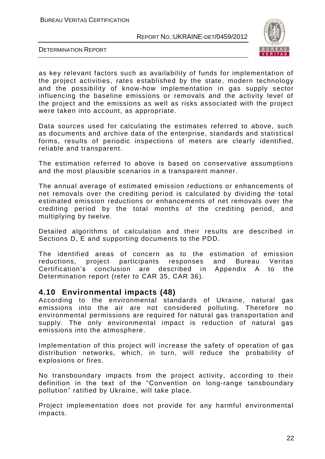



as key relevant factors such as availability of funds for implementation of the project activities, rates established by the state, modern technology and the possibility of know-how implementation in gas supply sector influencing the baseline emissions or removals and the activity level of the project and the emissions as well as risks associated with the project were taken into account, as appropriate.

Data sources used for calculating the estimates referred to above, such as documents and archive data of the enterprise, standards and statistical forms, results of periodic inspections of meters are clearly identified, reliable and transparent.

The estimation referred to above is based on conservative assumptions and the most plausible scenarios in a transparent manner.

The annual average of estimated emission reductions or enhancements of net removals over the crediting period is calculated by dividing the total estimated emission reductions or enhancements of net removals over the crediting period by the total months of the crediting period, and multiplying by twelve.

Detailed algorithms of calculation and their results are described in Sections D, E and supporting documents to the PDD.

The identified areas of concern as to the estimation of emission reductions, project participants responses and Bureau Veritas Certification's conclusion are described in Appendix A to the Determination report (refer to CAR 35, CAR 36).

#### **4.10 Environmental impacts (48)**

According to the environmental standards of Ukraine, natural gas emissions into the air are not considered polluting. Therefore no environmental permissions are required for natural gas transportation and supply. The only environmental impact is reduction of natural gas emissions into the atmosphere.

Implementation of this project will increase the safety of operation of gas distribution networks, which, in turn, will reduce the probability of explosions or fires.

No transboundary impacts from the project activity, according to their definition in the text of the "Convention on long-range tansboundary pollution" ratified by Ukraine, will take place.

Project implementation does not provide for any harmful environmental impacts.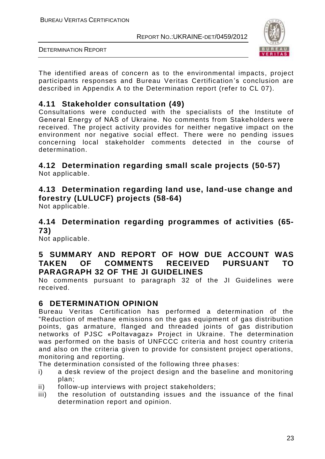

DETERMINATION REPORT

The identified areas of concern as to the environmental impacts, project participants responses and Bureau Veritas Certification 's conclusion are described in Appendix A to the Determination report (refer to CL 07).

# **4.11 Stakeholder consultation (49)**

Consultations were conducted with the specialists of the Institute of General Energy of NАS of Ukraine. No comments from Stakeholders were received. The project activity provides for neither negative impact on the environment nor negative social effect. There were no pending issues concerning local stakeholder comments detected in the course of determination.

# **4.12 Determination regarding small scale projects (50-57)**

Not applicable.

# **4.13 Determination regarding land use, land-use change and forestry (LULUCF) projects (58-64)**

Not applicable.

# **4.14 Determination regarding programmes of activities (65- 73)**

Not applicable.

# **5 SUMMARY AND REPORT OF HOW DUE ACCOUNT WAS TAKEN OF COMMENTS RECEIVED PURSUANT TO PARAGRAPH 32 OF THE JI GUIDELINES**

No comments pursuant to paragraph 32 of the JI Guidelines were received.

# **6 DETERMINATION OPINION**

Bureau Veritas Certification has performed a determination of the "Reduction of methane emissions on the gas equipment of gas distribution points, gas armature, flanged and threaded joints of gas distribution networks of PJSC «Poltavagaz» Project in Ukraine. The determination was performed on the basis of UNFCCC criteria and host country criteria and also on the criteria given to provide for consistent project operations, monitoring and reporting.

The determination consisted of the following three phases:

- i) a desk review of the project design and the baseline and monitoring plan;
- ii) follow-up interviews with project stakeholders;
- iii) the resolution of outstanding issues and the issuance of the final determination report and opinion.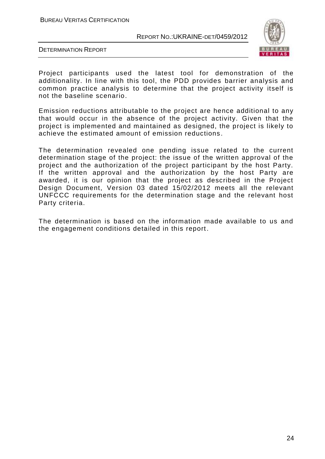BUREAU VERITAS CERTIFICATION

REPORT NO.:UKRAINE-DET/0459/2012



DETERMINATION REPORT

Project participants used the latest tool for demonstration of the additionality. In line with this tool, the PDD provides barrier analysis and common practice analysis to determine that the project activity itself is not the baseline scenario.

Emission reductions attributable to the project are hence additional to any that would occur in the absence of the project activity. Given that the project is implemented and maintained as designed, the project is likely to achieve the estimated amount of emission reductions .

The determination revealed one pending issue related to the current determination stage of the project: the issue of the written approval of the project and the authorization of the project participant by the host Party. If the written approval and the authorization by the host Party are awarded, it is our opinion that the project as described in the Project Design Document, Version 03 dated 15/02/2012 meets all the relevant UNFCCC requirements for the determination stage and the relevant host Party criteria.

The determination is based on the information made available to us and the engagement conditions detailed in this report .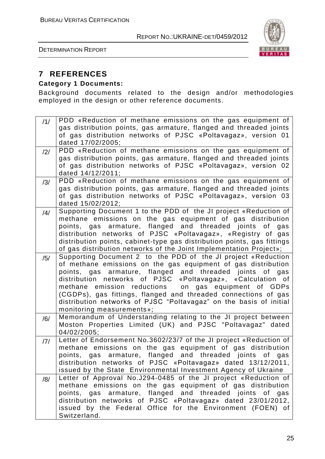DETERMINATION REPORT



# **7 REFERENCES**

#### **Category 1 Documents:**

Background documents related to the design and/or methodologies employed in the design or other reference documents.

| /1/            | PDD «Reduction of methane emissions on the gas equipment of                                                                         |
|----------------|-------------------------------------------------------------------------------------------------------------------------------------|
|                | gas distribution points, gas armature, flanged and threaded joints                                                                  |
|                | of gas distribution networks of PJSC «Poltavagaz», version 01                                                                       |
|                | dated 17/02/2005;                                                                                                                   |
| $\frac{12}{1}$ | PDD «Reduction of methane emissions on the gas equipment of                                                                         |
|                | gas distribution points, gas armature, flanged and threaded joints                                                                  |
|                | of gas distribution networks of PJSC «Poltavagaz», version 02                                                                       |
|                | dated 14/12/2011;                                                                                                                   |
| /3/            | PDD «Reduction of methane emissions on the gas equipment of                                                                         |
|                | gas distribution points, gas armature, flanged and threaded joints<br>of gas distribution networks of PJSC «Poltavagaz», version 03 |
|                | dated 15/02/2012;                                                                                                                   |
|                | Supporting Document 1 to the PDD of the JI project «Reduction of                                                                    |
| /4/            | methane emissions on the gas equipment of gas distribution                                                                          |
|                | points, gas armature, flanged and threaded joints of<br>gas                                                                         |
|                | distribution networks of PJSC «Poltavagaz», «Registry of gas                                                                        |
|                | distribution points, cabinet-type gas distribution points, gas fittings                                                             |
|                | of gas distribution networks of the Joint Implementation Project»;                                                                  |
| /5/            | Supporting Document 2 to the PDD of the JI project «Reduction                                                                       |
|                | of methane emissions on the gas equipment of gas distribution                                                                       |
|                | points, gas armature, flanged and threaded joints of gas                                                                            |
|                | distribution networks of PJSC «Poltavagaz», «Calculation of                                                                         |
|                | methane emission reductions on gas equipment of GDPs                                                                                |
|                | (CGDPs), gas fittings, flanged and threaded connections of gas                                                                      |
|                | distribution networks of PJSC "Poltavagaz" on the basis of initial                                                                  |
|                | monitoring measurements»;<br>Memorandum of Understanding relating to the JI project between                                         |
| /6/            | Moston Properties Limited (UK) and PJSC "Poltavagaz" dated                                                                          |
|                | 04/02/2005;                                                                                                                         |
| 7              | Letter of Endorsement No.3602/23/7 of the JI project «Reduction of                                                                  |
|                | methane emissions on the gas equipment of gas distribution                                                                          |
|                | points, gas armature, flanged and threaded joints of<br>gas                                                                         |
|                | distribution networks of PJSC «Poltavagaz» dated 13/12/2011,                                                                        |
|                | issued by the State Environmental Investment Agency of Ukraine                                                                      |
| /8/            | Letter of Approval No.J294-0485 of the JI project «Reduction of                                                                     |
|                | methane emissions on the gas equipment of gas distribution                                                                          |
|                | points, gas armature, flanged and threaded joints of gas                                                                            |
|                | distribution networks of PJSC «Poltavagaz» dated 23/01/2012,                                                                        |
|                | issued by the Federal Office for the Environment (FOEN) of                                                                          |
|                | Switzerland.                                                                                                                        |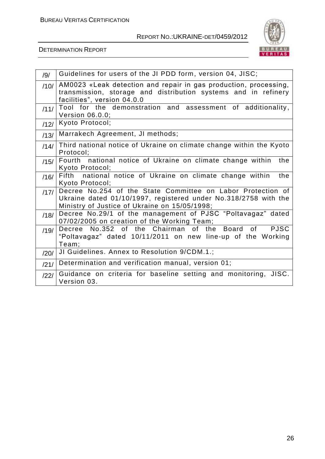

#### DETERMINATION REPORT

| /9/  | Guidelines for users of the JI PDD form, version 04, JISC;                                                                                                                      |
|------|---------------------------------------------------------------------------------------------------------------------------------------------------------------------------------|
| /10/ | AM0023 «Leak detection and repair in gas production, processing,<br>transmission, storage and distribution systems and in refinery<br>facilities", version 04.0.0               |
| /11/ | Tool for the demonstration and assessment of additionality,<br>Version 06.0.0;                                                                                                  |
| /12/ | Kyoto Protocol;                                                                                                                                                                 |
| /13/ | Marrakech Agreement, JI methods;                                                                                                                                                |
| /14/ | Third national notice of Ukraine on climate change within the Kyoto<br>Protocol;                                                                                                |
| /15/ | Fourth national notice of Ukraine on climate change within<br>the<br>Kyoto Protocol;                                                                                            |
| /16/ | national notice of Ukraine on climate change within<br>Fifth<br>the<br>Kyoto Protocol;                                                                                          |
| /17/ | Decree No.254 of the State Committee on Labor Protection of<br>Ukraine dated 01/10/1997, registered under No.318/2758 with the<br>Ministry of Justice of Ukraine on 15/05/1998; |
| /18/ | Decree No.29/1 of the management of PJSC "Poltavagaz" dated<br>07/02/2005 on creation of the Working Team;                                                                      |
| /19/ | Decree No.352 of the Chairman of the<br><b>PJSC</b><br>Board<br>0f<br>"Poltavagaz" dated 10/11/2011 on new line-up of the Working<br>Team;                                      |
| /20/ | JI Guidelines. Annex to Resolution 9/CDM.1.;                                                                                                                                    |
| /21/ | Determination and verification manual, version 01;                                                                                                                              |
| /22/ | Guidance on criteria for baseline setting and monitoring, JISC.<br>Version 03.                                                                                                  |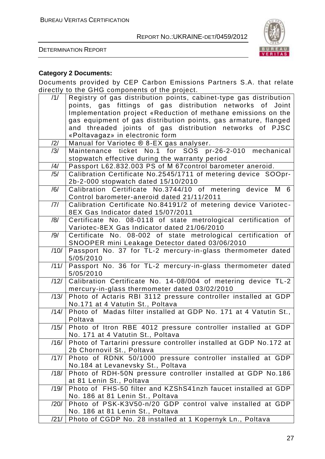

DETERMINATION REPORT

### **Category 2 Documents:**

Documents provided by CEP Carbon Emissions Partners S.A. that relate directly to the GHG components of the project.

| points, gas fittings of gas distribution networks of Joint<br>Implementation project «Reduction of methane emissions on the<br>gas equipment of gas distribution points, gas armature, flanged<br>and threaded joints of gas distribution networks of PJSC<br>«Poltavagaz» in electronic form<br>Manual for Variotec ® 8-EX gas analyser.<br>/2/<br>Maintenance ticket No.1 for SOS pr-26-2-010<br>mechanical<br>/3/<br>stopwatch effective during the warranty period<br>Passport L62.832.003 PS of M 67control barometer aneroid.<br>/4/<br>/5/<br>Calibration Certificate No.2545/1711 of metering device SOOpr-<br>2b-2-000 stopwatch dated 15/10/2010<br>/6/<br>Calibration Certificate No.3744/10 of metering device M 6<br>Control barometer-aneroid dated 21/11/2011 | /1/ | Registry of gas distribution points, cabinet-type gas distribution |  |
|------------------------------------------------------------------------------------------------------------------------------------------------------------------------------------------------------------------------------------------------------------------------------------------------------------------------------------------------------------------------------------------------------------------------------------------------------------------------------------------------------------------------------------------------------------------------------------------------------------------------------------------------------------------------------------------------------------------------------------------------------------------------------|-----|--------------------------------------------------------------------|--|
|                                                                                                                                                                                                                                                                                                                                                                                                                                                                                                                                                                                                                                                                                                                                                                              |     |                                                                    |  |
|                                                                                                                                                                                                                                                                                                                                                                                                                                                                                                                                                                                                                                                                                                                                                                              |     |                                                                    |  |
|                                                                                                                                                                                                                                                                                                                                                                                                                                                                                                                                                                                                                                                                                                                                                                              |     |                                                                    |  |
|                                                                                                                                                                                                                                                                                                                                                                                                                                                                                                                                                                                                                                                                                                                                                                              |     |                                                                    |  |
|                                                                                                                                                                                                                                                                                                                                                                                                                                                                                                                                                                                                                                                                                                                                                                              |     |                                                                    |  |
|                                                                                                                                                                                                                                                                                                                                                                                                                                                                                                                                                                                                                                                                                                                                                                              |     |                                                                    |  |
|                                                                                                                                                                                                                                                                                                                                                                                                                                                                                                                                                                                                                                                                                                                                                                              |     |                                                                    |  |
|                                                                                                                                                                                                                                                                                                                                                                                                                                                                                                                                                                                                                                                                                                                                                                              |     |                                                                    |  |
|                                                                                                                                                                                                                                                                                                                                                                                                                                                                                                                                                                                                                                                                                                                                                                              |     |                                                                    |  |
|                                                                                                                                                                                                                                                                                                                                                                                                                                                                                                                                                                                                                                                                                                                                                                              |     |                                                                    |  |
|                                                                                                                                                                                                                                                                                                                                                                                                                                                                                                                                                                                                                                                                                                                                                                              |     |                                                                    |  |
|                                                                                                                                                                                                                                                                                                                                                                                                                                                                                                                                                                                                                                                                                                                                                                              |     |                                                                    |  |
|                                                                                                                                                                                                                                                                                                                                                                                                                                                                                                                                                                                                                                                                                                                                                                              |     |                                                                    |  |
|                                                                                                                                                                                                                                                                                                                                                                                                                                                                                                                                                                                                                                                                                                                                                                              | /7/ | Calibration Certificate No.84191/2 of metering device Variotec-    |  |
| 8EX Gas Indicator dated 15/07/2011                                                                                                                                                                                                                                                                                                                                                                                                                                                                                                                                                                                                                                                                                                                                           |     |                                                                    |  |
| Certificate No. 08-0118 of state metrological certification of<br>/8/                                                                                                                                                                                                                                                                                                                                                                                                                                                                                                                                                                                                                                                                                                        |     |                                                                    |  |
| Variotec-8EX Gas Indicator dated 21/06/2010                                                                                                                                                                                                                                                                                                                                                                                                                                                                                                                                                                                                                                                                                                                                  |     |                                                                    |  |
| /9/<br>Certificate No. 08-002 of state metrological certification of                                                                                                                                                                                                                                                                                                                                                                                                                                                                                                                                                                                                                                                                                                         |     |                                                                    |  |
| SNOOPER mini Leakage Detector dated 03/06/2010                                                                                                                                                                                                                                                                                                                                                                                                                                                                                                                                                                                                                                                                                                                               |     |                                                                    |  |
| Passport No. 37 for TL-2 mercury-in-glass thermometer dated<br>/10/                                                                                                                                                                                                                                                                                                                                                                                                                                                                                                                                                                                                                                                                                                          |     |                                                                    |  |
| 5/05/2010                                                                                                                                                                                                                                                                                                                                                                                                                                                                                                                                                                                                                                                                                                                                                                    |     |                                                                    |  |
| Passport No. 36 for TL-2 mercury-in-glass thermometer dated<br>/11/                                                                                                                                                                                                                                                                                                                                                                                                                                                                                                                                                                                                                                                                                                          |     |                                                                    |  |
| 5/05/2010                                                                                                                                                                                                                                                                                                                                                                                                                                                                                                                                                                                                                                                                                                                                                                    |     |                                                                    |  |
| Calibration Certificate No. 14-08/004 of metering device TL-2<br>/12/                                                                                                                                                                                                                                                                                                                                                                                                                                                                                                                                                                                                                                                                                                        |     |                                                                    |  |
| mercury-in-glass thermometer dated 03/02/2010                                                                                                                                                                                                                                                                                                                                                                                                                                                                                                                                                                                                                                                                                                                                |     |                                                                    |  |
| Photo of Actaris RBI 3112 pressure controller installed at GDP<br>/13/                                                                                                                                                                                                                                                                                                                                                                                                                                                                                                                                                                                                                                                                                                       |     |                                                                    |  |
| No.171 at 4 Vatutin St., Poltava                                                                                                                                                                                                                                                                                                                                                                                                                                                                                                                                                                                                                                                                                                                                             |     |                                                                    |  |
| Photo of Madas filter installed at GDP No. 171 at 4 Vatutin St.,<br>/14/<br>Poltava                                                                                                                                                                                                                                                                                                                                                                                                                                                                                                                                                                                                                                                                                          |     |                                                                    |  |
| Photo of Itron RBE 4012 pressure controller installed at GDP<br>/15/                                                                                                                                                                                                                                                                                                                                                                                                                                                                                                                                                                                                                                                                                                         |     |                                                                    |  |
| No. 171 at 4 Vatutin St., Poltava                                                                                                                                                                                                                                                                                                                                                                                                                                                                                                                                                                                                                                                                                                                                            |     |                                                                    |  |
| Photo of Tartarini pressure controller installed at GDP No.172 at<br>/16/                                                                                                                                                                                                                                                                                                                                                                                                                                                                                                                                                                                                                                                                                                    |     |                                                                    |  |
| 2b Chornovil St., Poltava                                                                                                                                                                                                                                                                                                                                                                                                                                                                                                                                                                                                                                                                                                                                                    |     |                                                                    |  |
| Photo of RDNK 50/1000 pressure controller installed at GDP<br>/17/                                                                                                                                                                                                                                                                                                                                                                                                                                                                                                                                                                                                                                                                                                           |     |                                                                    |  |
| No.184 at Levanevsky St., Poltava                                                                                                                                                                                                                                                                                                                                                                                                                                                                                                                                                                                                                                                                                                                                            |     |                                                                    |  |
| Photo of RDH-50N pressure controller installed at GDP No.186<br>/18/                                                                                                                                                                                                                                                                                                                                                                                                                                                                                                                                                                                                                                                                                                         |     |                                                                    |  |
| at 81 Lenin St., Poltava                                                                                                                                                                                                                                                                                                                                                                                                                                                                                                                                                                                                                                                                                                                                                     |     |                                                                    |  |
| Photo of FHS-50 filter and KZShS41nzh faucet installed at GDP<br>/19/                                                                                                                                                                                                                                                                                                                                                                                                                                                                                                                                                                                                                                                                                                        |     |                                                                    |  |
| No. 186 at 81 Lenin St., Poltava                                                                                                                                                                                                                                                                                                                                                                                                                                                                                                                                                                                                                                                                                                                                             |     |                                                                    |  |
| Photo of PSK-K3V50-n/20 GDP control valve installed at GDP<br>/20/                                                                                                                                                                                                                                                                                                                                                                                                                                                                                                                                                                                                                                                                                                           |     |                                                                    |  |
| No. 186 at 81 Lenin St., Poltava                                                                                                                                                                                                                                                                                                                                                                                                                                                                                                                                                                                                                                                                                                                                             |     |                                                                    |  |
| Photo of CGDP No. 28 installed at 1 Kopernyk Ln., Poltava<br>/21/                                                                                                                                                                                                                                                                                                                                                                                                                                                                                                                                                                                                                                                                                                            |     |                                                                    |  |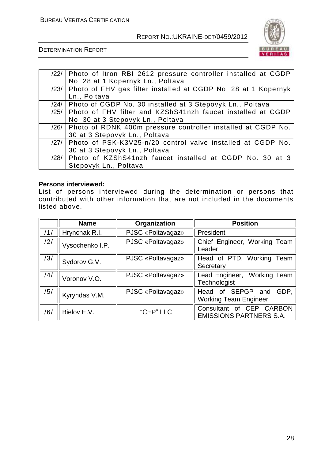

DETERMINATION REPORT

|      | /22/   Photo of Itron RBI 2612 pressure controller installed at CGDP |  |  |  |
|------|----------------------------------------------------------------------|--|--|--|
|      | No. 28 at 1 Kopernyk Ln., Poltava                                    |  |  |  |
| /23/ | Photo of FHV gas filter installed at CGDP No. 28 at 1 Kopernyk       |  |  |  |
|      | Ln., Poltava                                                         |  |  |  |
| /24/ | Photo of CGDP No. 30 installed at 3 Stepovyk Ln., Poltava            |  |  |  |
| /25/ | Photo of FHV filter and KZShS41nzh faucet installed at CGDP          |  |  |  |
|      | No. 30 at 3 Stepovyk Ln., Poltava                                    |  |  |  |
| /26/ | Photo of RDNK 400m pressure controller installed at CGDP No.         |  |  |  |
|      | 30 at 3 Stepovyk Ln., Poltava                                        |  |  |  |
| /27/ | Photo of PSK-K3V25-n/20 control valve installed at CGDP No.          |  |  |  |
|      | 30 at 3 Stepovyk Ln., Poltava                                        |  |  |  |
| /28/ | Photo of KZShS41nzh faucet installed at CGDP No. 30 at 3             |  |  |  |
|      | Stepovyk Ln., Poltava                                                |  |  |  |

#### **Persons interviewed:**

List of persons interviewed during the determination or persons that contributed with other information that are not included in the documents listed above.

|     | <b>Name</b>     | Organization      | <b>Position</b>                                            |
|-----|-----------------|-------------------|------------------------------------------------------------|
| /1/ | Hrynchak R.I.   | PJSC «Poltavagaz» | President                                                  |
| /2/ | Vysochenko I.P. | PJSC «Poltavagaz» | Chief Engineer, Working Team<br>Leader                     |
| /3/ | Sydorov G.V.    | PJSC «Poltavagaz» | Head of PTD, Working Team<br>Secretary                     |
| /4/ | Voronov V.O.    | PJSC «Poltavagaz» | Lead Engineer, Working Team<br>Technologist                |
| /5/ | Kyryndas V.M.   | PJSC «Poltavagaz» | Head of SEPGP and<br>GDP.<br><b>Working Team Engineer</b>  |
| /6/ | Bielov E.V.     | "CEP" LLC         | Consultant of CEP CARBON<br><b>EMISSIONS PARTNERS S.A.</b> |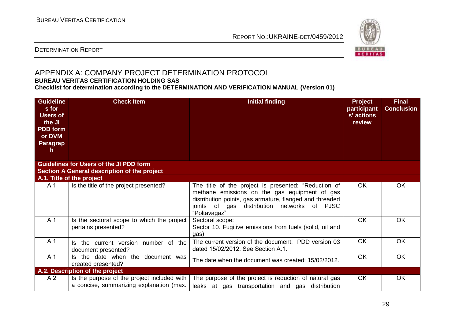

#### DETERMINATION REPORT

#### APPENDIX A: COMPANY PROJECT DETERMINATION PROTOCOL **BUREAU VERITAS CERTIFICATION HOLDING SAS**

**Checklist for determination according to the DETERMINATION AND VERIFICATION MANUAL (Version 01)**

| <b>Guideline</b><br>s for<br><b>Users of</b><br>the JI<br><b>PDD</b> form<br>or DVM<br><b>Paragrap</b><br>h | <b>Check Item</b>                                                                              | <b>Initial finding</b>                                                                                                                                                                                                                              | <b>Project</b><br>participant<br>s' actions<br>review | <b>Final</b><br><b>Conclusion</b> |
|-------------------------------------------------------------------------------------------------------------|------------------------------------------------------------------------------------------------|-----------------------------------------------------------------------------------------------------------------------------------------------------------------------------------------------------------------------------------------------------|-------------------------------------------------------|-----------------------------------|
|                                                                                                             | <b>Guidelines for Users of the JI PDD form</b><br>Section A General description of the project |                                                                                                                                                                                                                                                     |                                                       |                                   |
|                                                                                                             | A.1. Title of the project                                                                      |                                                                                                                                                                                                                                                     |                                                       |                                   |
| A.1                                                                                                         | Is the title of the project presented?                                                         | The title of the project is presented: "Reduction of<br>methane emissions on the gas equipment of gas<br>distribution points, gas armature, flanged and threaded<br>joints of gas<br><b>PJSC</b><br>distribution<br>networks<br>of<br>"Poltavagaz". | OK.                                                   | <b>OK</b>                         |
| A.1                                                                                                         | Is the sectoral scope to which the project<br>pertains presented?                              | Sectoral scope:<br>Sector 10. Fugitive emissions from fuels (solid, oil and<br>gas).                                                                                                                                                                | <b>OK</b>                                             | OK.                               |
| A.1                                                                                                         | Is the current version number of the<br>document presented?                                    | The current version of the document: PDD version 03<br>dated 15/02/2012. See Section A.1.                                                                                                                                                           | <b>OK</b>                                             | <b>OK</b>                         |
| A.1                                                                                                         | Is the date when the document was<br>created presented?                                        | The date when the document was created: 15/02/2012.                                                                                                                                                                                                 | <b>OK</b>                                             | <b>OK</b>                         |
|                                                                                                             | A.2. Description of the project                                                                |                                                                                                                                                                                                                                                     |                                                       |                                   |
| A.2                                                                                                         | Is the purpose of the project included with<br>a concise, summarizing explanation (max.        | The purpose of the project is reduction of natural gas<br>leaks at gas transportation and gas distribution                                                                                                                                          | OK.                                                   | <b>OK</b>                         |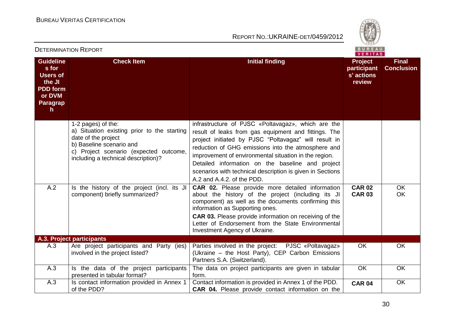

| LI LINIIINA HON INLI ON I<br>VERITAS                                                                         |                                                                                                                                                                                                       |                                                                                                                                                                                                                                                                                                                                                                                                                                   |                                                       |                                   |
|--------------------------------------------------------------------------------------------------------------|-------------------------------------------------------------------------------------------------------------------------------------------------------------------------------------------------------|-----------------------------------------------------------------------------------------------------------------------------------------------------------------------------------------------------------------------------------------------------------------------------------------------------------------------------------------------------------------------------------------------------------------------------------|-------------------------------------------------------|-----------------------------------|
| <b>Guideline</b><br>s for<br><b>Users of</b><br>the JI<br><b>PDD</b> form<br>or DVM<br><b>Paragrap</b><br>h. | <b>Check Item</b>                                                                                                                                                                                     | <b>Initial finding</b>                                                                                                                                                                                                                                                                                                                                                                                                            | <b>Project</b><br>participant<br>s' actions<br>review | <b>Final</b><br><b>Conclusion</b> |
|                                                                                                              | 1-2 pages) of the:<br>a) Situation existing prior to the starting<br>date of the project<br>b) Baseline scenario and<br>c) Project scenario (expected outcome,<br>including a technical description)? | infrastructure of PJSC «Poltavagaz», which are the<br>result of leaks from gas equipment and fittings. The<br>project initiated by PJSC "Poltavagaz" will result in<br>reduction of GHG emissions into the atmosphere and<br>improvement of environmental situation in the region.<br>Detailed information on the baseline and project<br>scenarios with technical description is given in Sections<br>A.2 and A.4.2. of the PDD. |                                                       |                                   |
| A.2                                                                                                          | Is the history of the project (incl. its JI<br>component) briefly summarized?                                                                                                                         | <b>CAR 02.</b> Please provide more detailed information<br>about the history of the project (including its JI<br>component) as well as the documents confirming this<br>information as Supporting ones.<br>CAR 03. Please provide information on receiving of the<br>Letter of Endorsement from the State Environmental<br>Investment Agency of Ukraine.                                                                          | <b>CAR 02</b><br><b>CAR 03</b>                        | OK<br>OK                          |
|                                                                                                              | A.3. Project participants                                                                                                                                                                             |                                                                                                                                                                                                                                                                                                                                                                                                                                   |                                                       |                                   |
| A.3                                                                                                          | Are project participants and Party (ies)<br>involved in the project listed?                                                                                                                           | Parties involved in the project: PJSC «Poltavagaz»<br>(Ukraine – the Host Party), CEP Carbon Emissions<br>Partners S.A. (Switzerland).                                                                                                                                                                                                                                                                                            | OK                                                    | OK                                |
| A.3                                                                                                          | Is the data of the project participants<br>presented in tabular format?                                                                                                                               | The data on project participants are given in tabular<br>form.                                                                                                                                                                                                                                                                                                                                                                    | OK                                                    | OK                                |
| A.3                                                                                                          | Is contact information provided in Annex 1<br>of the PDD?                                                                                                                                             | Contact information is provided in Annex 1 of the PDD.<br><b>CAR 04.</b> Please provide contact information on the                                                                                                                                                                                                                                                                                                                | <b>CAR 04</b>                                         | OK                                |

#### DETERMINATION REPORT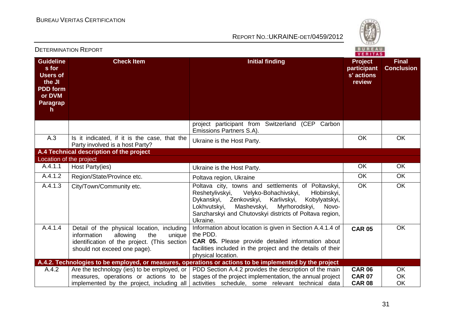

| 26 I 61 VIII VA HUI I VA HULL<br>VERITAS                                                                     |                                                                                                                                                                        |                                                                                                                                                                                                                                                                                                           |                                                       |                                   |
|--------------------------------------------------------------------------------------------------------------|------------------------------------------------------------------------------------------------------------------------------------------------------------------------|-----------------------------------------------------------------------------------------------------------------------------------------------------------------------------------------------------------------------------------------------------------------------------------------------------------|-------------------------------------------------------|-----------------------------------|
| <b>Guideline</b><br>s for<br><b>Users of</b><br>the JI<br><b>PDD</b> form<br>or DVM<br><b>Paragrap</b><br>h. | <b>Check Item</b>                                                                                                                                                      | <b>Initial finding</b>                                                                                                                                                                                                                                                                                    | <b>Project</b><br>participant<br>s' actions<br>review | <b>Final</b><br><b>Conclusion</b> |
|                                                                                                              |                                                                                                                                                                        | project participant from Switzerland (CEP Carbon<br>Emissions Partners S.A).                                                                                                                                                                                                                              |                                                       |                                   |
| A.3                                                                                                          | Is it indicated, if it is the case, that the<br>Party involved is a host Party?                                                                                        | Ukraine is the Host Party.                                                                                                                                                                                                                                                                                | <b>OK</b>                                             | <b>OK</b>                         |
|                                                                                                              | A.4 Technical description of the project                                                                                                                               |                                                                                                                                                                                                                                                                                                           |                                                       |                                   |
| Location of the project                                                                                      |                                                                                                                                                                        |                                                                                                                                                                                                                                                                                                           |                                                       |                                   |
| A.4.1.1                                                                                                      | Host Party(ies)                                                                                                                                                        | Ukraine is the Host Party.                                                                                                                                                                                                                                                                                | <b>OK</b>                                             | <b>OK</b>                         |
| A.4.1.2                                                                                                      | Region/State/Province etc.                                                                                                                                             | Poltava region, Ukraine                                                                                                                                                                                                                                                                                   | <b>OK</b>                                             | <b>OK</b>                         |
| A.4.1.3                                                                                                      | City/Town/Community etc.                                                                                                                                               | Poltava city, towns and settlements of Poltavskyi,<br>Reshetylivskyi,<br>Velyko-Bohachivskyi,<br>Hlobinskyi,<br>Dykanskyi,<br>Zenkovskyi,<br>Karlivskyi,<br>Kobylyatskyi,<br>Mashevskyi,<br>Myrhorodskyi,<br>Lokhvutskyi,<br>Novo-<br>Sanzharskyi and Chutovskyi districts of Poltava region,<br>Ukraine. | <b>OK</b>                                             | <b>OK</b>                         |
| A.4.1.4                                                                                                      | Detail of the physical location, including<br>information<br>allowing<br>the<br>unique<br>identification of the project. (This section<br>should not exceed one page). | Information about location is given in Section A.4.1.4 of<br>the PDD.<br>CAR 05. Please provide detailed information about<br>facilities included in the project and the details of their<br>physical location.                                                                                           | <b>CAR 05</b>                                         | <b>OK</b>                         |
|                                                                                                              |                                                                                                                                                                        | A.4.2. Technologies to be employed, or measures, operations or actions to be implemented by the project                                                                                                                                                                                                   |                                                       |                                   |
| A.4.2                                                                                                        | Are the technology (ies) to be employed, or                                                                                                                            | PDD Section A.4.2 provides the description of the main                                                                                                                                                                                                                                                    | <b>CAR 06</b>                                         | <b>OK</b>                         |
|                                                                                                              | measures, operations or actions to be<br>implemented by the project, including all                                                                                     | stages of the project implementation, the annual project<br>activities schedule, some relevant technical data                                                                                                                                                                                             | <b>CAR 07</b><br><b>CAR 08</b>                        | OK<br>OK                          |
|                                                                                                              |                                                                                                                                                                        |                                                                                                                                                                                                                                                                                                           |                                                       |                                   |

#### DETERMINATION REPORT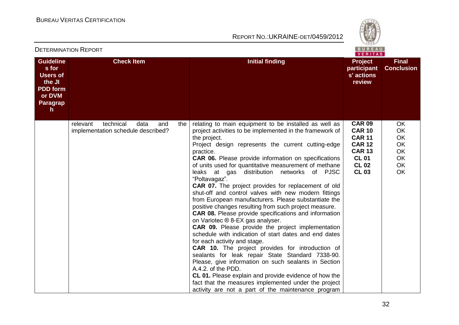

| <b>DETERMINATION REPORT</b> |  |
|-----------------------------|--|
|                             |  |

**Guideline**

| <b>Guideline</b><br>s for<br><b>Users of</b><br>the JI<br><b>PDD form</b><br>or DVM<br>Paragrap<br>h | <b>Check Item</b>                                                          |     | <b>Initial finding</b>                                                                                                                                                                                                                                                                                                                                                                                                                                                                                                                                                                                                                                                                                                                                                                                                                                                                                                                                                                                                                                                                                                                                                                                                                            | <b>Project</b><br>participant<br>s' actions<br>review                                                                             | <b>Final</b><br><b>Conclusion</b>                                                             |
|------------------------------------------------------------------------------------------------------|----------------------------------------------------------------------------|-----|---------------------------------------------------------------------------------------------------------------------------------------------------------------------------------------------------------------------------------------------------------------------------------------------------------------------------------------------------------------------------------------------------------------------------------------------------------------------------------------------------------------------------------------------------------------------------------------------------------------------------------------------------------------------------------------------------------------------------------------------------------------------------------------------------------------------------------------------------------------------------------------------------------------------------------------------------------------------------------------------------------------------------------------------------------------------------------------------------------------------------------------------------------------------------------------------------------------------------------------------------|-----------------------------------------------------------------------------------------------------------------------------------|-----------------------------------------------------------------------------------------------|
|                                                                                                      | relevant<br>technical<br>data<br>and<br>implementation schedule described? | the | relating to main equipment to be installed as well as<br>project activities to be implemented in the framework of<br>the project.<br>Project design represents the current cutting-edge<br>practice.<br><b>CAR 06.</b> Please provide information on specifications<br>of units used for quantitative measurement of methane<br>leaks at gas distribution networks of PJSC<br>"Poltavagaz".<br>CAR 07. The project provides for replacement of old<br>shut-off and control valves with new modern fittings<br>from European manufacturers. Please substantiate the<br>positive changes resulting from such project measure.<br><b>CAR 08.</b> Please provide specifications and information<br>on Variotec ® 8-EX gas analyser.<br><b>CAR 09.</b> Please provide the project implementation<br>schedule with indication of start dates and end dates<br>for each activity and stage.<br>CAR 10. The project provides for introduction of<br>sealants for leak repair State Standard 7338-90.<br>Please, give information on such sealants in Section<br>A.4.2. of the PDD.<br>CL 01. Please explain and provide evidence of how the<br>fact that the measures implemented under the project<br>activity are not a part of the maintenance program | <b>CAR 09</b><br><b>CAR 10</b><br><b>CAR 11</b><br><b>CAR 12</b><br><b>CAR 13</b><br><b>CL 01</b><br><b>CL 02</b><br><b>CL 03</b> | <b>OK</b><br><b>OK</b><br><b>OK</b><br><b>OK</b><br>OK<br><b>OK</b><br><b>OK</b><br><b>OK</b> |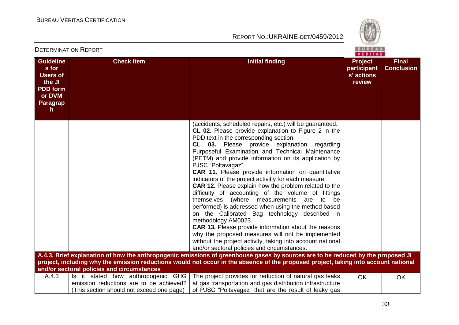

|                                                                                                              |                                                                                                                            |                                                                                                                                                                                                                                                                                                                                                                                                                                                                                                                                                                                                                                                                                                                                                                                                                                                                                                                                                                                                 | VERITAS                                               |                                   |
|--------------------------------------------------------------------------------------------------------------|----------------------------------------------------------------------------------------------------------------------------|-------------------------------------------------------------------------------------------------------------------------------------------------------------------------------------------------------------------------------------------------------------------------------------------------------------------------------------------------------------------------------------------------------------------------------------------------------------------------------------------------------------------------------------------------------------------------------------------------------------------------------------------------------------------------------------------------------------------------------------------------------------------------------------------------------------------------------------------------------------------------------------------------------------------------------------------------------------------------------------------------|-------------------------------------------------------|-----------------------------------|
| <b>Guideline</b><br>s for<br><b>Users of</b><br>the JI<br><b>PDD form</b><br>or DVM<br><b>Paragrap</b><br>h. | <b>Check Item</b>                                                                                                          | <b>Initial finding</b>                                                                                                                                                                                                                                                                                                                                                                                                                                                                                                                                                                                                                                                                                                                                                                                                                                                                                                                                                                          | <b>Project</b><br>participant<br>s' actions<br>review | <b>Final</b><br><b>Conclusion</b> |
|                                                                                                              |                                                                                                                            | (accidents, scheduled repairs, etc.) will be guaranteed.<br><b>CL 02.</b> Please provide explanation to Figure 2 in the<br>PDD text in the corresponding section.<br>CL 03. Please provide explanation regarding<br>Purposeful Examination and Technical Maintenance<br>(PETM) and provide information on its application by<br>PJSC "Poltavagaz".<br>CAR 11. Please provide information on quantitative<br>indicators of the project activitiy for each measure.<br>CAR 12. Please explain how the problem related to the<br>difficulty of accounting of the volume of fittings<br>themselves (where measurements are to<br>be<br>performed) is addressed when using the method based<br>on the Calibrated Bag technology described in<br>methodology AM0023.<br><b>CAR 13.</b> Please provide information about the reasons<br>why the proposed measures will not be implemented<br>without the project activity, taking into account national<br>and/or sectoral policies and circumstances. |                                                       |                                   |
|                                                                                                              | and/or sectoral policies and circumstances                                                                                 | A.4.3. Brief explanation of how the anthropogenic emissions of greenhouse gases by sources are to be reduced by the proposed JI<br>project, including why the emission reductions would not occur in the absence of the proposed project, taking into account national                                                                                                                                                                                                                                                                                                                                                                                                                                                                                                                                                                                                                                                                                                                          |                                                       |                                   |
| A.4.3                                                                                                        | Is it stated how anthropogenic GHG<br>emission reductions are to be achieved?<br>(This section should not exceed one page) | The project provides for reduction of natural gas leaks<br>at gas transportation and gas distribution infrastructure<br>of PJSC "Poltavagaz" that are the result of leaky gas                                                                                                                                                                                                                                                                                                                                                                                                                                                                                                                                                                                                                                                                                                                                                                                                                   | OK                                                    | OK                                |

#### DETERMINATION REPORT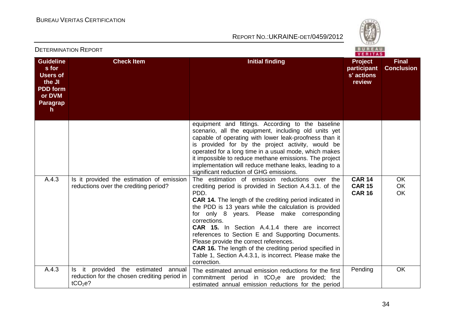

|                                                                                                                        |                                                                                                  |                                                                                                                                                                                                                                                                                                                                                                                                                                                                                                                                                                                                                 | <b>VERITAS</b>                                        |                                   |
|------------------------------------------------------------------------------------------------------------------------|--------------------------------------------------------------------------------------------------|-----------------------------------------------------------------------------------------------------------------------------------------------------------------------------------------------------------------------------------------------------------------------------------------------------------------------------------------------------------------------------------------------------------------------------------------------------------------------------------------------------------------------------------------------------------------------------------------------------------------|-------------------------------------------------------|-----------------------------------|
| <b>Guideline</b><br>s for<br><b>Users of</b><br>the JI<br><b>PDD</b> form<br>or DVM<br><b>Paragrap</b><br>$\mathsf{h}$ | <b>Check Item</b>                                                                                | <b>Initial finding</b>                                                                                                                                                                                                                                                                                                                                                                                                                                                                                                                                                                                          | <b>Project</b><br>participant<br>s' actions<br>review | <b>Final</b><br><b>Conclusion</b> |
|                                                                                                                        |                                                                                                  | equipment and fittings. According to the baseline<br>scenario, all the equipment, including old units yet<br>capable of operating with lower leak-proofness than it<br>is provided for by the project activity, would be<br>operated for a long time in a usual mode, which makes<br>it impossible to reduce methane emissions. The project<br>implementation will reduce methane leaks, leading to a<br>significant reduction of GHG emissions.                                                                                                                                                                |                                                       |                                   |
| A.4.3                                                                                                                  | Is it provided the estimation of emission<br>reductions over the crediting period?               | The estimation of emission reductions over the<br>crediting period is provided in Section A.4.3.1. of the<br>PDD.<br><b>CAR 14.</b> The length of the crediting period indicated in<br>the PDD is 13 years while the calculation is provided<br>for only 8 years. Please make corresponding<br>corrections.<br><b>CAR 15.</b> In Section A.4.1.4 there are incorrect<br>references to Section E and Supporting Documents.<br>Please provide the correct references.<br><b>CAR 16.</b> The length of the crediting period specified in<br>Table 1, Section A.4.3.1, is incorrect. Please make the<br>correction. | <b>CAR 14</b><br><b>CAR 15</b><br><b>CAR 16</b>       | OK<br>OK<br>OK                    |
| A.4.3                                                                                                                  | Is it provided the estimated annual<br>reduction for the chosen crediting period in<br>$tCO2e$ ? | The estimated annual emission reductions for the first<br>commitment period in $tCO2e$ are provided; the<br>estimated annual emission reductions for the period                                                                                                                                                                                                                                                                                                                                                                                                                                                 | Pending                                               | OK                                |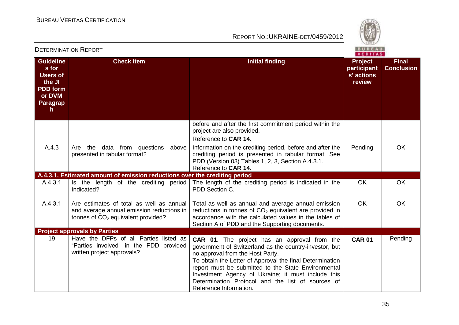

|                                                                                                              |                                                                                                                               | VERITAS                                                                                                                                                                                                                                                                                                                                                                                                   |                                                       |                                   |  |
|--------------------------------------------------------------------------------------------------------------|-------------------------------------------------------------------------------------------------------------------------------|-----------------------------------------------------------------------------------------------------------------------------------------------------------------------------------------------------------------------------------------------------------------------------------------------------------------------------------------------------------------------------------------------------------|-------------------------------------------------------|-----------------------------------|--|
| <b>Guideline</b><br>s for<br><b>Users of</b><br>the JI<br><b>PDD</b> form<br>or DVM<br><b>Paragrap</b><br>h. | <b>Check Item</b>                                                                                                             | <b>Initial finding</b>                                                                                                                                                                                                                                                                                                                                                                                    | <b>Project</b><br>participant<br>s' actions<br>review | <b>Final</b><br><b>Conclusion</b> |  |
|                                                                                                              |                                                                                                                               | before and after the first commitment period within the<br>project are also provided.<br>Reference to CAR 14.                                                                                                                                                                                                                                                                                             |                                                       |                                   |  |
| A.4.3                                                                                                        | Are the data from questions<br>above<br>presented in tabular format?                                                          | Information on the crediting period, before and after the<br>crediting period is presented in tabular format. See<br>PDD (Version 03) Tables 1, 2, 3, Section A.4.3.1.<br>Reference to CAR 14.                                                                                                                                                                                                            | Pending                                               | OK                                |  |
|                                                                                                              | A.4.3.1. Estimated amount of emission reductions over the crediting period                                                    |                                                                                                                                                                                                                                                                                                                                                                                                           |                                                       |                                   |  |
| A.4.3.1                                                                                                      | Is the length of the crediting period<br>Indicated?                                                                           | The length of the crediting period is indicated in the<br>PDD Section C.                                                                                                                                                                                                                                                                                                                                  | <b>OK</b>                                             | OK                                |  |
| A.4.3.1                                                                                                      | Are estimates of total as well as annual<br>and average annual emission reductions in<br>tonnes of $CO2$ equivalent provided? | Total as well as annual and average annual emission<br>reductions in tonnes of $CO2$ equivalent are provided in<br>accordance with the calculated values in the tables of<br>Section A of PDD and the Supporting documents.                                                                                                                                                                               | OK                                                    | OK                                |  |
|                                                                                                              | <b>Project approvals by Parties</b>                                                                                           |                                                                                                                                                                                                                                                                                                                                                                                                           |                                                       |                                   |  |
| 19                                                                                                           | Have the DFPs of all Parties listed as<br>"Parties involved" in the PDD provided<br>written project approvals?                | <b>CAR 01.</b> The project has an approval from the<br>government of Switzerland as the country-investor, but<br>no approval from the Host Party.<br>To obtain the Letter of Approval the final Determination<br>report must be submitted to the State Environmental<br>Investment Agency of Ukraine; it must include this<br>Determination Protocol and the list of sources of<br>Reference Information. | <b>CAR 01</b>                                         | Pending                           |  |

#### DETERMINATION REPORT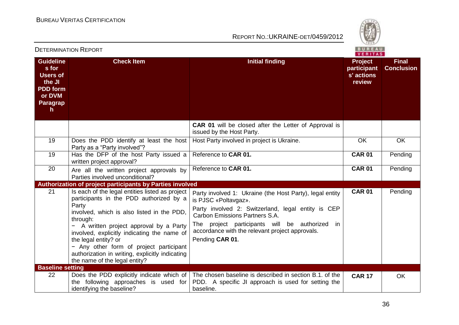

|                                                                                                              |                                                                                                                                                                                                                                                                                                                                                                                                                |                                                                                                                                                                                                                                                                                                  | VERITAS                                               |                                   |
|--------------------------------------------------------------------------------------------------------------|----------------------------------------------------------------------------------------------------------------------------------------------------------------------------------------------------------------------------------------------------------------------------------------------------------------------------------------------------------------------------------------------------------------|--------------------------------------------------------------------------------------------------------------------------------------------------------------------------------------------------------------------------------------------------------------------------------------------------|-------------------------------------------------------|-----------------------------------|
| <b>Guideline</b><br>s for<br><b>Users of</b><br>the JI<br><b>PDD</b> form<br>or DVM<br><b>Paragrap</b><br>h. | <b>Check Item</b>                                                                                                                                                                                                                                                                                                                                                                                              | <b>Initial finding</b>                                                                                                                                                                                                                                                                           | <b>Project</b><br>participant<br>s' actions<br>review | <b>Final</b><br><b>Conclusion</b> |
|                                                                                                              |                                                                                                                                                                                                                                                                                                                                                                                                                | <b>CAR 01</b> will be closed after the Letter of Approval is<br>issued by the Host Party.                                                                                                                                                                                                        |                                                       |                                   |
| 19                                                                                                           | Does the PDD identify at least the host<br>Party as a "Party involved"?                                                                                                                                                                                                                                                                                                                                        | Host Party involved in project is Ukraine.                                                                                                                                                                                                                                                       | OK                                                    | <b>OK</b>                         |
| 19                                                                                                           | Has the DFP of the host Party issued a<br>written project approval?                                                                                                                                                                                                                                                                                                                                            | Reference to CAR 01.                                                                                                                                                                                                                                                                             | <b>CAR 01</b>                                         | Pending                           |
| 20                                                                                                           | Are all the written project approvals by<br>Parties involved unconditional?                                                                                                                                                                                                                                                                                                                                    | Reference to CAR 01.                                                                                                                                                                                                                                                                             | <b>CAR 01</b>                                         | Pending                           |
|                                                                                                              | Authorization of project participants by Parties involved                                                                                                                                                                                                                                                                                                                                                      |                                                                                                                                                                                                                                                                                                  |                                                       |                                   |
| 21                                                                                                           | Is each of the legal entities listed as project<br>participants in the PDD authorized by a<br>Party<br>involved, which is also listed in the PDD,<br>through:<br>- A written project approval by a Party<br>involved, explicitly indicating the name of<br>the legal entity? or<br>- Any other form of project participant<br>authorization in writing, explicitly indicating<br>the name of the legal entity? | Party involved 1: Ukraine (the Host Party), legal entity<br>is PJSC «Poltavgaz».<br>Party involved 2: Switzerland, legal entity is CEP<br>Carbon Emissions Partners S.A.<br>The project participants will be authorized in<br>accordance with the relevant project approvals.<br>Pending CAR 01. | <b>CAR 01</b>                                         | Pending                           |
| <b>Baseline setting</b>                                                                                      |                                                                                                                                                                                                                                                                                                                                                                                                                |                                                                                                                                                                                                                                                                                                  |                                                       |                                   |
| 22                                                                                                           | Does the PDD explicitly indicate which of<br>the following approaches is used for<br>identifying the baseline?                                                                                                                                                                                                                                                                                                 | The chosen baseline is described in section B.1. of the<br>PDD. A specific JI approach is used for setting the<br>baseline.                                                                                                                                                                      | <b>CAR 17</b>                                         | <b>OK</b>                         |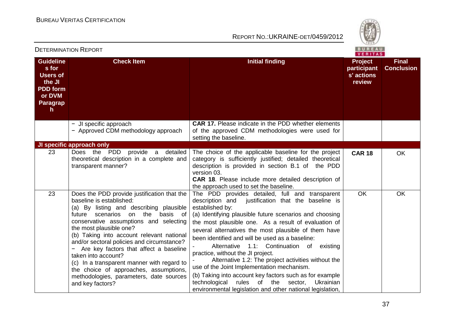

| PETERMINATION IN PUNI                                                                                |                                                                                                                                                                                                                                                                                                                                                                                                                                                                                                                                                      | VERITAS                                                                                                                                                                                                                                                                                                                                                                                                                                                                                                                                                                                                                                                                                                                              |                                                       |                                   |  |
|------------------------------------------------------------------------------------------------------|------------------------------------------------------------------------------------------------------------------------------------------------------------------------------------------------------------------------------------------------------------------------------------------------------------------------------------------------------------------------------------------------------------------------------------------------------------------------------------------------------------------------------------------------------|--------------------------------------------------------------------------------------------------------------------------------------------------------------------------------------------------------------------------------------------------------------------------------------------------------------------------------------------------------------------------------------------------------------------------------------------------------------------------------------------------------------------------------------------------------------------------------------------------------------------------------------------------------------------------------------------------------------------------------------|-------------------------------------------------------|-----------------------------------|--|
| <b>Guideline</b><br>s for<br><b>Users of</b><br>the JI<br><b>PDD</b> form<br>or DVM<br>Paragrap<br>h | <b>Check Item</b>                                                                                                                                                                                                                                                                                                                                                                                                                                                                                                                                    | <b>Initial finding</b>                                                                                                                                                                                                                                                                                                                                                                                                                                                                                                                                                                                                                                                                                                               | <b>Project</b><br>participant<br>s' actions<br>review | <b>Final</b><br><b>Conclusion</b> |  |
|                                                                                                      | - JI specific approach<br>- Approved CDM methodology approach                                                                                                                                                                                                                                                                                                                                                                                                                                                                                        | <b>CAR 17.</b> Please indicate in the PDD whether elements<br>of the approved CDM methodologies were used for<br>setting the baseline.                                                                                                                                                                                                                                                                                                                                                                                                                                                                                                                                                                                               |                                                       |                                   |  |
|                                                                                                      | JI specific approach only                                                                                                                                                                                                                                                                                                                                                                                                                                                                                                                            |                                                                                                                                                                                                                                                                                                                                                                                                                                                                                                                                                                                                                                                                                                                                      |                                                       |                                   |  |
| 23                                                                                                   | Does the PDD<br>provide a<br>detailed<br>theoretical description in a complete and<br>transparent manner?                                                                                                                                                                                                                                                                                                                                                                                                                                            | The choice of the applicable baseline for the project<br>category is sufficiently justified; detailed theoretical<br>description is provided in section B.1 of the PDD<br>version 03.<br>CAR 18. Please include more detailed description of<br>the approach used to set the baseline.                                                                                                                                                                                                                                                                                                                                                                                                                                               | <b>CAR 18</b>                                         | OK                                |  |
| 23                                                                                                   | Does the PDD provide justification that the<br>baseline is established:<br>(a) By listing and describing plausible<br>future scenarios<br>on the<br>basis of<br>conservative assumptions and selecting<br>the most plausible one?<br>(b) Taking into account relevant national<br>and/or sectoral policies and circumstance?<br>Are key factors that affect a baseline<br>taken into account?<br>(c) In a transparent manner with regard to<br>the choice of approaches, assumptions,<br>methodologies, parameters, date sources<br>and key factors? | The PDD provides detailed, full and transparent<br>description and<br>justification that the baseline is<br>established by:<br>(a) Identifying plausible future scenarios and choosing<br>the most plausible one. As a result of evaluation of<br>several alternatives the most plausible of them have<br>been identified and will be used as a baseline:<br>Alternative 1.1: Continuation of existing<br>practice, without the JI project.<br>Alternative 1.2: The project activities without the<br>use of the Joint Implementation mechanism.<br>(b) Taking into account key factors such as for example<br>rules<br>technological<br>of the<br>sector,<br>Ukrainian<br>environmental legislation and other national legislation, | <b>OK</b>                                             | <b>OK</b>                         |  |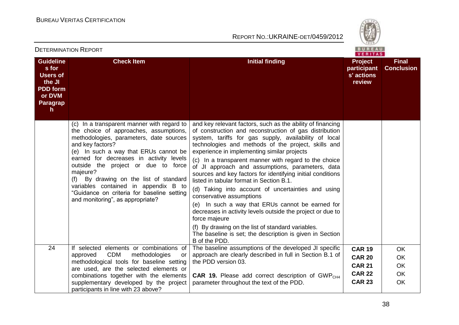

|                                                                                                      |                                                                                                                                                                                                                                                                                                                                                                                                                                                                |                                                                                                                                                                                                                                                                                                                                                                                                                                                                                                                                                                                                                                                                                                                                                                                                                                                                   | VERITAS                                                                           |                                                        |
|------------------------------------------------------------------------------------------------------|----------------------------------------------------------------------------------------------------------------------------------------------------------------------------------------------------------------------------------------------------------------------------------------------------------------------------------------------------------------------------------------------------------------------------------------------------------------|-------------------------------------------------------------------------------------------------------------------------------------------------------------------------------------------------------------------------------------------------------------------------------------------------------------------------------------------------------------------------------------------------------------------------------------------------------------------------------------------------------------------------------------------------------------------------------------------------------------------------------------------------------------------------------------------------------------------------------------------------------------------------------------------------------------------------------------------------------------------|-----------------------------------------------------------------------------------|--------------------------------------------------------|
| <b>Guideline</b><br>s for<br><b>Users of</b><br>the JI<br><b>PDD</b> form<br>or DVM<br>Paragrap<br>h | <b>Check Item</b>                                                                                                                                                                                                                                                                                                                                                                                                                                              | <b>Initial finding</b>                                                                                                                                                                                                                                                                                                                                                                                                                                                                                                                                                                                                                                                                                                                                                                                                                                            | <b>Project</b><br>participant<br>s' actions<br>review                             | <b>Final</b><br><b>Conclusion</b>                      |
|                                                                                                      | (c) In a transparent manner with regard to<br>the choice of approaches, assumptions,<br>methodologies, parameters, date sources<br>and key factors?<br>(e) In such a way that ERUs cannot be<br>earned for decreases in activity levels<br>outside the project or due to force<br>majeure?<br>(f) By drawing on the list of standard<br>variables contained in appendix B to<br>"Guidance on criteria for baseline setting<br>and monitoring", as appropriate? | and key relevant factors, such as the ability of financing<br>of construction and reconstruction of gas distribution<br>system, tariffs for gas supply, availability of local<br>technologies and methods of the project, skills and<br>experience in implementing similar projects<br>(c) In a transparent manner with regard to the choice<br>of JI approach and assumptions, parameters, data<br>sources and key factors for identifying initial conditions<br>listed in tabular format in Section B.1.<br>(d) Taking into account of uncertainties and using<br>conservative assumptions<br>(e) In such a way that ERUs cannot be earned for<br>decreases in activity levels outside the project or due to<br>force majeure<br>(f) By drawing on the list of standard variables.<br>The baseline is set; the description is given in Section<br>B of the PDD. |                                                                                   |                                                        |
| 24                                                                                                   | If selected elements or combinations of<br><b>CDM</b><br>methodologies<br>approved<br>or<br>methodological tools for baseline setting<br>are used, are the selected elements or<br>combinations together with the elements<br>supplementary developed by the project<br>participants in line with 23 above?                                                                                                                                                    | The baseline assumptions of the developed JI specific<br>approach are clearly described in full in Section B.1 of<br>the PDD version 03.<br><b>CAR 19.</b> Please add correct description of GWP <sub>CH4</sub><br>parameter throughout the text of the PDD.                                                                                                                                                                                                                                                                                                                                                                                                                                                                                                                                                                                                      | <b>CAR 19</b><br><b>CAR 20</b><br><b>CAR 21</b><br><b>CAR 22</b><br><b>CAR 23</b> | <b>OK</b><br><b>OK</b><br>OK<br><b>OK</b><br><b>OK</b> |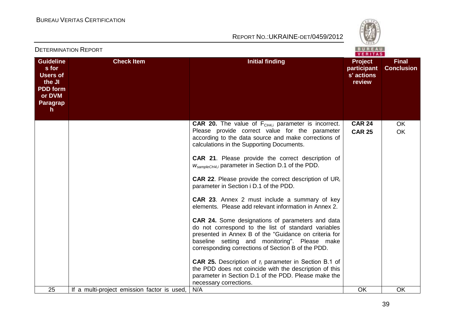

|                                                                                                              |                                             | VERITAS                                                                                                                                                                                                                                                                        |                                                       |                                   |  |
|--------------------------------------------------------------------------------------------------------------|---------------------------------------------|--------------------------------------------------------------------------------------------------------------------------------------------------------------------------------------------------------------------------------------------------------------------------------|-------------------------------------------------------|-----------------------------------|--|
| <b>Guideline</b><br>s for<br><b>Users of</b><br>the JI<br><b>PDD form</b><br>or DVM<br><b>Paragrap</b><br>h. | <b>Check Item</b>                           | <b>Initial finding</b>                                                                                                                                                                                                                                                         | <b>Project</b><br>participant<br>s' actions<br>review | <b>Final</b><br><b>Conclusion</b> |  |
|                                                                                                              |                                             | <b>CAR 20.</b> The value of $F_{CH4,i}$ parameter is incorrect.<br>Please provide correct value for the parameter<br>according to the data source and make corrections of<br>calculations in the Supporting Documents.                                                         | <b>CAR 24</b><br><b>CAR 25</b>                        | OK<br>OK                          |  |
|                                                                                                              |                                             | CAR 21. Please provide the correct description of<br>$W_{sampleCH4,i}$ parameter in Section D.1 of the PDD.                                                                                                                                                                    |                                                       |                                   |  |
|                                                                                                              |                                             | <b>CAR 22.</b> Please provide the correct description of $UR_i$<br>parameter in Section i D.1 of the PDD.                                                                                                                                                                      |                                                       |                                   |  |
|                                                                                                              |                                             | <b>CAR 23.</b> Annex 2 must include a summary of key<br>elements. Please add relevant information in Annex 2.                                                                                                                                                                  |                                                       |                                   |  |
|                                                                                                              |                                             | <b>CAR 24.</b> Some designations of parameters and data<br>do not correspond to the list of standard variables<br>presented in Annex B of the "Guidance on criteria for<br>baseline setting and monitoring". Please make<br>corresponding corrections of Section B of the PDD. |                                                       |                                   |  |
|                                                                                                              |                                             | <b>CAR 25.</b> Description of $T_i$ parameter in Section B.1 of<br>the PDD does not coincide with the description of this<br>parameter in Section D.1 of the PDD. Please make the<br>necessary corrections.                                                                    |                                                       |                                   |  |
| 25                                                                                                           | If a multi-project emission factor is used, | N/A                                                                                                                                                                                                                                                                            | OK                                                    | <b>OK</b>                         |  |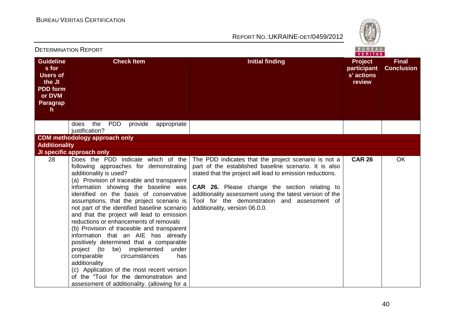

|                                                                                                                        | <b>DETERMINATION REPORT</b>                                                                                                                                                                                                                                                                                                                                                                                                                                                                                                                                                                                                                                                                                                                                   |                                                                                                                                                                                                                                                                                                                                                                                  | <b>BUREAU</b><br>VERITAS                              |                                   |
|------------------------------------------------------------------------------------------------------------------------|---------------------------------------------------------------------------------------------------------------------------------------------------------------------------------------------------------------------------------------------------------------------------------------------------------------------------------------------------------------------------------------------------------------------------------------------------------------------------------------------------------------------------------------------------------------------------------------------------------------------------------------------------------------------------------------------------------------------------------------------------------------|----------------------------------------------------------------------------------------------------------------------------------------------------------------------------------------------------------------------------------------------------------------------------------------------------------------------------------------------------------------------------------|-------------------------------------------------------|-----------------------------------|
| <b>Guideline</b><br>s for<br><b>Users of</b><br>the JI<br><b>PDD</b> form<br>or DVM<br><b>Paragrap</b><br>$\mathsf{h}$ | <b>Check Item</b>                                                                                                                                                                                                                                                                                                                                                                                                                                                                                                                                                                                                                                                                                                                                             | <b>Initial finding</b>                                                                                                                                                                                                                                                                                                                                                           | <b>Project</b><br>participant<br>s' actions<br>review | <b>Final</b><br><b>Conclusion</b> |
|                                                                                                                        | the<br><b>PDD</b><br>provide<br>does<br>appropriate<br>justification?                                                                                                                                                                                                                                                                                                                                                                                                                                                                                                                                                                                                                                                                                         |                                                                                                                                                                                                                                                                                                                                                                                  |                                                       |                                   |
|                                                                                                                        | <b>CDM</b> methodology approach only                                                                                                                                                                                                                                                                                                                                                                                                                                                                                                                                                                                                                                                                                                                          |                                                                                                                                                                                                                                                                                                                                                                                  |                                                       |                                   |
| <b>Additionality</b>                                                                                                   |                                                                                                                                                                                                                                                                                                                                                                                                                                                                                                                                                                                                                                                                                                                                                               |                                                                                                                                                                                                                                                                                                                                                                                  |                                                       |                                   |
| 28                                                                                                                     | JI specific approach only<br>Does the PDD indicate which of the                                                                                                                                                                                                                                                                                                                                                                                                                                                                                                                                                                                                                                                                                               |                                                                                                                                                                                                                                                                                                                                                                                  | <b>CAR 26</b>                                         | <b>OK</b>                         |
|                                                                                                                        | following approaches for demonstrating<br>additionality is used?<br>(a) Provision of traceable and transparent<br>information showing the baseline was<br>identified on the basis of conservative<br>assumptions, that the project scenario is<br>not part of the identified baseline scenario<br>and that the project will lead to emission<br>reductions or enhancements of removals<br>(b) Provision of traceable and transparent<br>information that an AIE has already<br>positively determined that a comparable<br>project (to be) implemented<br>under<br>comparable<br>circumstances<br>has<br>additionality<br>(c) Application of the most recent version<br>of the "Tool for the demonstration and<br>assessment of additionality. (allowing for a | The PDD indicates that the project scenario is not a<br>part of the established baseline scenario. It is also<br>stated that the project will lead to emission reductions.<br><b>CAR 26.</b> Please change the section relating to<br>additionality assessment using the latest version of the<br>Tool for the demonstration and assessment of<br>additionality, version 06.0.0. |                                                       |                                   |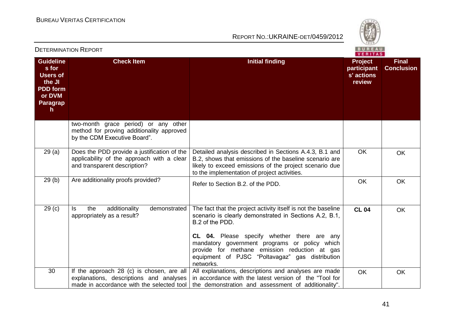

| <b>DETERMINATION REPORT</b>                                                                                     |                                                                                                                                   |                                                                                                                                                                                                                                                                                                                                                             | <b>BUREAU</b><br>VERITAS                              |                                   |
|-----------------------------------------------------------------------------------------------------------------|-----------------------------------------------------------------------------------------------------------------------------------|-------------------------------------------------------------------------------------------------------------------------------------------------------------------------------------------------------------------------------------------------------------------------------------------------------------------------------------------------------------|-------------------------------------------------------|-----------------------------------|
| <b>Guideline</b><br>s for<br><b>Users of</b><br>the JI<br><b>PDD</b> form<br>or DVM<br>Paragrap<br>$\mathsf{h}$ | <b>Check Item</b>                                                                                                                 | <b>Initial finding</b>                                                                                                                                                                                                                                                                                                                                      | <b>Project</b><br>participant<br>s' actions<br>review | <b>Final</b><br><b>Conclusion</b> |
|                                                                                                                 | two-month grace period) or any other<br>method for proving additionality approved<br>by the CDM Executive Board".                 |                                                                                                                                                                                                                                                                                                                                                             |                                                       |                                   |
| 29(a)                                                                                                           | Does the PDD provide a justification of the<br>applicability of the approach with a clear<br>and transparent description?         | Detailed analysis described in Sections A.4.3, B.1 and<br>B.2, shows that emissions of the baseline scenario are<br>likely to exceed emissions of the project scenario due<br>to the implementation of project activities.                                                                                                                                  | <b>OK</b>                                             | <b>OK</b>                         |
| 29(b)                                                                                                           | Are additionality proofs provided?                                                                                                | Refer to Section B.2. of the PDD.                                                                                                                                                                                                                                                                                                                           | OK                                                    | <b>OK</b>                         |
| 29 <sub>(c)</sub>                                                                                               | additionality<br>demonstrated<br>ls.<br>the<br>appropriately as a result?                                                         | The fact that the project activity itself is not the baseline<br>scenario is clearly demonstrated in Sections A.2, B.1,<br>B.2 of the PDD.<br>CL 04. Please specify whether there are any<br>mandatory government programs or policy which<br>provide for methane emission reduction at gas<br>equipment of PJSC "Poltavagaz" gas distribution<br>networks. | <b>CL 04</b>                                          | OK                                |
| 30                                                                                                              | If the approach 28 (c) is chosen, are all<br>explanations, descriptions and analyses<br>made in accordance with the selected tool | All explanations, descriptions and analyses are made<br>in accordance with the latest version of the "Tool for<br>the demonstration and assessment of additionality".                                                                                                                                                                                       | <b>OK</b>                                             | OK                                |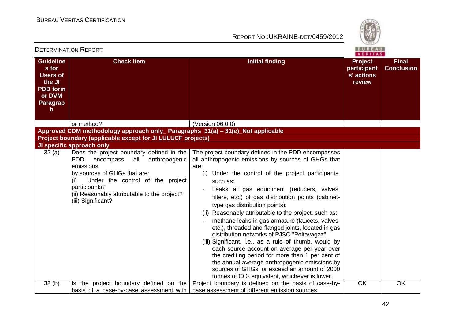

|                                                                                                              | <b>DETERMINATION REPORT</b>                                                                                                                                                                                                                                                                             |                                                                                                                                                                                                                                                                                                                                                                                                                                                                                                                                                                                                                                                                                                                                                                                                                                                             | BUREAU<br><b>VERITAS</b>                       |                                   |
|--------------------------------------------------------------------------------------------------------------|---------------------------------------------------------------------------------------------------------------------------------------------------------------------------------------------------------------------------------------------------------------------------------------------------------|-------------------------------------------------------------------------------------------------------------------------------------------------------------------------------------------------------------------------------------------------------------------------------------------------------------------------------------------------------------------------------------------------------------------------------------------------------------------------------------------------------------------------------------------------------------------------------------------------------------------------------------------------------------------------------------------------------------------------------------------------------------------------------------------------------------------------------------------------------------|------------------------------------------------|-----------------------------------|
| <b>Guideline</b><br>s for<br><b>Users of</b><br>the JI<br><b>PDD</b> form<br>or DVM<br><b>Paragrap</b><br>h. | <b>Check Item</b>                                                                                                                                                                                                                                                                                       | <b>Initial finding</b>                                                                                                                                                                                                                                                                                                                                                                                                                                                                                                                                                                                                                                                                                                                                                                                                                                      | Project<br>participant<br>s' actions<br>review | <b>Final</b><br><b>Conclusion</b> |
|                                                                                                              | or method?                                                                                                                                                                                                                                                                                              | (Version 06.0.0)                                                                                                                                                                                                                                                                                                                                                                                                                                                                                                                                                                                                                                                                                                                                                                                                                                            |                                                |                                   |
|                                                                                                              | Approved CDM methodology approach only_ Paragraphs 31(a) - 31(e)_Not applicable                                                                                                                                                                                                                         |                                                                                                                                                                                                                                                                                                                                                                                                                                                                                                                                                                                                                                                                                                                                                                                                                                                             |                                                |                                   |
|                                                                                                              | Project boundary (applicable except for JI LULUCF projects)                                                                                                                                                                                                                                             |                                                                                                                                                                                                                                                                                                                                                                                                                                                                                                                                                                                                                                                                                                                                                                                                                                                             |                                                |                                   |
| 32(a)                                                                                                        | JI specific approach only<br>Does the project boundary defined in the<br><b>PDD</b><br>anthropogenic<br>all<br>encompass<br>emissions<br>by sources of GHGs that are:<br>Under the control of the project<br>(i)<br>participants?<br>(ii) Reasonably attributable to the project?<br>(iii) Significant? | The project boundary defined in the PDD encompasses<br>all anthropogenic emissions by sources of GHGs that<br>are:<br>(i) Under the control of the project participants,<br>such as:<br>Leaks at gas equipment (reducers, valves,<br>filters, etc.) of gas distribution points (cabinet-<br>type gas distribution points);<br>(ii) Reasonably attributable to the project, such as:<br>methane leaks in gas armature (faucets, valves,<br>etc.), threaded and flanged joints, located in gas<br>distribution networks of PJSC "Poltavagaz"<br>(iii) Significant, i.e., as a rule of thumb, would by<br>each source account on average per year over<br>the crediting period for more than 1 per cent of<br>the annual average anthropogenic emissions by<br>sources of GHGs, or exceed an amount of 2000<br>tonnes of $CO2$ equivalent, whichever is lower. |                                                |                                   |
| 32(b)                                                                                                        | Is the project boundary defined on the<br>basis of a case-by-case assessment with                                                                                                                                                                                                                       | Project boundary is defined on the basis of case-by-<br>case assessment of different emission sources.                                                                                                                                                                                                                                                                                                                                                                                                                                                                                                                                                                                                                                                                                                                                                      | OK                                             | OK                                |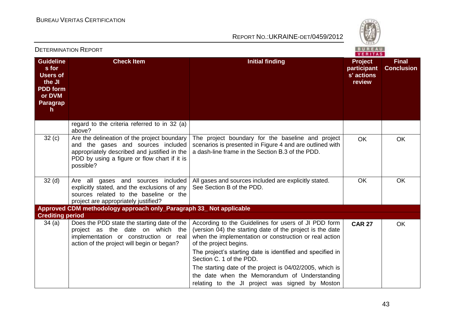

|                                                                                                                        | <b>DETERMINATION REPORT</b>                                                                                                                                                                    |                                                                                                                                                                                                                                                                                                                                                                                                                                                                 | <b>BUREAU</b><br>VERITAS                              |                                   |
|------------------------------------------------------------------------------------------------------------------------|------------------------------------------------------------------------------------------------------------------------------------------------------------------------------------------------|-----------------------------------------------------------------------------------------------------------------------------------------------------------------------------------------------------------------------------------------------------------------------------------------------------------------------------------------------------------------------------------------------------------------------------------------------------------------|-------------------------------------------------------|-----------------------------------|
| <b>Guideline</b><br>s for<br><b>Users of</b><br>the JI<br><b>PDD</b> form<br>or DVM<br><b>Paragrap</b><br>$\mathsf{h}$ | <b>Check Item</b>                                                                                                                                                                              | <b>Initial finding</b>                                                                                                                                                                                                                                                                                                                                                                                                                                          | <b>Project</b><br>participant<br>s' actions<br>review | <b>Final</b><br><b>Conclusion</b> |
|                                                                                                                        | regard to the criteria referred to in 32 (a)<br>above?                                                                                                                                         |                                                                                                                                                                                                                                                                                                                                                                                                                                                                 |                                                       |                                   |
| 32(c)                                                                                                                  | Are the delineation of the project boundary<br>and the gases and sources included<br>appropriately described and justified in the<br>PDD by using a figure or flow chart if it is<br>possible? | The project boundary for the baseline and project<br>scenarios is presented in Figure 4 and are outlined with<br>a dash-line frame in the Section B.3 of the PDD.                                                                                                                                                                                                                                                                                               | <b>OK</b>                                             | <b>OK</b>                         |
| 32 <sub>(d)</sub>                                                                                                      | Are all gases and sources included<br>explicitly stated, and the exclusions of any<br>sources related to the baseline or the<br>project are appropriately justified?                           | All gases and sources included are explicitly stated.<br>See Section B of the PDD.                                                                                                                                                                                                                                                                                                                                                                              | <b>OK</b>                                             | <b>OK</b>                         |
| <b>Crediting period</b>                                                                                                | Approved CDM methodology approach only_Paragraph 33_ Not applicable                                                                                                                            |                                                                                                                                                                                                                                                                                                                                                                                                                                                                 |                                                       |                                   |
| 34(a)                                                                                                                  | Does the PDD state the starting date of the<br>project as the date on which the<br>implementation or construction or real<br>action of the project will begin or began?                        | According to the Guidelines for users of JI PDD form<br>(version 04) the starting date of the project is the date<br>when the implementation or construction or real action<br>of the project begins.<br>The project's starting date is identified and specified in<br>Section C. 1 of the PDD.<br>The starting date of the project is 04/02/2005, which is<br>the date when the Memorandum of Understanding<br>relating to the JI project was signed by Moston | <b>CAR 27</b>                                         | <b>OK</b>                         |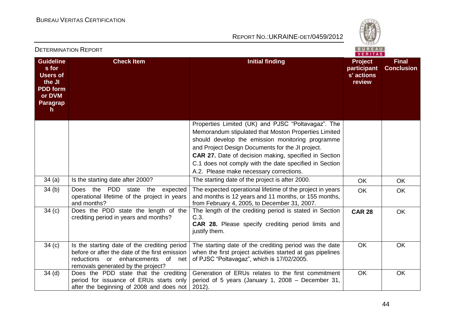

|                                                                                                                 |                                                                                                                                                                              | VERITAS                                                                                                                                                                                                                                                                                                                                                                          |                                                       |                                   |  |
|-----------------------------------------------------------------------------------------------------------------|------------------------------------------------------------------------------------------------------------------------------------------------------------------------------|----------------------------------------------------------------------------------------------------------------------------------------------------------------------------------------------------------------------------------------------------------------------------------------------------------------------------------------------------------------------------------|-------------------------------------------------------|-----------------------------------|--|
| <b>Guideline</b><br>s for<br><b>Users of</b><br>the JI<br><b>PDD</b> form<br>or DVM<br>Paragrap<br>$\mathsf{h}$ | <b>Check Item</b>                                                                                                                                                            | <b>Initial finding</b>                                                                                                                                                                                                                                                                                                                                                           | <b>Project</b><br>participant<br>s' actions<br>review | <b>Final</b><br><b>Conclusion</b> |  |
|                                                                                                                 |                                                                                                                                                                              | Properties Limited (UK) and PJSC "Poltavagaz". The<br>Memorandum stipulated that Moston Properties Limited<br>should develop the emission monitoring programme<br>and Project Design Documents for the JI project.<br>CAR 27. Date of decision making, specified in Section<br>C.1 does not comply with the date specified in Section<br>A.2. Please make necessary corrections. |                                                       |                                   |  |
| 34(a)                                                                                                           | Is the starting date after 2000?                                                                                                                                             | The starting date of the project is after 2000.                                                                                                                                                                                                                                                                                                                                  | <b>OK</b>                                             | <b>OK</b>                         |  |
| 34(b)                                                                                                           | PDD<br>the<br>Does<br>state the<br>expected<br>operational lifetime of the project in years<br>and months?                                                                   | The expected operational lifetime of the project in years<br>and months is 12 years and 11 months, or 155 months,<br>from February 4, 2005, to December 31, 2007.                                                                                                                                                                                                                | <b>OK</b>                                             | <b>OK</b>                         |  |
| 34(c)                                                                                                           | Does the PDD state the length of the<br>crediting period in years and months?                                                                                                | The length of the crediting period is stated in Section<br>C.3.<br>CAR 28. Please specify crediting period limits and<br>justify them.                                                                                                                                                                                                                                           | <b>CAR 28</b>                                         | <b>OK</b>                         |  |
| 34 <sub>(c)</sub>                                                                                               | Is the starting date of the crediting period<br>before or after the date of the first emission<br>reductions or enhancements<br>of net<br>removals generated by the project? | The starting date of the crediting period was the date<br>when the first project activities started at gas pipelines<br>of PJSC "Poltavagaz", which is 17/02/2005.                                                                                                                                                                                                               | OK                                                    | OK                                |  |
| $34$ (d)                                                                                                        | Does the PDD state that the crediting<br>period for issuance of ERUs starts only<br>after the beginning of 2008 and does not                                                 | Generation of ERUs relates to the first commitment<br>period of 5 years (January 1, 2008 – December 31,<br>$2012$ ).                                                                                                                                                                                                                                                             | OK                                                    | OK                                |  |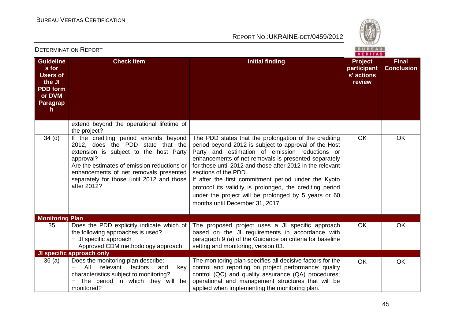

| <b>DETERMINATION REPORT</b>                                                                                            |                                                                                                                                                                                                                                                                                         |                                                                                                                                                                                                                                                                                                                                                                                                                                                                                                                              | <b>BUREAU</b><br>VERITAS                              |                                   |
|------------------------------------------------------------------------------------------------------------------------|-----------------------------------------------------------------------------------------------------------------------------------------------------------------------------------------------------------------------------------------------------------------------------------------|------------------------------------------------------------------------------------------------------------------------------------------------------------------------------------------------------------------------------------------------------------------------------------------------------------------------------------------------------------------------------------------------------------------------------------------------------------------------------------------------------------------------------|-------------------------------------------------------|-----------------------------------|
| <b>Guideline</b><br>s for<br><b>Users of</b><br>the JI<br><b>PDD</b> form<br>or DVM<br><b>Paragrap</b><br>$\mathsf{h}$ | <b>Check Item</b>                                                                                                                                                                                                                                                                       | <b>Initial finding</b>                                                                                                                                                                                                                                                                                                                                                                                                                                                                                                       | <b>Project</b><br>participant<br>s' actions<br>review | <b>Final</b><br><b>Conclusion</b> |
|                                                                                                                        | extend beyond the operational lifetime of<br>the project?                                                                                                                                                                                                                               |                                                                                                                                                                                                                                                                                                                                                                                                                                                                                                                              |                                                       |                                   |
| $34$ (d)                                                                                                               | If the crediting period extends beyond<br>2012, does the PDD state that the<br>extension is subject to the host Party<br>approval?<br>Are the estimates of emission reductions or<br>enhancements of net removals presented<br>separately for those until 2012 and those<br>after 2012? | The PDD states that the prolongation of the crediting<br>period beyond 2012 is subject to approval of the Host<br>Party and estimation of emission reductions or<br>enhancements of net removals is presented separately<br>for those until 2012 and those after 2012 in the relevant<br>sections of the PDD.<br>If after the first commitment period under the Kyoto<br>protocol its validity is prolonged, the crediting period<br>under the project will be prolonged by 5 years or 60<br>months until December 31, 2017. | OK                                                    | <b>OK</b>                         |
| <b>Monitoring Plan</b>                                                                                                 |                                                                                                                                                                                                                                                                                         |                                                                                                                                                                                                                                                                                                                                                                                                                                                                                                                              |                                                       |                                   |
| 35                                                                                                                     | Does the PDD explicitly indicate which of<br>the following approaches is used?<br>- JI specific approach<br>- Approved CDM methodology approach                                                                                                                                         | The proposed project uses a JI specific approach<br>based on the JI requirements in accordance with<br>paragraph 9 (a) of the Guidance on criteria for baseline<br>setting and monitoring, version 03.                                                                                                                                                                                                                                                                                                                       | <b>OK</b>                                             | <b>OK</b>                         |
|                                                                                                                        | <b>JI specific approach only</b>                                                                                                                                                                                                                                                        |                                                                                                                                                                                                                                                                                                                                                                                                                                                                                                                              |                                                       |                                   |
| 36(a)                                                                                                                  | Does the monitoring plan describe:<br>relevant factors<br>$\overline{\phantom{m}}$<br>All<br>and<br>key<br>characteristics subject to monitoring?<br>The period in which they will be<br>monitored?                                                                                     | The monitoring plan specifies all decisive factors for the<br>control and reporting on project performance: quality<br>control (QC) and quality assurance (QA) procedures;<br>operational and management structures that will be<br>applied when implementing the monitoring plan.                                                                                                                                                                                                                                           | <b>OK</b>                                             | <b>OK</b>                         |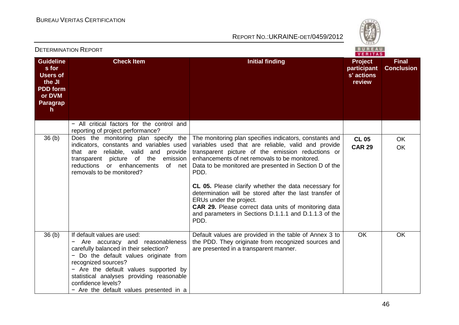

|                                                                                                       |                                                                                                                                                                                                                                                                                                                                  |                                                                                                                                                                                                                                                                                                                                                                                                                                                                                                                                                               | VERITAS                                               |                                   |
|-------------------------------------------------------------------------------------------------------|----------------------------------------------------------------------------------------------------------------------------------------------------------------------------------------------------------------------------------------------------------------------------------------------------------------------------------|---------------------------------------------------------------------------------------------------------------------------------------------------------------------------------------------------------------------------------------------------------------------------------------------------------------------------------------------------------------------------------------------------------------------------------------------------------------------------------------------------------------------------------------------------------------|-------------------------------------------------------|-----------------------------------|
| <b>Guideline</b><br>s for<br><b>Users of</b><br>the JI<br><b>PDD</b> form<br>or DVM<br>Paragrap<br>h. | <b>Check Item</b>                                                                                                                                                                                                                                                                                                                | <b>Initial finding</b>                                                                                                                                                                                                                                                                                                                                                                                                                                                                                                                                        | <b>Project</b><br>participant<br>s' actions<br>review | <b>Final</b><br><b>Conclusion</b> |
|                                                                                                       | - All critical factors for the control and<br>reporting of project performance?                                                                                                                                                                                                                                                  |                                                                                                                                                                                                                                                                                                                                                                                                                                                                                                                                                               |                                                       |                                   |
| 36 <sub>(b)</sub>                                                                                     | Does the monitoring plan specify the<br>indicators, constants and variables used<br>that are reliable, valid and provide<br>transparent picture of the emission<br>reductions or enhancements<br>of net<br>removals to be monitored?                                                                                             | The monitoring plan specifies indicators, constants and<br>variables used that are reliable, valid and provide<br>transparent picture of the emission reductions or<br>enhancements of net removals to be monitored.<br>Data to be monitored are presented in Section D of the<br>PDD.<br>CL 05. Please clarify whether the data necessary for<br>determination will be stored after the last transfer of<br>ERUs under the project.<br>CAR 29. Please correct data units of monitoring data<br>and parameters in Sections D.1.1.1 and D.1.1.3 of the<br>PDD. | <b>CL 05</b><br><b>CAR 29</b>                         | OK<br><b>OK</b>                   |
| 36 <sub>(b)</sub>                                                                                     | If default values are used:<br>Are accuracy and reasonableness<br>carefully balanced in their selection?<br>- Do the default values originate from<br>recognized sources?<br>- Are the default values supported by<br>statistical analyses providing reasonable<br>confidence levels?<br>- Are the default values presented in a | Default values are provided in the table of Annex 3 to<br>the PDD. They originate from recognized sources and<br>are presented in a transparent manner.                                                                                                                                                                                                                                                                                                                                                                                                       | <b>OK</b>                                             | <b>OK</b>                         |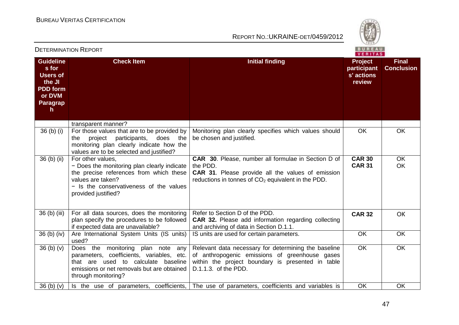

|                                                                                                              | ו יוט ושיו אישווישו איווישו של                                                                                                                                                                     | VERITAS                                                                                                                                                                             |                                                       |                                   |  |
|--------------------------------------------------------------------------------------------------------------|----------------------------------------------------------------------------------------------------------------------------------------------------------------------------------------------------|-------------------------------------------------------------------------------------------------------------------------------------------------------------------------------------|-------------------------------------------------------|-----------------------------------|--|
| <b>Guideline</b><br>s for<br><b>Users of</b><br>the JI<br><b>PDD</b> form<br>or DVM<br><b>Paragrap</b><br>h. | <b>Check Item</b>                                                                                                                                                                                  | <b>Initial finding</b>                                                                                                                                                              | <b>Project</b><br>participant<br>s' actions<br>review | <b>Final</b><br><b>Conclusion</b> |  |
|                                                                                                              | transparent manner?                                                                                                                                                                                |                                                                                                                                                                                     |                                                       |                                   |  |
| $36$ (b) (i)                                                                                                 | For those values that are to be provided by<br>project<br>participants,<br>does<br>the<br>the<br>monitoring plan clearly indicate how the<br>values are to be selected and justified?              | Monitoring plan clearly specifies which values should<br>be chosen and justified.                                                                                                   | <b>OK</b>                                             | <b>OK</b>                         |  |
| 36 (b) (ii)                                                                                                  | For other values,<br>- Does the monitoring plan clearly indicate<br>the precise references from which these<br>values are taken?<br>- Is the conservativeness of the values<br>provided justified? | CAR 30. Please, number all formulae in Section D of<br>the PDD.<br><b>CAR 31.</b> Please provide all the values of emission<br>reductions in tonnes of $CO2$ equivalent in the PDD. | <b>CAR 30</b><br><b>CAR 31</b>                        | <b>OK</b><br>OK                   |  |
| 36 (b) (iii)                                                                                                 | For all data sources, does the monitoring<br>plan specify the procedures to be followed<br>if expected data are unavailable?                                                                       | Refer to Section D of the PDD.<br><b>CAR 32.</b> Please add information regarding collecting<br>and archiving of data in Section D.1.1.                                             | <b>CAR 32</b>                                         | OK                                |  |
| $36$ (b) (iv)                                                                                                | Are International System Units (IS units)<br>used?                                                                                                                                                 | IS units are used for certain parameters.                                                                                                                                           | OK                                                    | OK                                |  |
| 36(b)(v)                                                                                                     | Does the monitoring plan note<br>any<br>parameters, coefficients, variables, etc.<br>that are used to calculate<br>baseline<br>emissions or net removals but are obtained<br>through monitoring?   | Relevant data necessary for determining the baseline<br>of anthropogenic emissions of greenhouse gases<br>within the project boundary is presented in table<br>D.1.1.3. of the PDD. | <b>OK</b>                                             | <b>OK</b>                         |  |
| 36(b)(v)                                                                                                     | Is the use of parameters, coefficients,                                                                                                                                                            | The use of parameters, coefficients and variables is                                                                                                                                | OK                                                    | OK                                |  |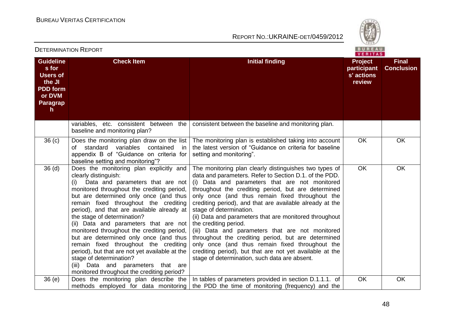

| <b>DETERMINATION REPORT</b>                                                                                     |                                                                                                                                                                                                                                                                                                                                                                                                                                                                                                                                                                                                                                                                     |                                                                                                                                                                                                                                                                                                                                                                                                                                                                                                                                                                                                                                                                                                                                   | <b>BUREAU</b><br><b>VERITAS</b>                       |                                   |
|-----------------------------------------------------------------------------------------------------------------|---------------------------------------------------------------------------------------------------------------------------------------------------------------------------------------------------------------------------------------------------------------------------------------------------------------------------------------------------------------------------------------------------------------------------------------------------------------------------------------------------------------------------------------------------------------------------------------------------------------------------------------------------------------------|-----------------------------------------------------------------------------------------------------------------------------------------------------------------------------------------------------------------------------------------------------------------------------------------------------------------------------------------------------------------------------------------------------------------------------------------------------------------------------------------------------------------------------------------------------------------------------------------------------------------------------------------------------------------------------------------------------------------------------------|-------------------------------------------------------|-----------------------------------|
| <b>Guideline</b><br>s for<br><b>Users of</b><br>the JI<br><b>PDD</b> form<br>or DVM<br>Paragrap<br>$\mathsf{h}$ | <b>Check Item</b>                                                                                                                                                                                                                                                                                                                                                                                                                                                                                                                                                                                                                                                   | <b>Initial finding</b>                                                                                                                                                                                                                                                                                                                                                                                                                                                                                                                                                                                                                                                                                                            | <b>Project</b><br>participant<br>s' actions<br>review | <b>Final</b><br><b>Conclusion</b> |
|                                                                                                                 | variables, etc. consistent between the<br>baseline and monitoring plan?                                                                                                                                                                                                                                                                                                                                                                                                                                                                                                                                                                                             | consistent between the baseline and monitoring plan.                                                                                                                                                                                                                                                                                                                                                                                                                                                                                                                                                                                                                                                                              |                                                       |                                   |
| 36 <sub>(c)</sub>                                                                                               | Does the monitoring plan draw on the list<br>standard<br>variables<br>contained<br>of<br>in<br>appendix B of "Guidance on criteria for<br>baseline setting and monitoring"?                                                                                                                                                                                                                                                                                                                                                                                                                                                                                         | The monitoring plan is established taking into account<br>the latest version of "Guidance on criteria for baseline<br>setting and monitoring".                                                                                                                                                                                                                                                                                                                                                                                                                                                                                                                                                                                    | <b>OK</b>                                             | <b>OK</b>                         |
| 36 <sub>(d)</sub>                                                                                               | Does the monitoring plan explicitly and<br>clearly distinguish:<br>Data and parameters that are not<br>(i)<br>monitored throughout the crediting period,<br>but are determined only once (and thus<br>remain fixed throughout the crediting<br>period), and that are available already at<br>the stage of determination?<br>(ii) Data and parameters that are not<br>monitored throughout the crediting period,<br>but are determined only once (and thus<br>remain fixed throughout the crediting<br>period), but that are not yet available at the<br>stage of determination?<br>(iii) Data and parameters that are<br>monitored throughout the crediting period? | The monitoring plan clearly distinguishes two types of<br>data and parameters. Refer to Section D.1. of the PDD.<br>(i) Data and parameters that are not monitored<br>throughout the crediting period, but are determined<br>only once (and thus remain fixed throughout the<br>crediting period), and that are available already at the<br>stage of determination.<br>(ii) Data and parameters that are monitored throughout<br>the crediting period.<br>(iii) Data and parameters that are not monitored<br>throughout the crediting period, but are determined<br>only once (and thus remain fixed throughout the<br>crediting period), but that are not yet available at the<br>stage of determination, such data are absent. | <b>OK</b>                                             | OK                                |
| 36(e)                                                                                                           | Does the monitoring plan describe the<br>methods employed for data monitoring                                                                                                                                                                                                                                                                                                                                                                                                                                                                                                                                                                                       | In tables of parameters provided in section D.1.1.1. of<br>the PDD the time of monitoring (frequency) and the                                                                                                                                                                                                                                                                                                                                                                                                                                                                                                                                                                                                                     | OK                                                    | OK                                |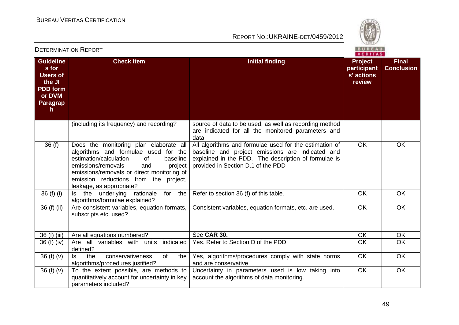

|                                                                                                       | LI LINIIINA HON INLI ON I                                                                                                                                                                                                                                                                    | VERITAS                                                                                                                                                                                                  |                                                |                                   |  |
|-------------------------------------------------------------------------------------------------------|----------------------------------------------------------------------------------------------------------------------------------------------------------------------------------------------------------------------------------------------------------------------------------------------|----------------------------------------------------------------------------------------------------------------------------------------------------------------------------------------------------------|------------------------------------------------|-----------------------------------|--|
| <b>Guideline</b><br>s for<br><b>Users of</b><br>the JI<br><b>PDD</b> form<br>or DVM<br>Paragrap<br>h. | <b>Check Item</b>                                                                                                                                                                                                                                                                            | <b>Initial finding</b>                                                                                                                                                                                   | Project<br>participant<br>s' actions<br>review | <b>Final</b><br><b>Conclusion</b> |  |
|                                                                                                       | (including its frequency) and recording?                                                                                                                                                                                                                                                     | source of data to be used, as well as recording method<br>are indicated for all the monitored parameters and<br>data.                                                                                    |                                                |                                   |  |
| 36(f)                                                                                                 | Does the monitoring plan elaborate all<br>algorithms and formulae used for the<br>estimation/calculation<br><b>of</b><br>baseline<br>emissions/removals<br>and<br>project<br>emissions/removals or direct monitoring of<br>emission reductions from the project,<br>leakage, as appropriate? | All algorithms and formulae used for the estimation of<br>baseline and project emissions are indicated and<br>explained in the PDD. The description of formulae is<br>provided in Section D.1 of the PDD | OK                                             | OK                                |  |
| $36(f)$ (i)                                                                                           | underlying<br>for the<br>rationale<br>Is the<br>algorithms/formulae explained?                                                                                                                                                                                                               | Refer to section 36 (f) of this table.                                                                                                                                                                   | OK                                             | <b>OK</b>                         |  |
| 36 (f) (ii)                                                                                           | Are consistent variables, equation formats,<br>subscripts etc. used?                                                                                                                                                                                                                         | Consistent variables, equation formats, etc. are used.                                                                                                                                                   | OK                                             | <b>OK</b>                         |  |
| 36 (f) (iii)                                                                                          | Are all equations numbered?                                                                                                                                                                                                                                                                  | See CAR 30.                                                                                                                                                                                              | OK                                             | OK                                |  |
| $36(f)$ (iv)                                                                                          | Are all variables with units<br>indicated<br>defined?                                                                                                                                                                                                                                        | Yes. Refer to Section D of the PDD.                                                                                                                                                                      | <b>OK</b>                                      | <b>OK</b>                         |  |
| 36 $(f)(v)$                                                                                           | the<br>conservativeness<br>of<br>the<br>ls.<br>algorithms/procedures justified?                                                                                                                                                                                                              | Yes, algorithms/procedures comply with state norms<br>and are conservative.                                                                                                                              | OK                                             | <b>OK</b>                         |  |
| 36(f)(v)                                                                                              | To the extent possible, are methods to<br>quantitatively account for uncertainty in key<br>parameters included?                                                                                                                                                                              | Uncertainty in parameters used is low taking into<br>account the algorithms of data monitoring.                                                                                                          | OK                                             | OK                                |  |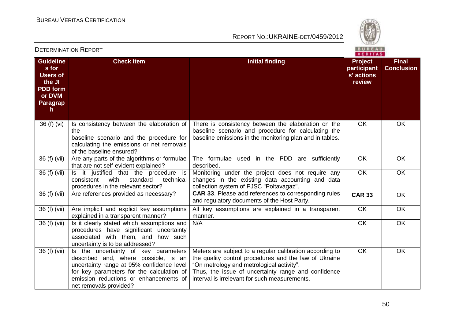

|                                                                                                       |                                                                                                                                                                                                                                            |                                                                                                                                                                                                                                                                        | VERITAS                                               |                                   |  |  |
|-------------------------------------------------------------------------------------------------------|--------------------------------------------------------------------------------------------------------------------------------------------------------------------------------------------------------------------------------------------|------------------------------------------------------------------------------------------------------------------------------------------------------------------------------------------------------------------------------------------------------------------------|-------------------------------------------------------|-----------------------------------|--|--|
| <b>Guideline</b><br>s for<br><b>Users of</b><br>the JI<br><b>PDD form</b><br>or DVM<br>Paragrap<br>h. | <b>Check Item</b>                                                                                                                                                                                                                          | <b>Initial finding</b>                                                                                                                                                                                                                                                 | <b>Project</b><br>participant<br>s' actions<br>review | <b>Final</b><br><b>Conclusion</b> |  |  |
| 36 (f) (vi)                                                                                           | Is consistency between the elaboration of<br>the<br>baseline scenario and the procedure for<br>calculating the emissions or net removals<br>of the baseline ensured?                                                                       | There is consistency between the elaboration on the<br>baseline scenario and procedure for calculating the<br>baseline emissions in the monitoring plan and in tables.                                                                                                 | OK                                                    | OK                                |  |  |
| 36 (f) (vii)                                                                                          | Are any parts of the algorithms or formulae<br>that are not self-evident explained?                                                                                                                                                        | The formulae used in the PDD are sufficiently<br>described.                                                                                                                                                                                                            | OK                                                    | OK                                |  |  |
| 36 (f) (vii)                                                                                          | Is it justified that the procedure is<br>with<br>standard<br>consistent<br>technical<br>procedures in the relevant sector?                                                                                                                 | Monitoring under the project does not require any<br>changes in the existing data accounting and data<br>collection system of PJSC "Poltavagaz".                                                                                                                       | OK                                                    | OK                                |  |  |
| 36 (f) (vii)                                                                                          | Are references provided as necessary?                                                                                                                                                                                                      | <b>CAR 33.</b> Please add references to corresponding rules<br>and regulatory documents of the Host Party.                                                                                                                                                             | <b>CAR 33</b>                                         | <b>OK</b>                         |  |  |
| 36 (f) (vii)                                                                                          | Are implicit and explicit key assumptions<br>explained in a transparent manner?                                                                                                                                                            | All key assumptions are explained in a transparent<br>manner.                                                                                                                                                                                                          | OK                                                    | OK                                |  |  |
| 36 (f) (vii)                                                                                          | Is it clearly stated which assumptions and<br>procedures have significant uncertainty<br>associated with them, and how such<br>uncertainty is to be addressed?                                                                             | N/A                                                                                                                                                                                                                                                                    | OK                                                    | <b>OK</b>                         |  |  |
| 36 (f) (vii)                                                                                          | Is the uncertainty of key parameters<br>described and, where possible, is an<br>uncertainty range at 95% confidence level<br>for key parameters for the calculation of<br>emission reductions or enhancements of<br>net removals provided? | Meters are subject to a regular calibration according to<br>the quality control procedures and the law of Ukraine<br>"On metrology and metrological activity".<br>Thus, the issue of uncertainty range and confidence<br>interval is irrelevant for such measurements. | <b>OK</b>                                             | OK                                |  |  |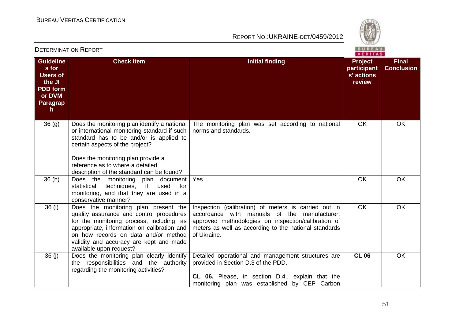

|                                                                                                                 | DETERMINATION NEPORT                                                                                                                                                                                                                                                                              | <b>Contract Contract Contract Contract</b><br>VERITAS                                                                                                                                                                               |                                                       |                                   |  |
|-----------------------------------------------------------------------------------------------------------------|---------------------------------------------------------------------------------------------------------------------------------------------------------------------------------------------------------------------------------------------------------------------------------------------------|-------------------------------------------------------------------------------------------------------------------------------------------------------------------------------------------------------------------------------------|-------------------------------------------------------|-----------------------------------|--|
| <b>Guideline</b><br>s for<br><b>Users of</b><br>the JI<br><b>PDD</b> form<br>or DVM<br>Paragrap<br>$\mathsf{h}$ | <b>Check Item</b>                                                                                                                                                                                                                                                                                 | <b>Initial finding</b>                                                                                                                                                                                                              | <b>Project</b><br>participant<br>s' actions<br>review | <b>Final</b><br><b>Conclusion</b> |  |
| 36(9)                                                                                                           | Does the monitoring plan identify a national<br>or international monitoring standard if such<br>standard has to be and/or is applied to<br>certain aspects of the project?<br>Does the monitoring plan provide a<br>reference as to where a detailed<br>description of the standard can be found? | The monitoring plan was set according to national<br>norms and standards.                                                                                                                                                           | <b>OK</b>                                             | <b>OK</b>                         |  |
| 36(h)                                                                                                           | Does the monitoring plan document<br>techniques,<br>if<br>used<br>statistical<br>for<br>monitoring, and that they are used in a<br>conservative manner?                                                                                                                                           | Yes                                                                                                                                                                                                                                 | OK                                                    | OK                                |  |
| 36(i)                                                                                                           | Does the monitoring plan present the<br>quality assurance and control procedures<br>for the monitoring process, including, as<br>appropriate, information on calibration and<br>on how records on data and/or method<br>validity and accuracy are kept and made<br>available upon request?        | Inspection (calibration) of meters is carried out in<br>accordance with manuals of the manufacturer,<br>approved methodologies on inspection/calibration of<br>meters as well as according to the national standards<br>of Ukraine. | <b>OK</b>                                             | <b>OK</b>                         |  |
| 36(j)                                                                                                           | Does the monitoring plan clearly identify<br>the responsibilities and the authority<br>regarding the monitoring activities?                                                                                                                                                                       | Detailed operational and management structures are<br>provided in Section D.3 of the PDD.<br><b>CL 06.</b> Please, in section D.4., explain that the<br>monitoring plan was established by CEP Carbon                               | <b>CL 06</b>                                          | OK                                |  |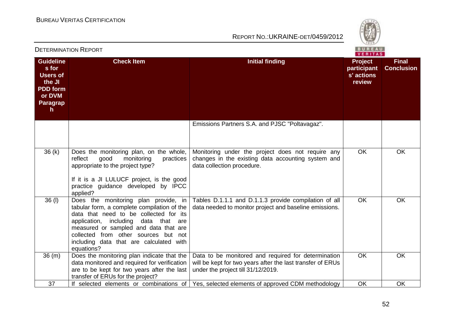

|                                                                                                      |                                                                                                                                                                                                                                                                                                                    | VERITAS                                                                                                                                                 |                                                       |                                   |  |
|------------------------------------------------------------------------------------------------------|--------------------------------------------------------------------------------------------------------------------------------------------------------------------------------------------------------------------------------------------------------------------------------------------------------------------|---------------------------------------------------------------------------------------------------------------------------------------------------------|-------------------------------------------------------|-----------------------------------|--|
| <b>Guideline</b><br>s for<br><b>Users of</b><br>the JI<br><b>PDD</b> form<br>or DVM<br>Paragrap<br>h | <b>Check Item</b>                                                                                                                                                                                                                                                                                                  | <b>Initial finding</b>                                                                                                                                  | <b>Project</b><br>participant<br>s' actions<br>review | <b>Final</b><br><b>Conclusion</b> |  |
|                                                                                                      |                                                                                                                                                                                                                                                                                                                    | Emissions Partners S.A. and PJSC "Poltavagaz".                                                                                                          |                                                       |                                   |  |
| 36(k)                                                                                                | Does the monitoring plan, on the whole,<br>reflect<br>monitoring<br>good<br>practices<br>appropriate to the project type?<br>If it is a JI LULUCF project, is the good<br>practice guidance developed by IPCC<br>applied?                                                                                          | Monitoring under the project does not require any<br>changes in the existing data accounting system and<br>data collection procedure.                   | <b>OK</b>                                             | <b>OK</b>                         |  |
| 36(1)                                                                                                | Does the monitoring plan provide, in<br>tabular form, a complete compilation of the<br>data that need to be collected for its<br>application, including<br>data that are<br>measured or sampled and data that are<br>collected from other sources but not<br>including data that are calculated with<br>equations? | Tables D.1.1.1 and D.1.1.3 provide compilation of all<br>data needed to monitor project and baseline emissions.                                         | <b>OK</b>                                             | <b>OK</b>                         |  |
| 36(m)                                                                                                | Does the monitoring plan indicate that the<br>data monitored and required for verification<br>are to be kept for two years after the last<br>transfer of ERUs for the project?                                                                                                                                     | Data to be monitored and required for determination<br>will be kept for two years after the last transfer of ERUs<br>under the project till 31/12/2019. | <b>OK</b>                                             | OK                                |  |
| 37                                                                                                   | If selected elements or combinations of                                                                                                                                                                                                                                                                            | Yes, selected elements of approved CDM methodology                                                                                                      | OK                                                    | OK                                |  |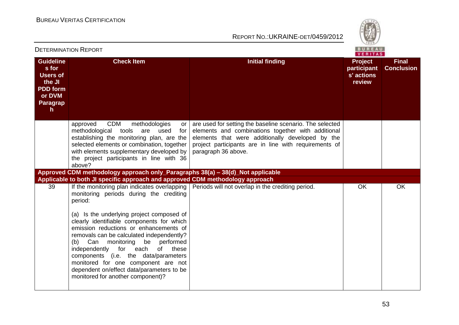

|                                                                                                                 | PETERMINATIVN I NEI VINT                                                                                                                                                                                                                                                                                                                                                                                                                                                                                                         | VERITAS                                                                                                                                                                                                                                            |                                                       |                                   |  |
|-----------------------------------------------------------------------------------------------------------------|----------------------------------------------------------------------------------------------------------------------------------------------------------------------------------------------------------------------------------------------------------------------------------------------------------------------------------------------------------------------------------------------------------------------------------------------------------------------------------------------------------------------------------|----------------------------------------------------------------------------------------------------------------------------------------------------------------------------------------------------------------------------------------------------|-------------------------------------------------------|-----------------------------------|--|
| <b>Guideline</b><br>s for<br><b>Users of</b><br>the JI<br><b>PDD</b> form<br>or DVM<br>Paragrap<br>$\mathsf{h}$ | <b>Check Item</b>                                                                                                                                                                                                                                                                                                                                                                                                                                                                                                                | <b>Initial finding</b>                                                                                                                                                                                                                             | <b>Project</b><br>participant<br>s' actions<br>review | <b>Final</b><br><b>Conclusion</b> |  |
|                                                                                                                 | <b>CDM</b><br>methodologies<br>approved<br>or<br>methodological tools<br>are used<br>for<br>establishing the monitoring plan, are the<br>selected elements or combination, together<br>with elements supplementary developed by<br>the project participants in line with 36<br>above?                                                                                                                                                                                                                                            | are used for setting the baseline scenario. The selected<br>elements and combinations together with additional<br>elements that were additionally developed by the<br>project participants are in line with requirements of<br>paragraph 36 above. |                                                       |                                   |  |
|                                                                                                                 | Approved CDM methodology approach only_Paragraphs 38(a) - 38(d)_Not applicable                                                                                                                                                                                                                                                                                                                                                                                                                                                   |                                                                                                                                                                                                                                                    |                                                       |                                   |  |
|                                                                                                                 | Applicable to both JI specific approach and approved CDM methodology approach                                                                                                                                                                                                                                                                                                                                                                                                                                                    |                                                                                                                                                                                                                                                    |                                                       |                                   |  |
| 39                                                                                                              | If the monitoring plan indicates overlapping<br>monitoring periods during the crediting<br>period:<br>(a) Is the underlying project composed of<br>clearly identifiable components for which<br>emission reductions or enhancements of<br>removals can be calculated independently?<br>(b) Can monitoring be performed<br>independently for each<br>of<br>these<br>components (i.e. the data/parameters<br>monitored for one component are not<br>dependent on/effect data/parameters to be<br>monitored for another component)? | Periods will not overlap in the crediting period.                                                                                                                                                                                                  | OK                                                    | <b>OK</b>                         |  |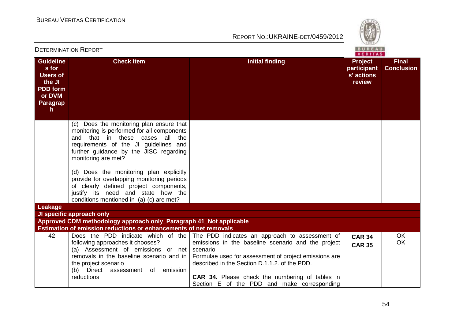

|                                                                                                                 | <b>DETERMINATION REPORT</b>                                                                                                                                                                                                                 |                                                                                                                                                                                                                                                                                                                                                                    | BUREAU<br>VERITAS                              |                                   |
|-----------------------------------------------------------------------------------------------------------------|---------------------------------------------------------------------------------------------------------------------------------------------------------------------------------------------------------------------------------------------|--------------------------------------------------------------------------------------------------------------------------------------------------------------------------------------------------------------------------------------------------------------------------------------------------------------------------------------------------------------------|------------------------------------------------|-----------------------------------|
| <b>Guideline</b><br>s for<br><b>Users of</b><br>the JI<br><b>PDD</b> form<br>or DVM<br>Paragrap<br>$\mathsf{h}$ | <b>Check Item</b>                                                                                                                                                                                                                           | <b>Initial finding</b>                                                                                                                                                                                                                                                                                                                                             | Project<br>participant<br>s' actions<br>review | <b>Final</b><br><b>Conclusion</b> |
|                                                                                                                 | Does the monitoring plan ensure that<br>(C) =<br>monitoring is performed for all components<br>and that in these cases all<br>the<br>requirements of the JI guidelines and<br>further guidance by the JISC regarding<br>monitoring are met? |                                                                                                                                                                                                                                                                                                                                                                    |                                                |                                   |
|                                                                                                                 | (d) Does the monitoring plan explicitly<br>provide for overlapping monitoring periods<br>of clearly defined project components,<br>justify its need and state how the<br>conditions mentioned in (a)-(c) are met?                           |                                                                                                                                                                                                                                                                                                                                                                    |                                                |                                   |
| Leakage                                                                                                         |                                                                                                                                                                                                                                             |                                                                                                                                                                                                                                                                                                                                                                    |                                                |                                   |
|                                                                                                                 | JI specific approach only<br>Approved CDM methodology approach only_Paragraph 41_Not applicable                                                                                                                                             |                                                                                                                                                                                                                                                                                                                                                                    |                                                |                                   |
|                                                                                                                 | Estimation of emission reductions or enhancements of net removals                                                                                                                                                                           |                                                                                                                                                                                                                                                                                                                                                                    |                                                |                                   |
| 42                                                                                                              | following approaches it chooses?<br>(a) Assessment of emissions or net<br>removals in the baseline scenario and in<br>the project scenario<br>Direct<br>assessment of emission<br>(b)<br>reductions                                         | Does the PDD indicate which of the   The PDD indicates an approach to assessment of<br>emissions in the baseline scenario and the project<br>scenario.<br>Formulae used for assessment of project emissions are<br>described in the Section D.1.1.2. of the PDD.<br>CAR 34. Please check the numbering of tables in<br>Section E of the PDD and make corresponding | <b>CAR 34</b><br><b>CAR 35</b>                 | <b>OK</b><br><b>OK</b>            |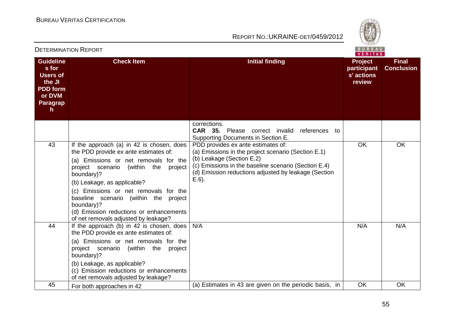

|                                                                                                              |                                                                                                                                                                                                                                                                                                                                                                                                                 | VERITAS                                                                                                                                                                                                                                            |                                                       |                                   |  |
|--------------------------------------------------------------------------------------------------------------|-----------------------------------------------------------------------------------------------------------------------------------------------------------------------------------------------------------------------------------------------------------------------------------------------------------------------------------------------------------------------------------------------------------------|----------------------------------------------------------------------------------------------------------------------------------------------------------------------------------------------------------------------------------------------------|-------------------------------------------------------|-----------------------------------|--|
| <b>Guideline</b><br>s for<br><b>Users of</b><br>the JI<br><b>PDD</b> form<br>or DVM<br><b>Paragrap</b><br>h. | <b>Check Item</b>                                                                                                                                                                                                                                                                                                                                                                                               | <b>Initial finding</b>                                                                                                                                                                                                                             | <b>Project</b><br>participant<br>s' actions<br>review | <b>Final</b><br><b>Conclusion</b> |  |
|                                                                                                              |                                                                                                                                                                                                                                                                                                                                                                                                                 | corrections.<br><b>CAR 35.</b> Please correct invalid<br>references to<br>Supporting Documents in Section E.                                                                                                                                       |                                                       |                                   |  |
| 43                                                                                                           | If the approach (a) in 42 is chosen, does<br>the PDD provide ex ante estimates of:<br>(a) Emissions or net removals for the<br>project scenario<br>(within<br>the<br>project<br>boundary)?<br>(b) Leakage, as applicable?<br>(c) Emissions or net removals for the<br>baseline scenario (within the<br>project<br>boundary)?<br>(d) Emission reductions or enhancements<br>of net removals adjusted by leakage? | PDD provides ex ante estimates of:<br>(a) Emissions in the project scenario (Section E.1)<br>(b) Leakage (Section E.2)<br>(c) Emissions in the baseline scenario (Section E.4)<br>(d) Emission reductions adjusted by leakage (Section<br>$E.6$ ). | OK                                                    | <b>OK</b>                         |  |
| 44                                                                                                           | If the approach (b) in 42 is chosen, does<br>the PDD provide ex ante estimates of:<br>(a) Emissions or net removals for the<br>(within the<br>project scenario<br>project<br>boundary)?<br>(b) Leakage, as applicable?<br>(c) Emission reductions or enhancements<br>of net removals adjusted by leakage?                                                                                                       | N/A                                                                                                                                                                                                                                                | N/A                                                   | N/A                               |  |
| 45                                                                                                           | For both approaches in 42                                                                                                                                                                                                                                                                                                                                                                                       | (a) Estimates in 43 are given on the periodic basis, in                                                                                                                                                                                            | OK                                                    | OK                                |  |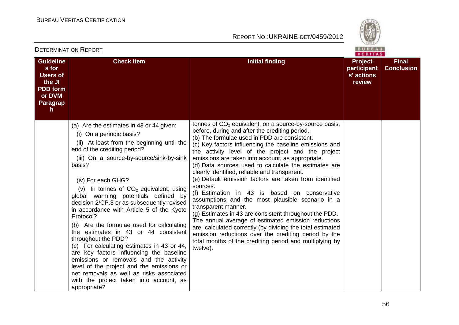appropriate?

## REPORT NO.:UKRAINE-DET/0459/2012



**Final Conclusion**

|                                                                                                                 |                                                                                                                                                                                                                                                                                                                                                                                                                                                                                                                                                                                                                                                                                                                                                                                                                |                                                                                                                                                                                                                                                                                                                                                                                                                                                                                                                                                                                                                                                                                                                                                                                                                                                                                                                                                        | <b>VERITA</b>                                         |
|-----------------------------------------------------------------------------------------------------------------|----------------------------------------------------------------------------------------------------------------------------------------------------------------------------------------------------------------------------------------------------------------------------------------------------------------------------------------------------------------------------------------------------------------------------------------------------------------------------------------------------------------------------------------------------------------------------------------------------------------------------------------------------------------------------------------------------------------------------------------------------------------------------------------------------------------|--------------------------------------------------------------------------------------------------------------------------------------------------------------------------------------------------------------------------------------------------------------------------------------------------------------------------------------------------------------------------------------------------------------------------------------------------------------------------------------------------------------------------------------------------------------------------------------------------------------------------------------------------------------------------------------------------------------------------------------------------------------------------------------------------------------------------------------------------------------------------------------------------------------------------------------------------------|-------------------------------------------------------|
| <b>Guideline</b><br>s for<br><b>Users of</b><br>the JI<br><b>PDD form</b><br>or DVM<br>Paragrap<br>$\mathsf{h}$ | <b>Check Item</b>                                                                                                                                                                                                                                                                                                                                                                                                                                                                                                                                                                                                                                                                                                                                                                                              | <b>Initial finding</b>                                                                                                                                                                                                                                                                                                                                                                                                                                                                                                                                                                                                                                                                                                                                                                                                                                                                                                                                 | <b>Project</b><br>participant<br>s' actions<br>review |
|                                                                                                                 | (a) Are the estimates in 43 or 44 given:<br>(i) On a periodic basis?<br>(ii) At least from the beginning until the<br>end of the crediting period?<br>(iii) On a source-by-source/sink-by-sink<br>basis?<br>(iv) For each GHG?<br>(v) In tonnes of $CO2$ equivalent, using<br>global warming potentials defined by<br>decision 2/CP.3 or as subsequently revised<br>in accordance with Article 5 of the Kyoto<br>Protocol?<br>(b) Are the formulae used for calculating<br>the estimates in 43 or 44 consistent<br>throughout the PDD?<br>(c) For calculating estimates in 43 or 44,<br>are key factors influencing the baseline<br>emissions or removals and the activity<br>level of the project and the emissions or<br>net removals as well as risks associated<br>with the project taken into account, as | tonnes of $CO2$ equivalent, on a source-by-source basis,<br>before, during and after the crediting period.<br>(b) The formulae used in PDD are consistent.<br>(c) Key factors influencing the baseline emissions and<br>the activity level of the project and the project<br>emissions are taken into account, as appropriate.<br>(d) Data sources used to calculate the estimates are<br>clearly identified, reliable and transparent.<br>(e) Default emission factors are taken from identified<br>sources.<br>(f) Estimation in 43 is based on conservative<br>assumptions and the most plausible scenario in a<br>transparent manner.<br>(g) Estimates in 43 are consistent throughout the PDD.<br>The annual average of estimated emission reductions<br>are calculated correctly (by dividing the total estimated<br>emission reductions over the crediting period by the<br>total months of the crediting period and multiplying by<br>twelve). |                                                       |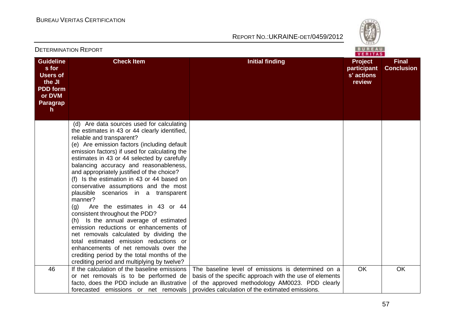

| <b>DETERMINATION REPORT</b>                                                                                     |                                                                                                                                                                                                                                                                                                                                                                                                                                                                                                                                                                                                                                                                                                                                                                                                                                                                                                    |                                                                                                                                                                                                                      |                                                       | <b>BUREAU</b><br>VERITAS          |  |
|-----------------------------------------------------------------------------------------------------------------|----------------------------------------------------------------------------------------------------------------------------------------------------------------------------------------------------------------------------------------------------------------------------------------------------------------------------------------------------------------------------------------------------------------------------------------------------------------------------------------------------------------------------------------------------------------------------------------------------------------------------------------------------------------------------------------------------------------------------------------------------------------------------------------------------------------------------------------------------------------------------------------------------|----------------------------------------------------------------------------------------------------------------------------------------------------------------------------------------------------------------------|-------------------------------------------------------|-----------------------------------|--|
| <b>Guideline</b><br>s for<br><b>Users of</b><br>the JI<br><b>PDD</b> form<br>or DVM<br>Paragrap<br>$\mathsf{h}$ | <b>Check Item</b>                                                                                                                                                                                                                                                                                                                                                                                                                                                                                                                                                                                                                                                                                                                                                                                                                                                                                  | <b>Initial finding</b>                                                                                                                                                                                               | <b>Project</b><br>participant<br>s' actions<br>review | <b>Final</b><br><b>Conclusion</b> |  |
|                                                                                                                 | (d) Are data sources used for calculating<br>the estimates in 43 or 44 clearly identified,<br>reliable and transparent?<br>(e) Are emission factors (including default<br>emission factors) if used for calculating the<br>estimates in 43 or 44 selected by carefully<br>balancing accuracy and reasonableness,<br>and appropriately justified of the choice?<br>(f) Is the estimation in 43 or 44 based on<br>conservative assumptions and the most<br>plausible scenarios in a transparent<br>manner?<br>Are the estimates in 43 or 44<br>(g)<br>consistent throughout the PDD?<br>(h) Is the annual average of estimated<br>emission reductions or enhancements of<br>net removals calculated by dividing the<br>total estimated emission reductions or<br>enhancements of net removals over the<br>crediting period by the total months of the<br>crediting period and multiplying by twelve? |                                                                                                                                                                                                                      |                                                       |                                   |  |
| 46                                                                                                              | If the calculation of the baseline emissions<br>or net removals is to be performed de<br>facto, does the PDD include an illustrative<br>forecasted emissions or net removals                                                                                                                                                                                                                                                                                                                                                                                                                                                                                                                                                                                                                                                                                                                       | The baseline level of emissions is determined on a<br>basis of the specific approach with the use of elements<br>of the approved methodology AM0023. PDD clearly<br>provides calculation of the extimated emissions. | <b>OK</b>                                             | <b>OK</b>                         |  |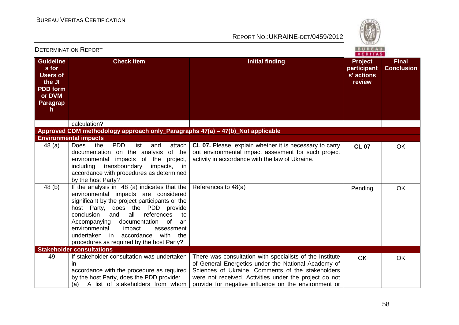

|                                                                                                             | PETERMINATION IN TURT                                                                                                                                                                                                                                                                                                                                                                                          |                                                                                                                                                                                                                                                                                        | <b>VERITAS</b>                                        |                                   |
|-------------------------------------------------------------------------------------------------------------|----------------------------------------------------------------------------------------------------------------------------------------------------------------------------------------------------------------------------------------------------------------------------------------------------------------------------------------------------------------------------------------------------------------|----------------------------------------------------------------------------------------------------------------------------------------------------------------------------------------------------------------------------------------------------------------------------------------|-------------------------------------------------------|-----------------------------------|
| <b>Guideline</b><br>s for<br><b>Users of</b><br>the JI<br><b>PDD</b> form<br>or DVM<br><b>Paragrap</b><br>h | <b>Check Item</b>                                                                                                                                                                                                                                                                                                                                                                                              | <b>Initial finding</b>                                                                                                                                                                                                                                                                 | <b>Project</b><br>participant<br>s' actions<br>review | <b>Final</b><br><b>Conclusion</b> |
|                                                                                                             | calculation?                                                                                                                                                                                                                                                                                                                                                                                                   |                                                                                                                                                                                                                                                                                        |                                                       |                                   |
|                                                                                                             | Approved CDM methodology approach only_Paragraphs 47(a) – 47(b)_Not applicable                                                                                                                                                                                                                                                                                                                                 |                                                                                                                                                                                                                                                                                        |                                                       |                                   |
|                                                                                                             | <b>Environmental impacts</b>                                                                                                                                                                                                                                                                                                                                                                                   |                                                                                                                                                                                                                                                                                        |                                                       |                                   |
| 48 (a)                                                                                                      | <b>PDD</b><br>the<br>list<br>attach<br>Does<br>and<br>documentation on the analysis<br>of the<br>environmental<br>impacts of the<br>project,<br>transboundary<br>including<br>impacts,<br>in<br>accordance with procedures as determined<br>by the host Party?                                                                                                                                                 | CL 07. Please, explain whether it is necessary to carry<br>out environmental impact assesment for such project<br>activity in accordance with the law of Ukraine.                                                                                                                      | <b>CL 07</b>                                          | <b>OK</b>                         |
| 48 (b)                                                                                                      | If the analysis in 48 (a) indicates that the<br>environmental impacts are considered<br>significant by the project participants or the<br>host Party, does the PDD provide<br>all<br>and<br>references<br>conclusion<br>to<br>Accompanying documentation<br>of<br>an<br>environmental<br>impact<br>assessment<br>accordance<br>with<br>undertaken<br>in in<br>the<br>procedures as required by the host Party? | References to 48(a)                                                                                                                                                                                                                                                                    | Pending                                               | <b>OK</b>                         |
|                                                                                                             | <b>Stakeholder consultations</b>                                                                                                                                                                                                                                                                                                                                                                               |                                                                                                                                                                                                                                                                                        |                                                       |                                   |
| 49                                                                                                          | If stakeholder consultation was undertaken<br>$\mathsf{I}$<br>accordance with the procedure as required<br>by the host Party, does the PDD provide:<br>A list of stakeholders from whom<br>(a)                                                                                                                                                                                                                 | There was consultation with specialists of the Institute<br>of General Energetics under the National Academy of<br>Sciences of Ukraine. Comments of the stakeholders<br>were not received. Activities under the project do not<br>provide for negative influence on the environment or | <b>OK</b>                                             | <b>OK</b>                         |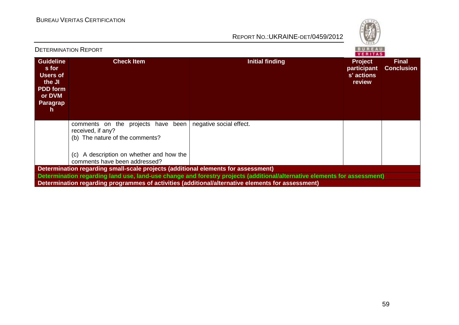

| <b>DETERMINATION REPORT</b><br>VERITAS                                                               |                                                                                                                                                                            |                                                                                                                          |                                                       |                                   |
|------------------------------------------------------------------------------------------------------|----------------------------------------------------------------------------------------------------------------------------------------------------------------------------|--------------------------------------------------------------------------------------------------------------------------|-------------------------------------------------------|-----------------------------------|
| <b>Guideline</b><br>s for<br><b>Users of</b><br>the JI<br><b>PDD</b> form<br>or DVM<br>Paragrap<br>h | <b>Check Item</b>                                                                                                                                                          | Initial finding                                                                                                          | <b>Project</b><br>participant<br>s' actions<br>review | <b>Final</b><br><b>Conclusion</b> |
|                                                                                                      | comments on the projects have been<br>received, if any?<br>(b) The nature of the comments?<br>A description on whether and how the<br>(C)<br>comments have been addressed? | negative social effect.                                                                                                  |                                                       |                                   |
|                                                                                                      | Determination regarding small-scale projects (additional elements for assessment)                                                                                          |                                                                                                                          |                                                       |                                   |
|                                                                                                      |                                                                                                                                                                            | Determination regarding land use, land-use change and forestry projects (additional/alternative elements for assessment) |                                                       |                                   |
|                                                                                                      |                                                                                                                                                                            | Determination regarding programmes of activities (additional/alternative elements for assessment)                        |                                                       |                                   |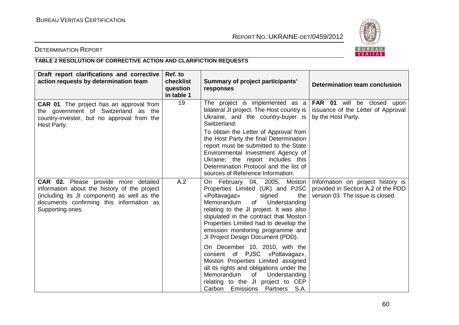

# DETERMINATION REPORT

# **TABLE 2 RESOLUTION OF CORRECTIVE ACTION AND CLARIFICTION REQUESTS**

| Draft report clarifications and corrective<br>action requests by determination team                                                                                                                 | Ref. to<br>checklist<br>question<br>in table 1 | Summary of project participants'<br>responses                                                                                                                                                                                                                                                                                                                                   | Determination team conclusion                                                                 |
|-----------------------------------------------------------------------------------------------------------------------------------------------------------------------------------------------------|------------------------------------------------|---------------------------------------------------------------------------------------------------------------------------------------------------------------------------------------------------------------------------------------------------------------------------------------------------------------------------------------------------------------------------------|-----------------------------------------------------------------------------------------------|
| <b>CAR 01.</b> The project has an approval from<br>the government of Switzerland as the<br>country-investor, but no approval from the<br>Host Party.                                                | 19                                             | The project is implemented as a<br>bilateral JI project. The Host country is<br>Ukraine, and the country-buyer is<br>Switzerland.                                                                                                                                                                                                                                               | <b>FAR 01</b> will be closed upon<br>issuance of the Letter of Approval<br>by the Host Party. |
|                                                                                                                                                                                                     |                                                | To obtain the Letter of Approval from<br>the Host Party the final Determination<br>report must be submitted to the State<br>Environmental Investment Agency of<br>Ukraine; the report includes this<br>Determination Protocol and the list of<br>sources of Reference Information.                                                                                              |                                                                                               |
| CAR 02. Please provide more detailed<br>information about the history of the project<br>(including its JI component) as well as the<br>documents confirming this information as<br>Supporting ones. | A.2                                            | On February 04, 2005, Moston   Information on project history is<br>Properties Limited (UK) and PJSC<br>«Poltavagaz»<br>signed<br>the<br>of Understanding<br>Memorandum<br>relating to the JI project. It was also<br>stipulated in the contract that Moston<br>Properties Limited had to develop the<br>emission monitoring programme and<br>JI Project Design Document (PDD). | provided in Section A.2 of the PDD<br>version 03. The issue is closed.                        |
|                                                                                                                                                                                                     |                                                | On December 10, 2010, with the<br>consent of PJSC «Poltavagaz»,<br>Moston Properties Limited assigned<br>all its rights and obligations under the<br>Memorandum<br>of<br>Understanding<br>relating to the JI project to CEP<br>Carbon Emissions Partners S.A.                                                                                                                   |                                                                                               |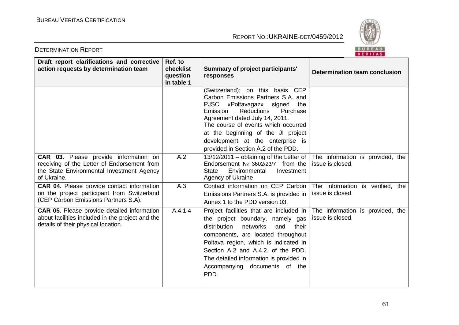

| Draft report clarifications and corrective<br>action requests by determination team                                                              | Ref. to<br>checklist<br>question<br>in table 1 | <b>Summary of project participants'</b><br>responses                                                                                                                                                                                                                                                                                                          | <b>Determination team conclusion</b>                 |
|--------------------------------------------------------------------------------------------------------------------------------------------------|------------------------------------------------|---------------------------------------------------------------------------------------------------------------------------------------------------------------------------------------------------------------------------------------------------------------------------------------------------------------------------------------------------------------|------------------------------------------------------|
|                                                                                                                                                  |                                                | (Switzerland); on this basis CEP<br>Carbon Emissions Partners S.A. and<br><b>PJSC</b><br>«Poltavagaz»<br>signed<br>the<br><b>Reductions</b><br>Purchase<br>Emission<br>Agreement dated July 14, 2011.<br>The course of events which occurred<br>at the beginning of the JI project<br>development at the enterprise is<br>provided in Section A.2 of the PDD. |                                                      |
| CAR 03. Please provide information on<br>receiving of the Letter of Endorsement from<br>the State Environmental Investment Agency<br>of Ukraine. | A.2                                            | 13/12/2011 – obtaining of the Letter of $ $<br>Endorsement № 3602/23/7 from the<br><b>State</b><br>Environmental<br>Investment<br>Agency of Ukraine                                                                                                                                                                                                           | The information is provided, the<br>issue is closed. |
| <b>CAR 04.</b> Please provide contact information<br>on the project participant from Switzerland<br>(CEP Carbon Emissions Partners S.A).         | A.3                                            | Contact information on CEP Carbon<br>Emissions Partners S.A. is provided in<br>Annex 1 to the PDD version 03.                                                                                                                                                                                                                                                 | The information is verified, the<br>issue is closed. |
| <b>CAR 05.</b> Please provide detailed information<br>about facilities included in the project and the<br>details of their physical location.    | A.4.1.4                                        | Project facilities that are included in  <br>the project boundary, namely gas<br>networks<br>and<br>distribution<br>their<br>components, are located throughout<br>Poltava region, which is indicated in<br>Section A.2 and A.4.2. of the PDD.<br>The detailed information is provided in<br>Accompanying documents of the<br>PDD.                            | The information is provided, the<br>issue is closed. |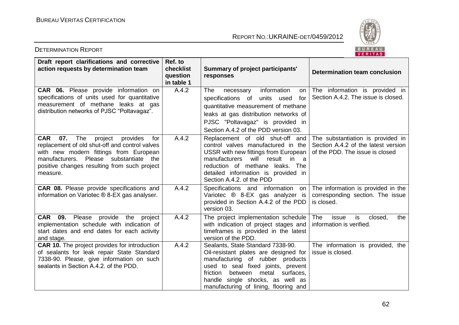

| Draft report clarifications and corrective<br>action requests by determination team                                                                                                                                                                      | Ref. to<br>checklist<br>question<br>in table 1 | Summary of project participants'<br>responses                                                                                                                                                                                                                                  | Determination team conclusion                                                                               |
|----------------------------------------------------------------------------------------------------------------------------------------------------------------------------------------------------------------------------------------------------------|------------------------------------------------|--------------------------------------------------------------------------------------------------------------------------------------------------------------------------------------------------------------------------------------------------------------------------------|-------------------------------------------------------------------------------------------------------------|
| CAR 06. Please provide information on<br>specifications of units used for quantitative<br>measurement of methane leaks at gas<br>distribution networks of PJSC "Poltavagaz".                                                                             | A.4.2                                          | information<br>The<br>necessary<br>on<br>specifications of<br>units used<br>for<br>quantitative measurement of methane<br>leaks at gas distribution networks of<br>PJSC "Poltavagaz" is provided in<br>Section A.4.2 of the PDD version 03.                                    | The information is provided in<br>Section A.4.2. The issue is closed.                                       |
| The<br><b>CAR</b><br>07.<br>project<br>provides<br>for<br>replacement of old shut-off and control valves<br>with new modern fittings from European<br>manufacturers. Please substantiate the<br>positive changes resulting from such project<br>measure. | A.4.2                                          | Replacement of old shut-off and<br>control valves manufactured in the<br>USSR with new fittings from European<br>manufacturers will result in a<br>reduction of methane<br>leaks. The<br>detailed information is provided in<br>Section A.4.2. of the PDD                      | The substantiation is provided in<br>Section A.4.2 of the latest version<br>of the PDD. The issue is closed |
| CAR 08. Please provide specifications and<br>information on Variotec ® 8-EX gas analyser.                                                                                                                                                                | A.4.2                                          | Specifications and information on<br>Variotec ® 8-EX gas analyzer is<br>provided in Section A.4.2 of the PDD<br>version 03.                                                                                                                                                    | The information is provided in the<br>corresponding section. The issue<br>is closed.                        |
| <b>CAR 09.</b> Please provide the project<br>implementation schedule with indication of<br>start dates and end dates for each activity<br>and stage.                                                                                                     | A.4.2                                          | The project implementation schedule<br>with indication of project stages and<br>timeframes is provided in the latest<br>version of the PDD.                                                                                                                                    | The<br>issue<br>is<br>closed,<br>the<br>information is verified.                                            |
| <b>CAR 10.</b> The project provides for introduction<br>of sealants for leak repair State Standard<br>7338-90. Please, give information on such<br>sealants in Section A.4.2. of the PDD.                                                                | A.4.2                                          | Sealants, State Standard 7338-90.<br>Oil-resistant plates are designed for<br>manufacturing of rubber products<br>used to seal fixed joints, prevent<br>between<br>surfaces.<br>friction<br>metal<br>handle single shocks, as well as<br>manufacturing of lining, flooring and | The information is provided, the<br>issue is closed.                                                        |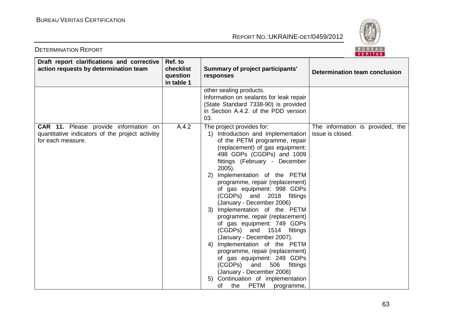

| Draft report clarifications and corrective<br>action requests by determination team                                   | Ref. to<br>checklist<br>question<br>in table 1 | Summary of project participants'<br>responses                                                                                                                                                                                                                                                                                                                                                                                                                                                                                                                                                                                                                                                                                                                                              | Determination team conclusion                        |
|-----------------------------------------------------------------------------------------------------------------------|------------------------------------------------|--------------------------------------------------------------------------------------------------------------------------------------------------------------------------------------------------------------------------------------------------------------------------------------------------------------------------------------------------------------------------------------------------------------------------------------------------------------------------------------------------------------------------------------------------------------------------------------------------------------------------------------------------------------------------------------------------------------------------------------------------------------------------------------------|------------------------------------------------------|
|                                                                                                                       |                                                | other sealing products.<br>Information on sealants for leak repair<br>(State Standard 7338-90) is provided<br>in Section A.4.2. of the PDD version<br>03.                                                                                                                                                                                                                                                                                                                                                                                                                                                                                                                                                                                                                                  |                                                      |
| <b>CAR 11.</b> Please provide information on<br>quantitative indicators of the project activitiy<br>for each measure. | A.4.2                                          | The project provides for:<br>1) Introduction and implementation<br>of the PETM programme, repair<br>(replacement) of gas equipment:<br>498 GDPs (CGDPs) and 1009<br>fittings (February - December<br>$2005$ ).<br>2) Implementation of the PETM<br>programme, repair (replacement)<br>of gas equipment: 998 GDPs<br>(CGDPs) and 2018 fittings<br>(January - December 2006)<br>3) Implementation of the PETM<br>programme, repair (replacement)<br>of gas equipment: 749 GDPs<br>(CGDPs) and 1514 fittings<br>(January - December 2007).<br>4) Implementation of the PETM<br>programme, repair (replacement)<br>of gas equipment: 249 GDPs<br>506<br>(CGDPs)<br>and<br>fittings<br>(January - December 2008)<br>5) Continuation of implementation<br><b>PETM</b><br>the<br>οf<br>programme, | The information is provided, the<br>issue is closed. |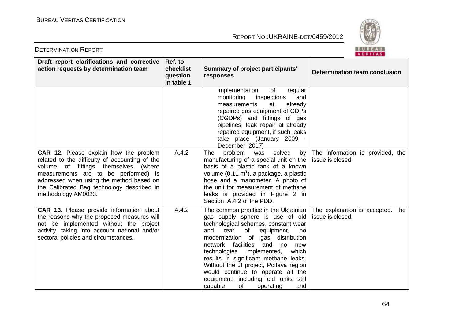

| Draft report clarifications and corrective<br>action requests by determination team                                                                                                                                                                                                              | Ref. to<br>checklist<br>question<br>in table 1 | <b>Summary of project participants'</b><br>responses                                                                                                                                                                                                                                                                                                                                                                                                                                        | <b>Determination team conclusion</b>                 |
|--------------------------------------------------------------------------------------------------------------------------------------------------------------------------------------------------------------------------------------------------------------------------------------------------|------------------------------------------------|---------------------------------------------------------------------------------------------------------------------------------------------------------------------------------------------------------------------------------------------------------------------------------------------------------------------------------------------------------------------------------------------------------------------------------------------------------------------------------------------|------------------------------------------------------|
|                                                                                                                                                                                                                                                                                                  |                                                | of<br>implementation<br>regular<br>inspections<br>monitoring<br>and<br>measurements<br>already<br>at<br>repaired gas equipment of GDPs<br>(CGDPs) and fittings of gas<br>pipelines, leak repair at already<br>repaired equipment, if such leaks<br>take place (January 2009 -<br>December 2017)                                                                                                                                                                                             |                                                      |
| <b>CAR 12.</b> Please explain how the problem<br>related to the difficulty of accounting of the<br>volume of fittings themselves (where<br>measurements are to be performed) is<br>addressed when using the method based on<br>the Calibrated Bag technology described in<br>methodology AM0023. | A.4.2                                          | problem<br>solved<br>The<br>was<br>by<br>manufacturing of a special unit on the<br>basis of a plastic tank of a known<br>volume $(0.11 \text{ m}^3)$ , a package, a plastic<br>hose and a manometer. A photo of<br>the unit for measurement of methane<br>leaks is provided in Figure 2 in<br>Section A.4.2 of the PDD.                                                                                                                                                                     | The information is provided, the<br>issue is closed. |
| CAR 13. Please provide information about<br>the reasons why the proposed measures will<br>not be implemented without the project<br>activity, taking into account national and/or<br>sectoral policies and circumstances.                                                                        | A.4.2                                          | The common practice in the Ukrainian<br>gas supply sphere is use of old<br>technological schemes, constant wear<br>tear<br>of<br>and<br>equipment,<br>no<br>modernization of<br>gas<br>distribution<br>facilities<br>network<br>and<br>no<br>new<br>technologies implemented,<br>which<br>results in significant methane leaks.<br>Without the JI project, Poltava region<br>would continue to operate all the<br>equipment, including old units still<br>of<br>capable<br>operating<br>and | The explanation is accepted. The<br>issue is closed. |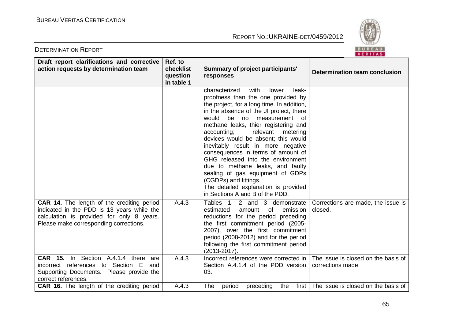

| Draft report clarifications and corrective<br>action requests by determination team                                                                                                    | Ref. to<br>checklist<br>question<br>in table 1 | <b>Summary of project participants'</b><br>responses                                                                                                                                                                                                                                                                                                                                                                                                                                                                                                                                                                          | Determination team conclusion             |
|----------------------------------------------------------------------------------------------------------------------------------------------------------------------------------------|------------------------------------------------|-------------------------------------------------------------------------------------------------------------------------------------------------------------------------------------------------------------------------------------------------------------------------------------------------------------------------------------------------------------------------------------------------------------------------------------------------------------------------------------------------------------------------------------------------------------------------------------------------------------------------------|-------------------------------------------|
|                                                                                                                                                                                        |                                                | characterized<br>with<br>leak-<br>lower<br>proofness than the one provided by<br>the project, for a long time. In addition,<br>in the absence of the JI project, there<br>be no<br>would<br>measurement of<br>methane leaks, thier registering and<br>accounting;<br>relevant<br>metering<br>devices would be absent; this would<br>inevitably result in more negative<br>consequences in terms of amount of<br>GHG released into the environment<br>due to methane leaks, and faulty<br>sealing of gas equipment of GDPs<br>(CGDPs) and fittings.<br>The detailed explanation is provided<br>in Sections A and B of the PDD. |                                           |
| <b>CAR 14.</b> The length of the crediting period<br>indicated in the PDD is 13 years while the<br>calculation is provided for only 8 years.<br>Please make corresponding corrections. | A.4.3                                          | Tables $1, 2$ and $3$ demonstrate   Corrections are made, the issue is<br>estimated<br>amount<br>emission  <br>0f<br>reductions for the period preceding<br>the first commitment period (2005-<br>2007), over the first commitment<br>period (2008-2012) and for the period<br>following the first commitment period<br>$(2013 - 2017)$ .                                                                                                                                                                                                                                                                                     | closed.                                   |
| <b>CAR 15.</b> In Section A.4.1.4 there<br>are<br>incorrect references to Section E<br>and<br>Supporting Documents. Please provide the<br>correct references.                          | A.4.3                                          | Incorrect references were corrected in $\vert$ The issue is closed on the basis of<br>Section A.4.1.4 of the PDD version<br>03.                                                                                                                                                                                                                                                                                                                                                                                                                                                                                               | corrections made.                         |
| <b>CAR 16.</b> The length of the crediting period                                                                                                                                      | A.4.3                                          | The<br>period<br>preceding<br>the                                                                                                                                                                                                                                                                                                                                                                                                                                                                                                                                                                                             | first The issue is closed on the basis of |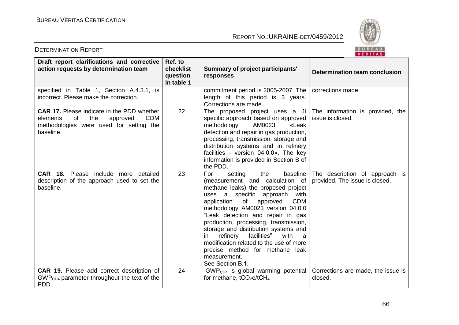

| Draft report clarifications and corrective<br>action requests by determination team                                                                          | Ref. to<br>checklist<br>question<br>in table 1 | Summary of project participants'<br>responses                                                                                                                                                                                                                                                                                                                                                                                                                                                                              | <b>Determination team conclusion</b>                             |
|--------------------------------------------------------------------------------------------------------------------------------------------------------------|------------------------------------------------|----------------------------------------------------------------------------------------------------------------------------------------------------------------------------------------------------------------------------------------------------------------------------------------------------------------------------------------------------------------------------------------------------------------------------------------------------------------------------------------------------------------------------|------------------------------------------------------------------|
| specified in Table 1, Section A.4.3.1, is<br>incorrect. Please make the correction.                                                                          |                                                | commitment period is 2005-2007. The<br>length of this period is 3 years.<br>Corrections are made.                                                                                                                                                                                                                                                                                                                                                                                                                          | corrections made.                                                |
| <b>CAR 17.</b> Please indicate in the PDD whether<br>of<br>the<br><b>CDM</b><br>elements<br>approved<br>methodologies were used for setting the<br>baseline. | 22                                             | The proposed project uses a $JI$<br>specific approach based on approved<br>AM0023<br>methodology<br>«Leak<br>detection and repair in gas production,<br>processing, transmission, storage and<br>distribution systems and in refinery<br>facilities - version 04.0.0». The key<br>information is provided in Section B of<br>the PDD.                                                                                                                                                                                      | The information is provided, the<br>issue is closed.             |
| <b>CAR 18.</b> Please include more detailed<br>description of the approach used to set the<br>baseline.                                                      | 23                                             | baseline<br>For<br>setting<br>the<br>(measurement and calculation of<br>methane leaks) the proposed project<br>uses a specific approach<br>with<br>of<br><b>CDM</b><br>application<br>approved<br>methodology AM0023 version 04.0.0<br>"Leak detection and repair in gas<br>production, processing, transmission,<br>storage and distribution systems and<br>facilities"<br>refinery<br>with<br>a<br>in.<br>modification related to the use of more<br>precise method for methane leak<br>measurement.<br>See Section B.1. | The description of approach is<br>provided. The issue is closed. |
| <b>CAR 19.</b> Please add correct description of<br>$GWPCH4$ parameter throughout the text of the<br>PDD.                                                    | 24                                             | $GWPCH4$ is global warming potential<br>for methane, $tCO2e/tCH4$                                                                                                                                                                                                                                                                                                                                                                                                                                                          | Corrections are made, the issue is<br>closed.                    |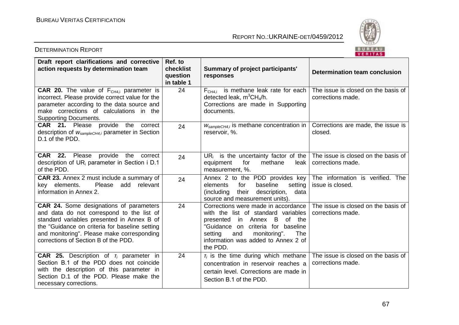

| Draft report clarifications and corrective<br>action requests by determination team                                                                                                                                                                                               | Ref. to<br>checklist<br>question<br>in table 1 | <b>Summary of project participants'</b><br>responses                                                                                                                                                                                           | Determination team conclusion                            |
|-----------------------------------------------------------------------------------------------------------------------------------------------------------------------------------------------------------------------------------------------------------------------------------|------------------------------------------------|------------------------------------------------------------------------------------------------------------------------------------------------------------------------------------------------------------------------------------------------|----------------------------------------------------------|
| <b>CAR 20.</b> The value of $F_{CH4,i}$ parameter is<br>incorrect. Please provide correct value for the<br>parameter according to the data source and<br>make corrections of calculations in the<br><b>Supporting Documents.</b>                                                  | 24                                             | $FCH4.i$ is methane leak rate for each<br>detected leak, $m^3CH_4/h$ .<br>Corrections are made in Supporting<br>documents.                                                                                                                     | The issue is closed on the basis of<br>corrections made. |
| <b>CAR</b> 21. Please provide the correct<br>description of $W_{sampleCH4,i}$ parameter in Section<br>D.1 of the PDD.                                                                                                                                                             | 24                                             | $W_{\text{sampleCH4},i}$ is methane concentration in<br>reservoir, %.                                                                                                                                                                          | Corrections are made, the issue is<br>closed.            |
| <b>CAR</b> 22. Please provide the correct<br>description of UR <sub>i</sub> parameter in Section i D.1<br>of the PDD.                                                                                                                                                             | 24                                             | UR <sub>i</sub> is the uncertainty factor of the The issue is closed on the basis of<br>for<br>methane<br>equipment<br>leak<br>measurement, %.                                                                                                 | corrections made.                                        |
| <b>CAR 23.</b> Annex 2 must include a summary of<br>Please add relevant<br>key elements.<br>information in Annex 2.                                                                                                                                                               | 24                                             | Annex 2 to the PDD provides key The information is verified. The<br>baseline<br>for<br>setting<br>elements<br>their<br>(including)<br>description,<br>data<br>source and measurement units).                                                   | issue is closed.                                         |
| <b>CAR 24.</b> Some designations of parameters<br>and data do not correspond to the list of<br>standard variables presented in Annex B of<br>the "Guidance on criteria for baseline setting<br>and monitoring". Please make corresponding<br>corrections of Section B of the PDD. | 24                                             | Corrections were made in accordance<br>with the list of standard variables<br>of the<br>presented in Annex B<br>"Guidance on criteria for baseline<br>and<br>monitoring".<br>The<br>setting<br>information was added to Annex 2 of<br>the PDD. | The issue is closed on the basis of<br>corrections made. |
| <b>CAR 25.</b> Description of $r_i$ parameter in<br>Section B.1 of the PDD does not coincide<br>with the description of this parameter in<br>Section D.1 of the PDD. Please make the<br>necessary corrections.                                                                    | 24                                             | $\tau_i$ is the time during which methane<br>concentration in reservoir reaches a<br>certain level. Corrections are made in<br>Section B.1 of the PDD.                                                                                         | The issue is closed on the basis of<br>corrections made. |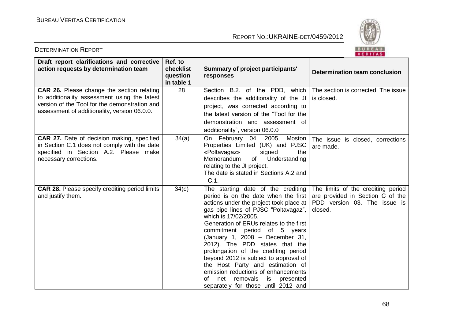

| Draft report clarifications and corrective<br>action requests by determination team                                                                                                                | Ref. to<br>checklist<br>question<br>in table 1 | <b>Summary of project participants'</b><br>responses                                                                                                                                                                                                                                                                                                                                                                                                                                                                                                                                 | Determination team conclusion                                                                                     |
|----------------------------------------------------------------------------------------------------------------------------------------------------------------------------------------------------|------------------------------------------------|--------------------------------------------------------------------------------------------------------------------------------------------------------------------------------------------------------------------------------------------------------------------------------------------------------------------------------------------------------------------------------------------------------------------------------------------------------------------------------------------------------------------------------------------------------------------------------------|-------------------------------------------------------------------------------------------------------------------|
| <b>CAR 26.</b> Please change the section relating<br>to additionality assessment using the latest<br>version of the Tool for the demonstration and<br>assessment of additionality, version 06.0.0. | 28                                             | Section B.2. of the PDD, which<br>describes the additionality of the JI<br>project, was corrected according to<br>the latest version of the "Tool for the<br>demonstration and assessment of<br>additionality", version 06.0.0                                                                                                                                                                                                                                                                                                                                                       | The section is corrected. The issue<br>is closed.                                                                 |
| <b>CAR 27.</b> Date of decision making, specified<br>in Section C.1 does not comply with the date<br>specified in Section A.2. Please make<br>necessary corrections.                               | 34(a)                                          | On February 04, 2005, Moston<br>Properties Limited (UK) and PJSC<br>«Poltavagaz»<br>signed<br>the<br>Memorandum<br>of<br>Understanding<br>relating to the JI project.<br>The date is stated in Sections A.2 and<br>$C.1$ .                                                                                                                                                                                                                                                                                                                                                           | The issue is closed, corrections<br>are made.                                                                     |
| <b>CAR 28.</b> Please specify crediting period limits<br>and justify them.                                                                                                                         | 34(c)                                          | The starting date of the crediting<br>period is on the date when the first<br>actions under the project took place at<br>gas pipe lines of PJSC "Poltavagaz",<br>which is 17/02/2005.<br>Generation of ERUs relates to the first<br>commitment period of 5 years<br>(January 1, 2008 - December 31,<br>2012). The PDD states that the<br>prolongation of the crediting period<br>beyond 2012 is subject to approval of<br>the Host Party and estimation of<br>emission reductions of enhancements<br>of<br>net<br>removals<br>is<br>presented<br>separately for those until 2012 and | The limits of the crediting period<br>are provided in Section C of the<br>PDD version 03. The issue is<br>closed. |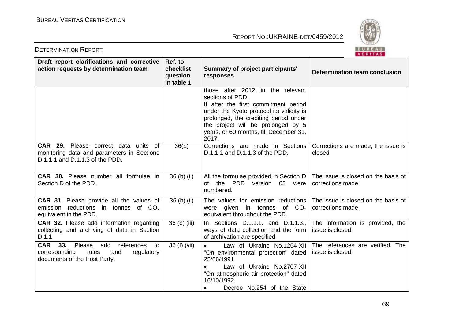

| Draft report clarifications and corrective<br>action requests by determination team                                                | Ref. to<br>checklist<br>question<br>in table 1 | Summary of project participants'<br>responses                                                                                                                                                                                                                              | Determination team conclusion                            |
|------------------------------------------------------------------------------------------------------------------------------------|------------------------------------------------|----------------------------------------------------------------------------------------------------------------------------------------------------------------------------------------------------------------------------------------------------------------------------|----------------------------------------------------------|
|                                                                                                                                    |                                                | those after 2012 in the relevant<br>sections of PDD.<br>If after the first commitment period<br>under the Kyoto protocol its validity is<br>prolonged, the crediting period under<br>the project will be prolonged by 5<br>years, or 60 months, till December 31,<br>2017. |                                                          |
| <b>CAR 29.</b> Please correct data units of<br>monitoring data and parameters in Sections<br>D.1.1.1 and D.1.1.3 of the PDD.       | 36(b)                                          | Corrections are made in Sections<br>D.1.1.1 and D.1.1.3 of the PDD.                                                                                                                                                                                                        | Corrections are made, the issue is<br>closed.            |
| <b>CAR 30.</b> Please number all formulae in<br>Section D of the PDD.                                                              | 36 (b) (ii)                                    | All the formulae provided in Section D<br>of the PDD version 03 were<br>numbered.                                                                                                                                                                                          | The issue is closed on the basis of<br>corrections made. |
| CAR 31. Please provide all the values of<br>emission reductions in tonnes of $CO2$<br>equivalent in the PDD.                       | 36 (b) (ii)                                    | The values for emission reductions<br>were given in tonnes of $CO2$<br>equivalent throughout the PDD.                                                                                                                                                                      | The issue is closed on the basis of<br>corrections made. |
| CAR 32. Please add information regarding<br>collecting and archiving of data in Section<br>D.1.1.                                  | 36 (b) (iii)                                   | In Sections D.1.1.1. and D.1.1.3.,<br>ways of data collection and the form<br>of archivation are specified.                                                                                                                                                                | The information is provided, the<br>issue is closed.     |
| <b>CAR</b><br>33. Please<br>add<br>references<br>to<br>corresponding<br>rules<br>regulatory<br>and<br>documents of the Host Party. | 36 (f) (vii)                                   | Law of Ukraine No.1264-XII<br>$\bullet$<br>"On environmental protection" dated<br>25/06/1991<br>Law of Ukraine No.2707-XII<br>"On atmospheric air protection" dated<br>16/10/1992<br>Decree No.254 of the State<br>$\bullet$                                               | The references are verified. The<br>issue is closed.     |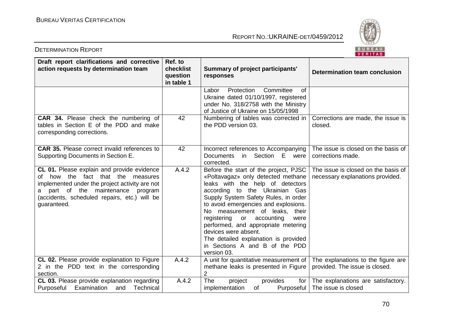

| Draft report clarifications and corrective<br>action requests by determination team                                                                                                                                                               | Ref. to<br>checklist<br>question<br>in table 1 | <b>Summary of project participants'</b><br>responses                                                                                                                                                                                                                                                                                                                                                                                                             | <b>Determination team conclusion</b>                                    |
|---------------------------------------------------------------------------------------------------------------------------------------------------------------------------------------------------------------------------------------------------|------------------------------------------------|------------------------------------------------------------------------------------------------------------------------------------------------------------------------------------------------------------------------------------------------------------------------------------------------------------------------------------------------------------------------------------------------------------------------------------------------------------------|-------------------------------------------------------------------------|
|                                                                                                                                                                                                                                                   |                                                | Labor<br>Protection<br>Committee<br>$\circ$ f<br>Ukraine dated 01/10/1997, registered<br>under No. 318/2758 with the Ministry<br>of Justice of Ukraine on 15/05/1998                                                                                                                                                                                                                                                                                             |                                                                         |
| CAR 34. Please check the numbering of<br>tables in Section E of the PDD and make<br>corresponding corrections.                                                                                                                                    | 42                                             | Numbering of tables was corrected in<br>the PDD version 03.                                                                                                                                                                                                                                                                                                                                                                                                      | Corrections are made, the issue is<br>closed.                           |
| <b>CAR 35.</b> Please correct invalid references to<br>Supporting Documents in Section E.                                                                                                                                                         | 42                                             | Incorrect references to Accompanying<br>in Section E were<br><b>Documents</b><br>corrected.                                                                                                                                                                                                                                                                                                                                                                      | The issue is closed on the basis of<br>corrections made.                |
| CL 01. Please explain and provide evidence<br>how the<br>fact that the measures<br>Ωf<br>implemented under the project activity are not<br>part of the maintenance<br>program<br>a<br>(accidents, scheduled repairs, etc.) will be<br>guaranteed. | A.4.2                                          | Before the start of the project, PJSC<br>«Poltavagaz» only detected methane<br>leaks with the help of detectors<br>according to the Ukrainian Gas<br>Supply System Safety Rules, in order<br>to avoid emergencies and explosions.<br>No measurement of leaks, their<br>registering or accounting<br>were<br>performed, and appropriate metering<br>devices were absent.<br>The detailed explanation is provided<br>in Sections A and B of the PDD<br>version 03. | The issue is closed on the basis of<br>necessary explanations provided. |
| CL 02. Please provide explanation to Figure<br>2 in the PDD text in the corresponding<br>section.                                                                                                                                                 | A.4.2                                          | A unit for quantitative measurement of<br>methane leaks is presented in Figure<br>$\overline{2}$                                                                                                                                                                                                                                                                                                                                                                 | The explanations to the figure are<br>provided. The issue is closed.    |
| CL 03. Please provide explanation regarding                                                                                                                                                                                                       | A.4.2                                          | The<br>project<br>provides<br>for $\vert$                                                                                                                                                                                                                                                                                                                                                                                                                        | The explanations are satisfactory.                                      |
| Purposeful<br>Examination<br>Technical<br>and                                                                                                                                                                                                     |                                                | implementation<br>0f<br>Purposeful                                                                                                                                                                                                                                                                                                                                                                                                                               | The issue is closed                                                     |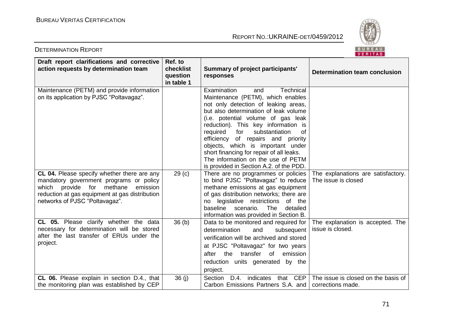

| Draft report clarifications and corrective<br>action requests by determination team                                                                                                                                       | Ref. to<br>checklist<br>question<br>in table 1 | <b>Summary of project participants'</b><br>responses                                                                                                                                                                                                                                                                                                                                                                                                                                     | Determination team conclusion                             |
|---------------------------------------------------------------------------------------------------------------------------------------------------------------------------------------------------------------------------|------------------------------------------------|------------------------------------------------------------------------------------------------------------------------------------------------------------------------------------------------------------------------------------------------------------------------------------------------------------------------------------------------------------------------------------------------------------------------------------------------------------------------------------------|-----------------------------------------------------------|
| Maintenance (PETM) and provide information<br>on its application by PJSC "Poltavagaz".                                                                                                                                    |                                                | Technical<br>Examination<br>and<br>Maintenance (PETM), which enables<br>not only detection of leaking areas,<br>but also determination of leak volume<br>(i.e. potential volume of gas leak<br>reduction). This key information is<br>substantiation<br>required<br>for<br>Ωf<br>efficiency<br>of repairs and priority<br>objects, which is important under<br>short financing for repair of all leaks.<br>The information on the use of PETM<br>is provided in Section A.2. of the PDD. |                                                           |
| CL 04. Please specify whether there are any<br>mandatory government programs or policy<br>methane<br>which provide<br>for<br>emission<br>reduction at gas equipment at gas distribution<br>networks of PJSC "Poltavagaz". | 29 <sub>(c)</sub>                              | There are no programmes or policies<br>to bind PJSC "Poltavagaz" to reduce<br>methane emissions at gas equipment<br>of gas distribution networks; there are<br>no legislative restrictions<br>of the<br>baseline scenario. The<br>detailed<br>information was provided in Section B.                                                                                                                                                                                                     | The explanations are satisfactory.<br>The issue is closed |
| CL 05. Please clarify whether the data<br>necessary for determination will be stored<br>after the last transfer of ERUs under the<br>project.                                                                             | 36(b)                                          | Data to be monitored and required for<br>determination<br>and<br>subsequent<br>verification will be archived and stored<br>at PJSC "Poltavagaz" for two years<br>transfer<br>$\circ$ f<br>the<br>emission<br>after<br>reduction units generated by the<br>project.                                                                                                                                                                                                                       | The explanation is accepted. The<br>issue is closed.      |
| CL 06. Please explain in section D.4., that<br>the monitoring plan was established by CEP                                                                                                                                 | 36(i)                                          | D.4. indicates that CEP<br>Section<br>Carbon Emissions Partners S.A. and                                                                                                                                                                                                                                                                                                                                                                                                                 | The issue is closed on the basis of<br>corrections made.  |